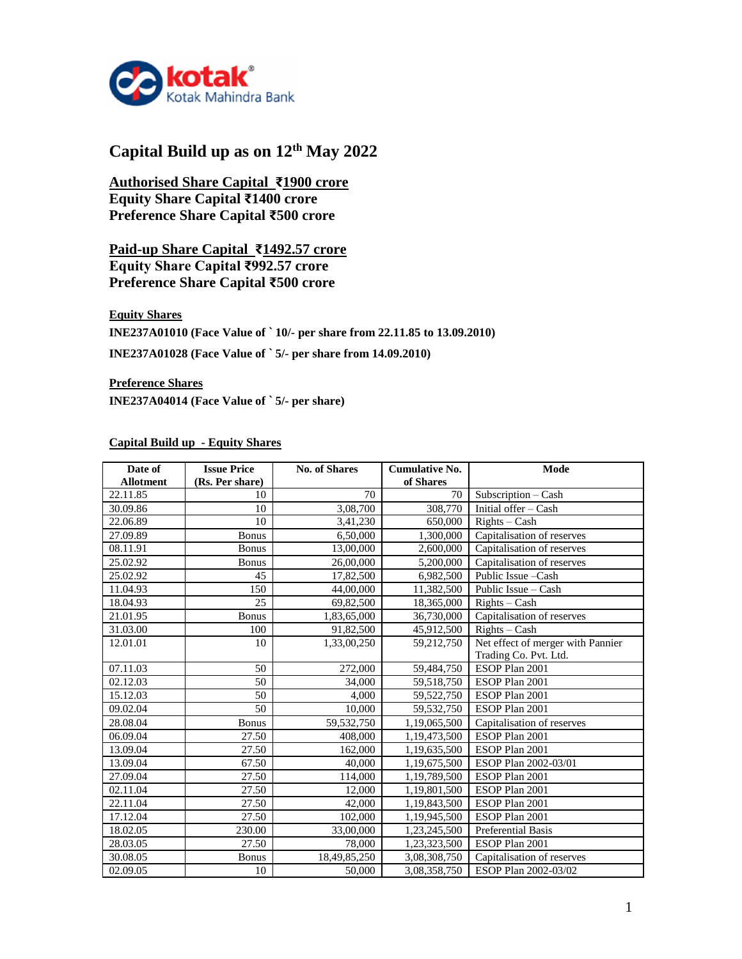

# **Capital Build up as on 12th May 2022**

**Authorised Share Capital ₹1900 crore Equity Share Capital ₹1400 crore Preference Share Capital ₹500 crore**

## **Paid-up Share Capital ₹1492.57 crore Equity Share Capital ₹992.57 crore Preference Share Capital ₹500 crore**

**Equity Shares INE237A01010 (Face Value of ` 10/- per share from 22.11.85 to 13.09.2010)**

**INE237A01028 (Face Value of ` 5/- per share from 14.09.2010)**

**Preference Shares INE237A04014 (Face Value of ` 5/- per share)**

### **Capital Build up - Equity Shares**

| Date of          | <b>Issue Price</b><br>(Rs. Per share) | <b>No. of Shares</b> | <b>Cumulative No.</b><br>of Shares | Mode                              |
|------------------|---------------------------------------|----------------------|------------------------------------|-----------------------------------|
| <b>Allotment</b> |                                       | 70                   |                                    |                                   |
| 22.11.85         | 10                                    |                      | 70                                 | Subscription - Cash               |
| 30.09.86         | 10                                    | 3,08,700             | 308,770                            | Initial offer - Cash              |
| 22.06.89         | 10                                    | 3,41,230             | 650,000                            | $RightS - Cash$                   |
| 27.09.89         | <b>Bonus</b>                          | 6,50,000             | 1,300,000                          | Capitalisation of reserves        |
| 08.11.91         | <b>Bonus</b>                          | 13,00,000            | 2,600,000                          | Capitalisation of reserves        |
| 25.02.92         | <b>Bonus</b>                          | 26,00,000            | 5,200,000                          | Capitalisation of reserves        |
| 25.02.92         | 45                                    | 17,82,500            | 6,982,500                          | Public Issue - Cash               |
| 11.04.93         | 150                                   | 44,00,000            | 11,382,500                         | Public Issue – Cash               |
| 18.04.93         | 25                                    | 69,82,500            | 18,365,000                         | $RightS - Cash$                   |
| 21.01.95         | Bonus                                 | 1,83,65,000          | 36,730,000                         | Capitalisation of reserves        |
| 31.03.00         | 100                                   | 91,82,500            | 45,912,500                         | $RightS - Cash$                   |
| 12.01.01         | 10                                    | 1,33,00,250          | 59,212,750                         | Net effect of merger with Pannier |
|                  |                                       |                      |                                    | Trading Co. Pvt. Ltd.             |
| 07.11.03         | 50                                    | 272,000              | 59,484,750                         | ESOP Plan 2001                    |
| 02.12.03         | 50                                    | 34,000               | 59,518,750                         | ESOP Plan 2001                    |
| 15.12.03         | 50                                    | 4,000                | 59,522,750                         | ESOP Plan 2001                    |
| 09.02.04         | 50                                    | 10,000               | 59,532,750                         | ESOP Plan 2001                    |
| 28.08.04         | <b>Bonus</b>                          | 59,532,750           | 1,19,065,500                       | Capitalisation of reserves        |
| 06.09.04         | 27.50                                 | 408,000              | 1,19,473,500                       | ESOP Plan 2001                    |
| 13.09.04         | 27.50                                 | 162,000              | 1,19,635,500                       | ESOP Plan 2001                    |
| 13.09.04         | 67.50                                 | 40,000               | 1,19,675,500                       | ESOP Plan 2002-03/01              |
| 27.09.04         | 27.50                                 | 114,000              | 1,19,789,500                       | ESOP Plan 2001                    |
| 02.11.04         | 27.50                                 | 12,000               | 1,19,801,500                       | ESOP Plan 2001                    |
| 22.11.04         | 27.50                                 | 42,000               | 1,19,843,500                       | ESOP Plan 2001                    |
| 17.12.04         | 27.50                                 | 102,000              | 1,19,945,500                       | ESOP Plan 2001                    |
| 18.02.05         | 230.00                                | 33,00,000            | 1,23,245,500                       | Preferential Basis                |
| 28.03.05         | 27.50                                 | 78,000               | 1,23,323,500                       | ESOP Plan 2001                    |
| 30.08.05         | <b>Bonus</b>                          | 18,49,85,250         | 3,08,308,750                       | Capitalisation of reserves        |
| 02.09.05         | 10                                    | 50,000               | 3,08,358,750                       | ESOP Plan 2002-03/02              |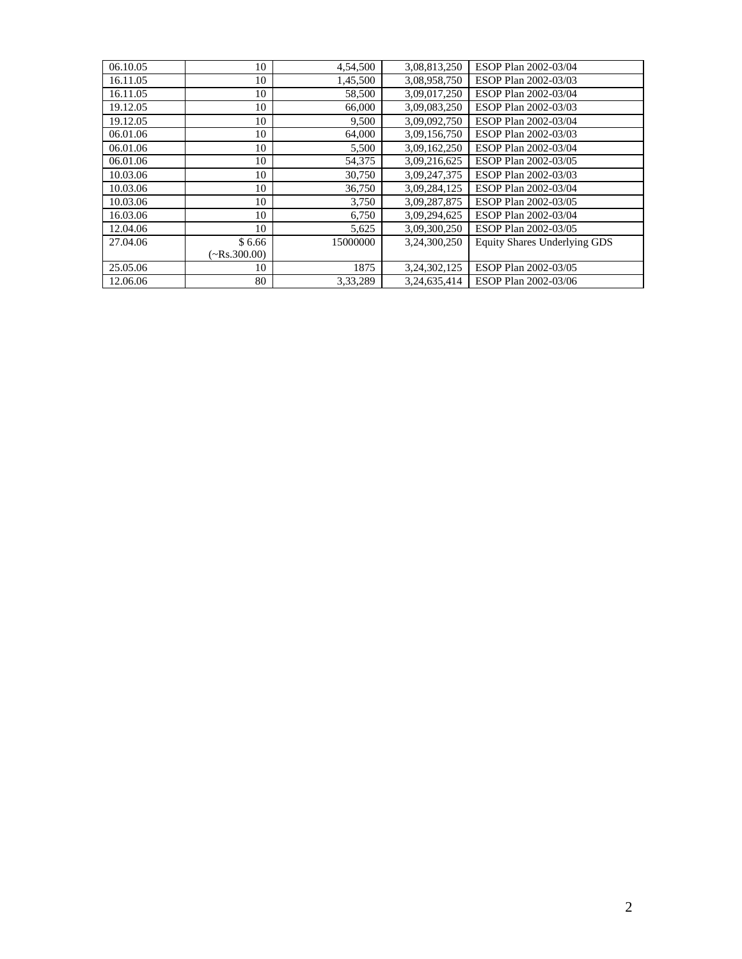| 06.10.05 | 10                | 4,54,500 | 3,08,813,250 | ESOP Plan 2002-03/04                |
|----------|-------------------|----------|--------------|-------------------------------------|
| 16.11.05 | 10                | 1,45,500 | 3,08,958,750 | ESOP Plan 2002-03/03                |
| 16.11.05 | 10                | 58,500   | 3,09,017,250 | ESOP Plan 2002-03/04                |
| 19.12.05 | 10                | 66,000   | 3,09,083,250 | ESOP Plan 2002-03/03                |
| 19.12.05 | 10                | 9,500    | 3,09,092,750 | ESOP Plan 2002-03/04                |
| 06.01.06 | 10                | 64,000   | 3,09,156,750 | ESOP Plan 2002-03/03                |
| 06.01.06 | 10                | 5,500    | 3,09,162,250 | ESOP Plan 2002-03/04                |
| 06.01.06 | 10                | 54,375   | 3,09,216,625 | ESOP Plan 2002-03/05                |
| 10.03.06 | 10                | 30,750   | 3,09,247,375 | ESOP Plan 2002-03/03                |
| 10.03.06 | 10                | 36,750   | 3,09,284,125 | ESOP Plan 2002-03/04                |
| 10.03.06 | 10                | 3,750    | 3,09,287,875 | ESOP Plan 2002-03/05                |
| 16.03.06 | 10                | 6,750    | 3,09,294,625 | ESOP Plan 2002-03/04                |
| 12.04.06 | 10                | 5,625    | 3,09,300,250 | ESOP Plan 2002-03/05                |
| 27.04.06 | \$6.66            | 15000000 | 3,24,300,250 | <b>Equity Shares Underlying GDS</b> |
|          | $\sim$ Rs.300.00) |          |              |                                     |
| 25.05.06 | 10                | 1875     | 3,24,302,125 | ESOP Plan 2002-03/05                |
| 12.06.06 | 80                | 3.33.289 | 3.24.635.414 | ESOP Plan 2002-03/06                |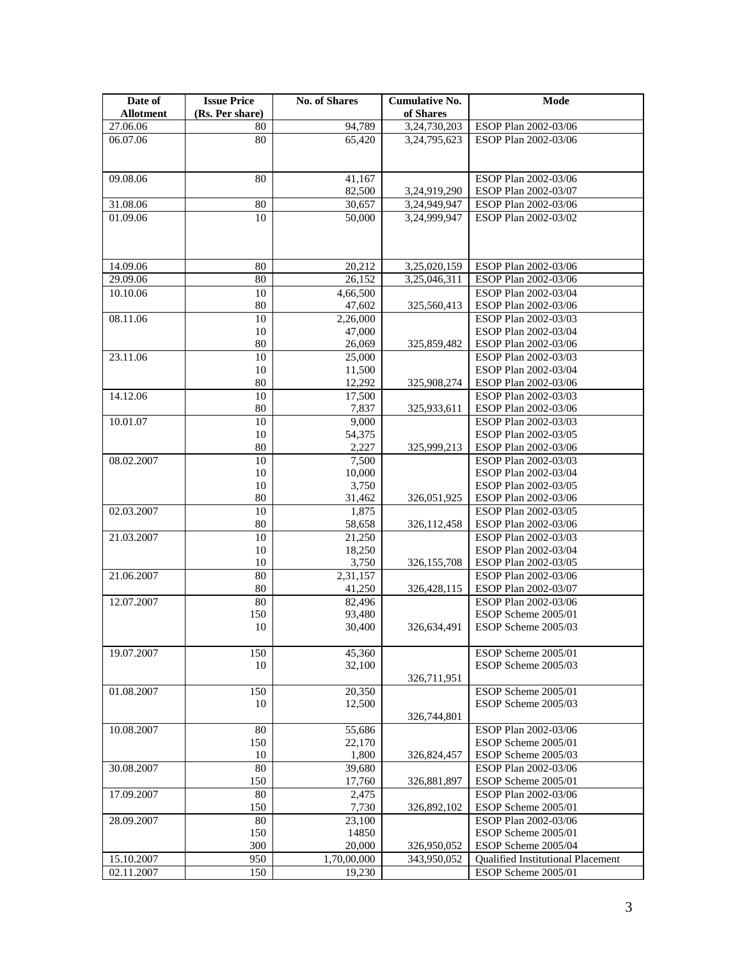| Date of<br><b>Allotment</b> | <b>Issue Price</b><br>(Rs. Per share) | <b>No. of Shares</b> | <b>Cumulative No.</b><br>of Shares | Mode                                         |
|-----------------------------|---------------------------------------|----------------------|------------------------------------|----------------------------------------------|
| 27.06.06                    | 80                                    | 94,789               | 3,24,730,203                       | ESOP Plan 2002-03/06                         |
| 06.07.06                    | 80                                    | 65,420               | 3,24,795,623                       | ESOP Plan 2002-03/06                         |
|                             |                                       |                      |                                    |                                              |
| 09.08.06                    | 80                                    | 41,167               |                                    | ESOP Plan 2002-03/06                         |
|                             |                                       | 82,500               | 3,24,919,290                       | ESOP Plan 2002-03/07                         |
| 31.08.06                    | 80                                    | 30,657               | 3,24,949,947                       | ESOP Plan 2002-03/06                         |
| 01.09.06                    | 10                                    | 50,000               | 3,24,999,947                       | ESOP Plan 2002-03/02                         |
|                             |                                       |                      |                                    |                                              |
|                             | 80                                    |                      |                                    |                                              |
| 14.09.06                    | 80                                    | 20,212               | 3,25,020,159<br>3,25,046,311       | ESOP Plan 2002-03/06                         |
| 29.09.06<br>10.10.06        | 10                                    | 26,152               |                                    | ESOP Plan 2002-03/06<br>ESOP Plan 2002-03/04 |
|                             | 80                                    | 4,66,500<br>47,602   | 325,560,413                        | ESOP Plan 2002-03/06                         |
| 08.11.06                    | 10                                    | 2,26,000             |                                    | ESOP Plan 2002-03/03                         |
|                             | 10                                    | 47,000               |                                    | ESOP Plan 2002-03/04                         |
|                             | 80                                    | 26,069               | 325,859,482                        | ESOP Plan 2002-03/06                         |
| 23.11.06                    | 10                                    | 25,000               |                                    | ESOP Plan 2002-03/03                         |
|                             | 10                                    | 11,500               |                                    | ESOP Plan 2002-03/04                         |
|                             | 80                                    | 12,292               | 325,908,274                        | ESOP Plan 2002-03/06                         |
| 14.12.06                    | 10                                    | 17,500               |                                    | ESOP Plan 2002-03/03                         |
|                             | 80                                    | 7,837                | 325,933,611                        | ESOP Plan 2002-03/06                         |
| 10.01.07                    | 10                                    | 9,000                |                                    | ESOP Plan 2002-03/03                         |
|                             | 10                                    | 54,375               |                                    | ESOP Plan 2002-03/05                         |
|                             | $80\,$                                | 2,227                | 325,999,213                        | ESOP Plan 2002-03/06                         |
| 08.02.2007                  | 10                                    | 7,500                |                                    | ESOP Plan 2002-03/03                         |
|                             | 10                                    | 10,000               |                                    | ESOP Plan 2002-03/04                         |
|                             | 10                                    | 3,750                |                                    | ESOP Plan 2002-03/05                         |
|                             | 80                                    | 31,462               | 326,051,925                        | ESOP Plan 2002-03/06                         |
| 02.03.2007                  | 10                                    | 1,875                |                                    | ESOP Plan 2002-03/05                         |
|                             | 80                                    | 58,658               | 326,112,458                        | ESOP Plan 2002-03/06                         |
| 21.03.2007                  | 10                                    | 21,250               |                                    | ESOP Plan 2002-03/03                         |
|                             | 10                                    | 18,250               |                                    | ESOP Plan 2002-03/04                         |
|                             | 10                                    | 3,750                | 326,155,708                        | ESOP Plan 2002-03/05                         |
| 21.06.2007                  | 80                                    | 2,31,157             |                                    | ESOP Plan 2002-03/06                         |
|                             | 80                                    | 41,250               | 326,428,115                        | ESOP Plan 2002-03/07                         |
| 12.07.2007                  | 80                                    | 82,496               |                                    | ESOP Plan 2002-03/06                         |
|                             | 150                                   | 93,480               |                                    | ESOP Scheme 2005/01                          |
|                             | 10                                    | 30,400               | 326,634,491                        | ESOP Scheme 2005/03                          |
| 19.07.2007                  | 150                                   | 45,360               |                                    | ESOP Scheme 2005/01                          |
|                             | 10                                    | 32,100               |                                    | ESOP Scheme 2005/03                          |
|                             |                                       |                      | 326,711,951                        |                                              |
| 01.08.2007                  | 150                                   | 20,350               |                                    | ESOP Scheme 2005/01                          |
|                             | 10                                    | 12,500               |                                    | ESOP Scheme 2005/03                          |
|                             |                                       |                      | 326,744,801                        |                                              |
| 10.08.2007                  | 80                                    | 55,686               |                                    | ESOP Plan 2002-03/06                         |
|                             | 150                                   | 22,170               |                                    | ESOP Scheme 2005/01                          |
|                             | 10                                    | 1,800                | 326,824,457                        | ESOP Scheme 2005/03                          |
| 30.08.2007                  | 80                                    | 39,680               |                                    | ESOP Plan 2002-03/06                         |
|                             | 150                                   | 17,760               | 326,881,897                        | ESOP Scheme 2005/01                          |
| 17.09.2007                  | 80                                    | 2,475                |                                    | ESOP Plan 2002-03/06                         |
|                             | 150                                   | 7,730                | 326,892,102                        | ESOP Scheme 2005/01                          |
| 28.09.2007                  | 80                                    | 23,100               |                                    | ESOP Plan 2002-03/06                         |
|                             | 150                                   | 14850                |                                    | ESOP Scheme 2005/01                          |
|                             | 300                                   | 20,000               | 326,950,052                        | ESOP Scheme 2005/04                          |
| 15.10.2007                  | 950                                   | 1,70,00,000          | 343,950,052                        | Qualified Institutional Placement            |
| 02.11.2007                  | 150                                   | 19,230               |                                    | ESOP Scheme 2005/01                          |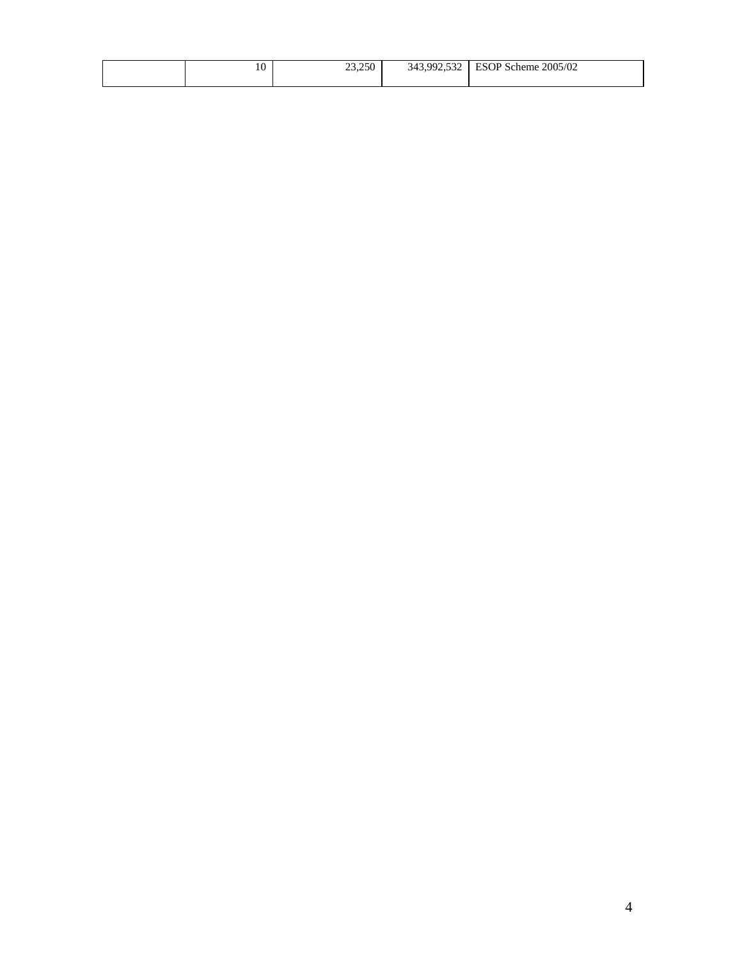| 10 | 23,250 | 992.532<br>343,9<br>ے رہی ہے ر | 2005/02<br>PQQDQ1<br><b>ESOP</b><br>' Scheme |
|----|--------|--------------------------------|----------------------------------------------|
|----|--------|--------------------------------|----------------------------------------------|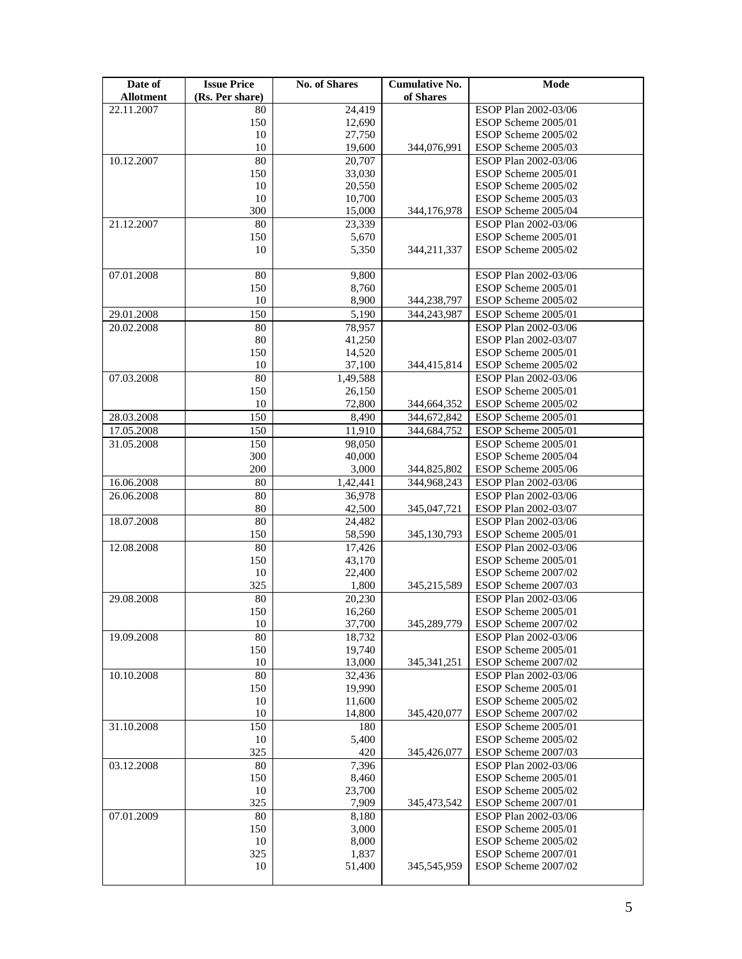| Date of                  | <b>Issue Price</b>    | <b>No. of Shares</b> | <b>Cumulative No.</b> | <b>Mode</b>                                  |
|--------------------------|-----------------------|----------------------|-----------------------|----------------------------------------------|
| <b>Allotment</b>         | (Rs. Per share)       |                      | of Shares             |                                              |
| 22.11.2007               | 80                    | 24,419               |                       | ESOP Plan 2002-03/06                         |
|                          | 150                   | 12,690               |                       | ESOP Scheme 2005/01                          |
|                          | 10                    | 27,750               |                       | ESOP Scheme 2005/02                          |
|                          | 10                    | 19,600               | 344,076,991           | ESOP Scheme 2005/03                          |
| 10.12.2007               | 80                    | 20,707               |                       | ESOP Plan 2002-03/06                         |
|                          | 150                   | 33,030               |                       | ESOP Scheme 2005/01<br>ESOP Scheme 2005/02   |
|                          | 10<br>10              | 20,550<br>10,700     |                       | ESOP Scheme 2005/03                          |
|                          | 300                   | 15,000               | 344,176,978           | ESOP Scheme 2005/04                          |
| 21.12.2007               | 80                    | 23,339               |                       | ESOP Plan 2002-03/06                         |
|                          | 150                   | 5,670                |                       | ESOP Scheme 2005/01                          |
|                          | 10                    | 5,350                | 344,211,337           | ESOP Scheme 2005/02                          |
|                          |                       |                      |                       |                                              |
| 07.01.2008               | 80                    | 9,800                |                       | ESOP Plan 2002-03/06                         |
|                          | 150                   | 8,760                |                       | ESOP Scheme 2005/01                          |
|                          | 10                    | 8,900                | 344,238,797           | ESOP Scheme 2005/02                          |
| 29.01.2008               | 150                   | 5,190                | 344,243,987           | ESOP Scheme 2005/01                          |
| 20.02.2008               | 80                    | 78,957               |                       | ESOP Plan 2002-03/06                         |
|                          | 80                    | 41,250               |                       | ESOP Plan 2002-03/07                         |
|                          | 150                   | 14,520               |                       | ESOP Scheme 2005/01                          |
|                          | 10                    | 37,100               | 344,415,814           | ESOP Scheme 2005/02                          |
| 07.03.2008               | 80                    | 1,49,588             |                       | ESOP Plan 2002-03/06                         |
|                          | 150                   | 26,150               |                       | ESOP Scheme 2005/01                          |
|                          | 10                    | 72,800               | 344,664,352           | ESOP Scheme 2005/02                          |
| 28.03.2008               | 150                   | 8,490                | 344,672,842           | ESOP Scheme 2005/01                          |
| 17.05.2008               | 150                   | 11,910               | 344,684,752           | ESOP Scheme 2005/01                          |
| 31.05.2008               | 150                   | 98,050               |                       | ESOP Scheme 2005/01                          |
|                          | 300                   | 40,000               |                       | ESOP Scheme 2005/04                          |
|                          | 200                   | 3,000                | 344,825,802           | ESOP Scheme 2005/06                          |
| 16.06.2008<br>26.06.2008 | 80<br>$\overline{80}$ | 1,42,441<br>36,978   | 344,968,243           | ESOP Plan 2002-03/06<br>ESOP Plan 2002-03/06 |
|                          | 80                    | 42,500               | 345,047,721           | ESOP Plan 2002-03/07                         |
| 18.07.2008               | $\overline{80}$       | 24,482               |                       | ESOP Plan 2002-03/06                         |
|                          | 150                   | 58,590               | 345,130,793           | ESOP Scheme 2005/01                          |
| 12.08.2008               | 80                    | 17,426               |                       | ESOP Plan 2002-03/06                         |
|                          | 150                   | 43,170               |                       | ESOP Scheme 2005/01                          |
|                          | 10                    | 22,400               |                       | ESOP Scheme 2007/02                          |
|                          | 325                   | 1,800                | 345,215,589           | ESOP Scheme 2007/03                          |
| 29.08.2008               | 80                    | 20,230               |                       | ESOP Plan 2002-03/06                         |
|                          | 150                   | 16,260               |                       | ESOP Scheme 2005/01                          |
|                          | 10                    | 37,700               | 345,289,779           | ESOP Scheme 2007/02                          |
| 19.09.2008               | 80                    | 18,732               |                       | ESOP Plan 2002-03/06                         |
|                          | 150                   | 19,740               |                       | ESOP Scheme 2005/01                          |
|                          | 10                    | 13,000               | 345, 341, 251         | ESOP Scheme 2007/02                          |
| 10.10.2008               | 80<br>150             | 32,436<br>19,990     |                       | ESOP Plan 2002-03/06<br>ESOP Scheme 2005/01  |
|                          | 10                    | 11,600               |                       | ESOP Scheme 2005/02                          |
|                          | 10                    | 14,800               | 345,420,077           | ESOP Scheme 2007/02                          |
| 31.10.2008               | 150                   | 180                  |                       | ESOP Scheme 2005/01                          |
|                          | 10                    | 5,400                |                       | ESOP Scheme 2005/02                          |
|                          | 325                   | 420                  | 345,426,077           | ESOP Scheme 2007/03                          |
| 03.12.2008               | 80                    | 7,396                |                       | ESOP Plan 2002-03/06                         |
|                          | 150                   | 8,460                |                       | ESOP Scheme 2005/01                          |
|                          | 10                    | 23,700               |                       | ESOP Scheme 2005/02                          |
|                          | 325                   | 7,909                | 345, 473, 542         | ESOP Scheme 2007/01                          |
| 07.01.2009               | 80                    | 8,180                |                       | ESOP Plan 2002-03/06                         |
|                          | 150                   | 3,000                |                       | ESOP Scheme 2005/01                          |
|                          | 10                    | 8,000                |                       | ESOP Scheme 2005/02                          |
|                          | 325                   | 1,837                |                       | ESOP Scheme 2007/01                          |
|                          | 10                    | 51,400               | 345,545,959           | ESOP Scheme 2007/02                          |
|                          |                       |                      |                       |                                              |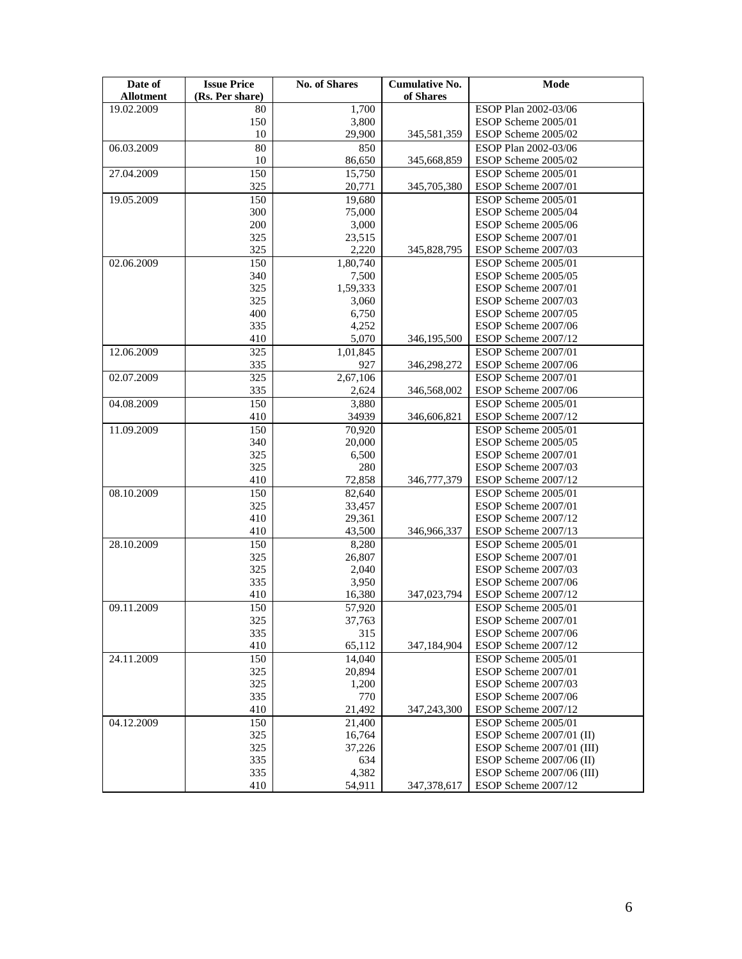| Date of<br><b>Allotment</b> | <b>Issue Price</b><br>(Rs. Per share) | <b>No. of Shares</b> | <b>Cumulative No.</b><br>of Shares | Mode                      |
|-----------------------------|---------------------------------------|----------------------|------------------------------------|---------------------------|
| 19.02.2009                  | 80                                    | 1,700                |                                    | ESOP Plan 2002-03/06      |
|                             | 150                                   | 3,800                |                                    | ESOP Scheme 2005/01       |
|                             | 10                                    | 29,900               | 345,581,359                        | ESOP Scheme 2005/02       |
| 06.03.2009                  | 80                                    | 850                  |                                    | ESOP Plan 2002-03/06      |
|                             | 10                                    | 86,650               | 345,668,859                        | ESOP Scheme 2005/02       |
| 27.04.2009                  | 150                                   | 15,750               |                                    | ESOP Scheme 2005/01       |
|                             | 325                                   | 20,771               | 345,705,380                        | ESOP Scheme 2007/01       |
| 19.05.2009                  | 150                                   | 19,680               |                                    | ESOP Scheme 2005/01       |
|                             | 300                                   | 75,000               |                                    | ESOP Scheme 2005/04       |
|                             | 200                                   | 3,000                |                                    | ESOP Scheme 2005/06       |
|                             | 325                                   | 23,515               |                                    | ESOP Scheme 2007/01       |
|                             | 325                                   | 2,220                | 345,828,795                        | ESOP Scheme 2007/03       |
| 02.06.2009                  | 150                                   | 1,80,740             |                                    | ESOP Scheme 2005/01       |
|                             | 340                                   | 7,500                |                                    | ESOP Scheme 2005/05       |
|                             | 325                                   | 1,59,333             |                                    | ESOP Scheme 2007/01       |
|                             | 325                                   | 3,060                |                                    | ESOP Scheme 2007/03       |
|                             | 400                                   | 6,750                |                                    | ESOP Scheme 2007/05       |
|                             | 335                                   | 4,252                |                                    | ESOP Scheme 2007/06       |
|                             | 410                                   | 5,070                | 346,195,500                        | ESOP Scheme 2007/12       |
| 12.06.2009                  | 325                                   | 1,01,845             |                                    | ESOP Scheme 2007/01       |
|                             | 335                                   | 927                  | 346,298,272                        | ESOP Scheme 2007/06       |
| 02.07.2009                  | 325                                   | 2,67,106             |                                    | ESOP Scheme 2007/01       |
|                             | 335                                   | 2,624                | 346,568,002                        | ESOP Scheme 2007/06       |
| 04.08.2009                  | 150                                   | 3,880                |                                    | ESOP Scheme 2005/01       |
|                             | 410                                   | 34939                | 346,606,821                        | ESOP Scheme 2007/12       |
| 11.09.2009                  | 150                                   | 70,920               |                                    | ESOP Scheme 2005/01       |
|                             | 340                                   | 20,000               |                                    | ESOP Scheme 2005/05       |
|                             | 325                                   | 6,500                |                                    | ESOP Scheme 2007/01       |
|                             | 325                                   | 280                  |                                    | ESOP Scheme 2007/03       |
|                             | 410                                   | 72,858               | 346,777,379                        | ESOP Scheme 2007/12       |
| 08.10.2009                  | 150                                   | 82,640               |                                    | ESOP Scheme 2005/01       |
|                             | 325                                   | 33,457               |                                    | ESOP Scheme 2007/01       |
|                             | 410                                   | 29,361               |                                    | ESOP Scheme 2007/12       |
|                             | 410                                   | 43,500               | 346,966,337                        | ESOP Scheme 2007/13       |
| 28.10.2009                  | 150                                   | 8,280                |                                    | ESOP Scheme 2005/01       |
|                             | 325                                   | 26,807               |                                    | ESOP Scheme 2007/01       |
|                             | 325                                   | 2,040                |                                    | ESOP Scheme 2007/03       |
|                             | 335                                   | 3,950                |                                    | ESOP Scheme 2007/06       |
|                             | 410                                   | 16,380               | 347,023,794                        | ESOP Scheme 2007/12       |
| 09.11.2009                  | 150                                   | 57,920               |                                    | ESOP Scheme 2005/01       |
|                             | 325                                   | 37,763               |                                    | ESOP Scheme 2007/01       |
|                             | 335                                   | 315                  |                                    | ESOP Scheme 2007/06       |
|                             | 410                                   | 65,112               | 347,184,904                        | ESOP Scheme 2007/12       |
| 24.11.2009                  | 150                                   | 14,040               |                                    | ESOP Scheme 2005/01       |
|                             | 325                                   | 20,894               |                                    | ESOP Scheme 2007/01       |
|                             | 325                                   | 1,200                |                                    | ESOP Scheme 2007/03       |
|                             | 335                                   | 770                  |                                    | ESOP Scheme 2007/06       |
|                             | 410                                   | 21,492               | 347,243,300                        | ESOP Scheme 2007/12       |
| 04.12.2009                  | 150                                   | 21,400               |                                    | ESOP Scheme 2005/01       |
|                             | 325                                   | 16,764               |                                    | ESOP Scheme 2007/01 (II)  |
|                             | 325                                   | 37,226               |                                    | ESOP Scheme 2007/01 (III) |
|                             | 335                                   | 634                  |                                    | ESOP Scheme 2007/06 (II)  |
|                             | 335                                   | 4,382                |                                    | ESOP Scheme 2007/06 (III) |
|                             | 410                                   | 54,911               | 347, 378, 617                      | ESOP Scheme 2007/12       |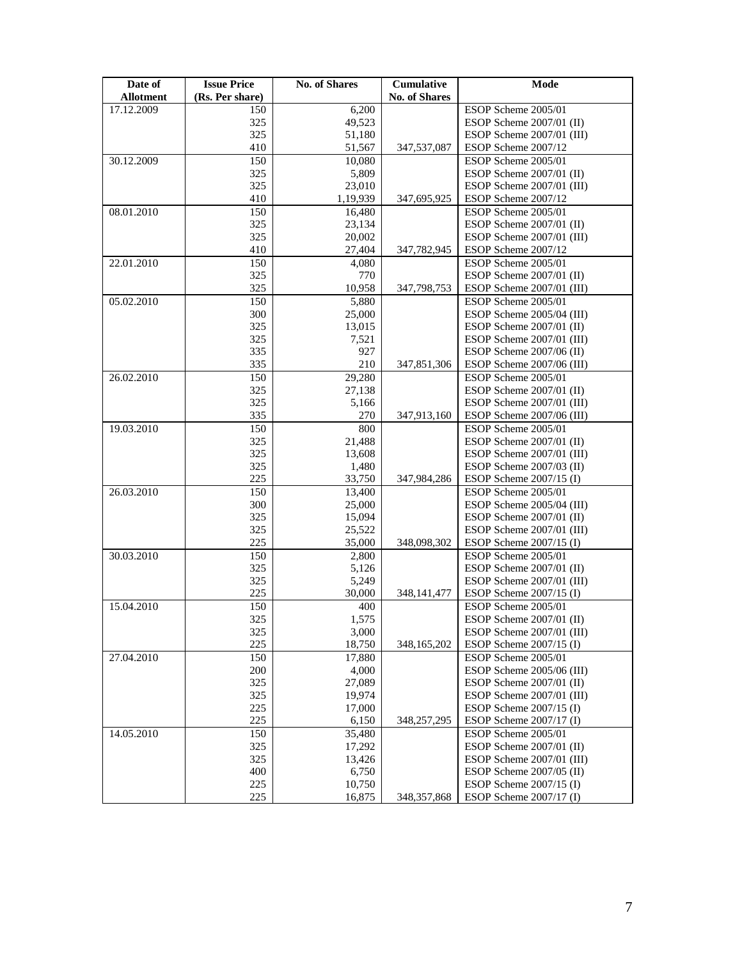| Date of          | <b>Issue Price</b> | <b>No. of Shares</b> | Cumulative           | Mode                                             |
|------------------|--------------------|----------------------|----------------------|--------------------------------------------------|
| <b>Allotment</b> | (Rs. Per share)    |                      | <b>No. of Shares</b> |                                                  |
| 17.12.2009       | 150                | 6,200                |                      | ESOP Scheme 2005/01                              |
|                  | 325                | 49,523               |                      | ESOP Scheme 2007/01 (II)                         |
|                  | 325                | 51,180               |                      | ESOP Scheme 2007/01 (III)                        |
|                  | 410                | 51,567               | 347,537,087          | ESOP Scheme 2007/12                              |
| 30.12.2009       | 150                | 10,080               |                      | ESOP Scheme 2005/01                              |
|                  | 325                | 5,809                |                      | ESOP Scheme 2007/01 (II)                         |
|                  | 325                | 23,010               |                      | ESOP Scheme 2007/01 (III)                        |
|                  | 410                | 1,19,939             | 347,695,925          | ESOP Scheme 2007/12                              |
| 08.01.2010       | 150<br>325         | 16,480<br>23,134     |                      | ESOP Scheme 2005/01<br>ESOP Scheme 2007/01 (II)  |
|                  | 325                | 20,002               |                      | ESOP Scheme 2007/01 (III)                        |
|                  | 410                | 27,404               | 347,782,945          | ESOP Scheme 2007/12                              |
| 22.01.2010       | 150                | 4,080                |                      | ESOP Scheme 2005/01                              |
|                  | 325                | 770                  |                      | ESOP Scheme 2007/01 (II)                         |
|                  | 325                | 10,958               | 347,798,753          | ESOP Scheme 2007/01 (III)                        |
| 05.02.2010       | 150                | 5,880                |                      | ESOP Scheme 2005/01                              |
|                  | 300                | 25,000               |                      | ESOP Scheme 2005/04 (III)                        |
|                  | 325                | 13,015               |                      | ESOP Scheme 2007/01 (II)                         |
|                  | 325                | 7,521                |                      | ESOP Scheme 2007/01 (III)                        |
|                  | 335                | 927                  |                      | ESOP Scheme 2007/06 (II)                         |
|                  | 335                | 210                  | 347,851,306          | ESOP Scheme 2007/06 (III)                        |
| 26.02.2010       | 150                | 29,280               |                      | ESOP Scheme 2005/01                              |
|                  | 325                | 27,138               |                      | ESOP Scheme 2007/01 (II)                         |
|                  | 325                | 5,166                |                      | ESOP Scheme 2007/01 (III)                        |
|                  | 335                | 270                  | 347,913,160          | ESOP Scheme 2007/06 (III)                        |
| 19.03.2010       | 150                | 800                  |                      | ESOP Scheme 2005/01                              |
|                  | 325                | 21,488               |                      | ESOP Scheme 2007/01 (II)                         |
|                  | 325                | 13,608               |                      | ESOP Scheme 2007/01 (III)                        |
|                  | 325                | 1,480                |                      | ESOP Scheme $2007/03$ (II)                       |
|                  | 225                | 33,750               | 347,984,286          | ESOP Scheme $2007/15$ (I)                        |
| 26.03.2010       | 150                | 13,400               |                      | ESOP Scheme 2005/01                              |
|                  | 300                | 25,000               |                      | ESOP Scheme 2005/04 (III)                        |
|                  | 325                | 15,094               |                      | ESOP Scheme $2007/01$ (II)                       |
|                  | 325<br>225         | 25,522               |                      | ESOP Scheme 2007/01 (III)                        |
| 30.03.2010       | 150                | 35,000<br>2,800      | 348,098,302          | ESOP Scheme $2007/15$ (I)<br>ESOP Scheme 2005/01 |
|                  | 325                | 5,126                |                      | ESOP Scheme 2007/01 (II)                         |
|                  | 325                | 5,249                |                      | ESOP Scheme 2007/01 (III)                        |
|                  | 225                | 30,000               | 348, 141, 477        | ESOP Scheme $2007/15$ (I)                        |
| 15.04.2010       | 150                | 400                  |                      | ESOP Scheme 2005/01                              |
|                  | 325                | 1,575                |                      | ESOP Scheme 2007/01 (II)                         |
|                  | 325                | 3,000                |                      | ESOP Scheme 2007/01 (III)                        |
|                  | 225                | 18,750               | 348,165,202          | ESOP Scheme $2007/15$ (I)                        |
| 27.04.2010       | 150                | 17,880               |                      | ESOP Scheme 2005/01                              |
|                  | 200                | 4,000                |                      | ESOP Scheme 2005/06 (III)                        |
|                  | 325                | 27,089               |                      | ESOP Scheme 2007/01 (II)                         |
|                  | 325                | 19,974               |                      | ESOP Scheme 2007/01 (III)                        |
|                  | 225                | 17,000               |                      | ESOP Scheme $2007/15$ (I)                        |
|                  | 225                | 6,150                | 348,257,295          | ESOP Scheme 2007/17 (I)                          |
| 14.05.2010       | 150                | 35,480               |                      | ESOP Scheme 2005/01                              |
|                  | 325                | 17,292               |                      | ESOP Scheme 2007/01 (II)                         |
|                  | 325                | 13,426               |                      | ESOP Scheme 2007/01 (III)                        |
|                  | 400                | 6,750                |                      | ESOP Scheme 2007/05 (II)                         |
|                  | 225                | 10,750               |                      | ESOP Scheme $2007/15$ (I)                        |
|                  | 225                | 16,875               | 348, 357, 868        | ESOP Scheme 2007/17 (I)                          |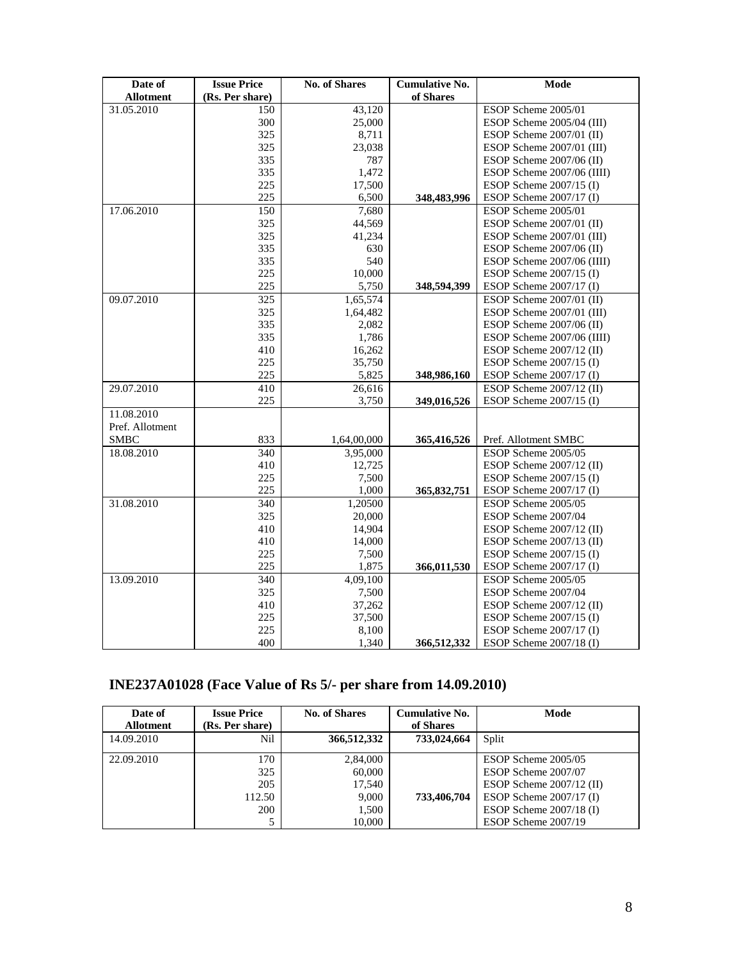| Date of          | <b>Issue Price</b> | <b>No. of Shares</b> | <b>Cumulative No.</b> | Mode                       |
|------------------|--------------------|----------------------|-----------------------|----------------------------|
| <b>Allotment</b> | (Rs. Per share)    |                      | of Shares             |                            |
| 31.05.2010       | 150                | 43,120               |                       | ESOP Scheme 2005/01        |
|                  | 300                | 25,000               |                       | ESOP Scheme 2005/04 (III)  |
|                  | 325                | 8,711                |                       | ESOP Scheme $2007/01$ (II) |
|                  | 325                | 23,038               |                       | ESOP Scheme 2007/01 (III)  |
|                  | 335                | 787                  |                       | ESOP Scheme 2007/06 (II)   |
|                  | 335                | 1,472                |                       | ESOP Scheme 2007/06 (IIII) |
|                  | 225                | 17,500               |                       | ESOP Scheme 2007/15 (I)    |
|                  | 225                | 6,500                | 348,483,996           | ESOP Scheme 2007/17 (I)    |
| 17.06.2010       | 150                | 7,680                |                       | ESOP Scheme 2005/01        |
|                  | 325                | 44,569               |                       | ESOP Scheme 2007/01 (II)   |
|                  | 325                | 41,234               |                       | ESOP Scheme 2007/01 (III)  |
|                  | 335                | 630                  |                       | ESOP Scheme 2007/06 (II)   |
|                  | 335                | 540                  |                       | ESOP Scheme 2007/06 (IIII) |
|                  | 225                | 10,000               |                       | ESOP Scheme $2007/15$ (I)  |
|                  | 225                | 5,750                | 348,594,399           | ESOP Scheme 2007/17 (I)    |
| 09.07.2010       | 325                | 1,65,574             |                       | ESOP Scheme 2007/01 (II)   |
|                  | 325                | 1,64,482             |                       | ESOP Scheme 2007/01 (III)  |
|                  | 335                | 2,082                |                       | ESOP Scheme $2007/06$ (II) |
|                  | 335                | 1,786                |                       | ESOP Scheme 2007/06 (IIII) |
|                  | 410                | 16,262               |                       | ESOP Scheme $2007/12$ (II) |
|                  | 225                | 35,750               |                       | ESOP Scheme 2007/15 (I)    |
|                  | 225                | 5,825                | 348,986,160           | ESOP Scheme 2007/17 (I)    |
| 29.07.2010       | 410                | 26,616               |                       | ESOP Scheme $2007/12$ (II) |
|                  | 225                | 3,750                | 349,016,526           | ESOP Scheme 2007/15 (I)    |
| 11.08.2010       |                    |                      |                       |                            |
| Pref. Allotment  |                    |                      |                       |                            |
| <b>SMBC</b>      | 833                | 1,64,00,000          | 365,416,526           | Pref. Allotment SMBC       |
| 18.08.2010       | 340                | 3,95,000             |                       | ESOP Scheme 2005/05        |
|                  | 410                | 12,725               |                       | ESOP Scheme 2007/12 (II)   |
|                  | 225                | 7,500                |                       | ESOP Scheme 2007/15 (I)    |
|                  | 225                | 1,000                | 365,832,751           | ESOP Scheme 2007/17 (I)    |
| 31.08.2010       | 340                | 1.20500              |                       | ESOP Scheme 2005/05        |
|                  | 325                | 20,000               |                       | ESOP Scheme 2007/04        |
|                  | 410                | 14,904               |                       | ESOP Scheme $2007/12$ (II) |
|                  | 410                | 14,000               |                       | ESOP Scheme 2007/13 (II)   |
|                  | 225                | 7,500                |                       | ESOP Scheme 2007/15 (I)    |
|                  | 225                | 1,875                | 366,011,530           | ESOP Scheme 2007/17 (I)    |
| 13.09.2010       | 340                | 4,09,100             |                       | ESOP Scheme 2005/05        |
|                  | 325                | 7,500                |                       | ESOP Scheme 2007/04        |
|                  | 410                | 37,262               |                       | ESOP Scheme $2007/12$ (II) |
|                  | 225                | 37,500               |                       | ESOP Scheme 2007/15 (I)    |
|                  | 225                | 8,100                |                       | ESOP Scheme 2007/17 (I)    |
|                  | 400                | 1,340                | 366,512,332           | ESOP Scheme 2007/18 (I)    |

# **INE237A01028 (Face Value of Rs 5/- per share from 14.09.2010)**

| Date of<br><b>Allotment</b> | <b>Issue Price</b><br>(Rs. Per share) | <b>No. of Shares</b>                  | <b>Cumulative No.</b><br>of Shares | Mode                                                                                                  |
|-----------------------------|---------------------------------------|---------------------------------------|------------------------------------|-------------------------------------------------------------------------------------------------------|
| 14.09.2010                  | Nil                                   | 366,512,332                           | 733,024,664                        | Split                                                                                                 |
| 22.09.2010                  | 170<br>325<br>205<br>112.50           | 2,84,000<br>60,000<br>17,540<br>9,000 | 733,406,704                        | ESOP Scheme 2005/05<br>ESOP Scheme 2007/07<br>ESOP Scheme $2007/12$ (II)<br>ESOP Scheme $2007/17$ (I) |
|                             | 200                                   | 1,500<br>10,000                       |                                    | ESOP Scheme $2007/18$ (I)<br>ESOP Scheme 2007/19                                                      |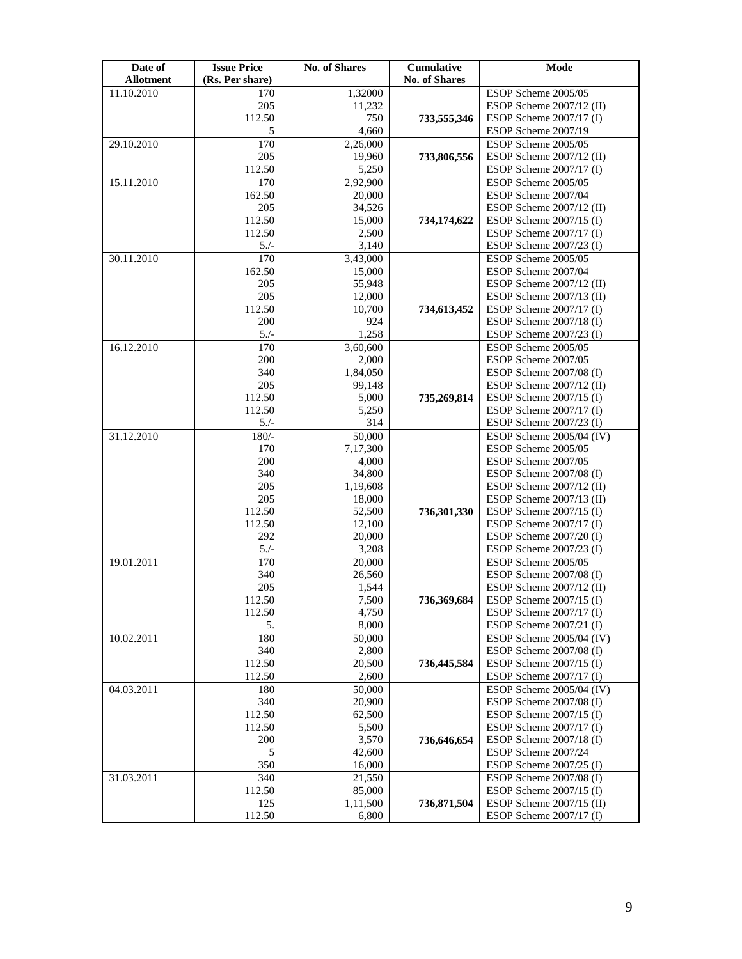| Date of          | <b>Issue Price</b> | <b>No. of Shares</b> | Cumulative           | Mode                                                 |
|------------------|--------------------|----------------------|----------------------|------------------------------------------------------|
| <b>Allotment</b> | (Rs. Per share)    |                      | <b>No. of Shares</b> |                                                      |
| 11.10.2010       | 170                | 1,32000              |                      | ESOP Scheme 2005/05                                  |
|                  | 205                | 11,232               |                      | ESOP Scheme 2007/12 (II)                             |
|                  | 112.50             | 750                  | 733,555,346          | ESOP Scheme 2007/17 (I)                              |
|                  | 5                  | 4,660                |                      | ESOP Scheme 2007/19                                  |
| 29.10.2010       | 170                | 2,26,000             |                      | ESOP Scheme 2005/05                                  |
|                  | 205                | 19,960               | 733,806,556          | ESOP Scheme 2007/12 (II)                             |
| 15.11.2010       | 112.50             | 5,250                |                      | ESOP Scheme $2007/17$ (I)                            |
|                  | 170                | 2,92,900             |                      | ESOP Scheme 2005/05<br>ESOP Scheme 2007/04           |
|                  | 162.50             | 20,000               |                      | ESOP Scheme 2007/12 (II)                             |
|                  | 205<br>112.50      | 34,526<br>15,000     | 734,174,622          | ESOP Scheme $2007/15$ (I)                            |
|                  | 112.50             | 2,500                |                      | ESOP Scheme 2007/17 (I)                              |
|                  | $5./-$             | 3,140                |                      | ESOP Scheme $2007/23$ (I)                            |
| 30.11.2010       | 170                | 3,43,000             |                      | ESOP Scheme 2005/05                                  |
|                  | 162.50             | 15,000               |                      | ESOP Scheme 2007/04                                  |
|                  | 205                | 55,948               |                      | ESOP Scheme 2007/12 (II)                             |
|                  | 205                | 12,000               |                      | ESOP Scheme 2007/13 (II)                             |
|                  | 112.50             | 10,700               | 734,613,452          | ESOP Scheme $2007/17$ (I)                            |
|                  | 200                | 924                  |                      | ESOP Scheme 2007/18 (I)                              |
|                  | $5/-$              | 1,258                |                      | ESOP Scheme 2007/23 (I)                              |
| 16.12.2010       | 170                | 3,60,600             |                      | ESOP Scheme 2005/05                                  |
|                  | 200                | 2,000                |                      | ESOP Scheme 2007/05                                  |
|                  | 340                | 1,84,050             |                      | ESOP Scheme 2007/08 (I)                              |
|                  | 205                | 99,148               |                      | ESOP Scheme 2007/12 (II)                             |
|                  | 112.50             | 5,000                | 735,269,814          | ESOP Scheme $2007/15$ (I)                            |
|                  | 112.50             | 5,250                |                      | ESOP Scheme 2007/17 (I)                              |
|                  | $5./-$             | 314                  |                      | ESOP Scheme $2007/23$ (I)                            |
| 31.12.2010       | $180/-$            | 50,000               |                      | ESOP Scheme 2005/04 (IV)                             |
|                  | 170                | 7,17,300             |                      | ESOP Scheme 2005/05                                  |
|                  | 200                | 4,000                |                      | ESOP Scheme 2007/05                                  |
|                  | 340                | 34,800               |                      | ESOP Scheme $2007/08$ (I)                            |
|                  | 205                | 1,19,608             |                      | ESOP Scheme 2007/12 (II)                             |
|                  | 205                | 18,000               |                      | ESOP Scheme 2007/13 (II)                             |
|                  | 112.50             | 52,500               | 736,301,330          | ESOP Scheme $2007/15$ (I)                            |
|                  | 112.50             | 12,100               |                      | ESOP Scheme 2007/17 (I)                              |
|                  | 292                | 20,000               |                      | ESOP Scheme $2007/20$ (I)                            |
|                  | $5. / -$           | 3,208                |                      | ESOP Scheme 2007/23 (I)                              |
| 19.01.2011       | 170                | 20,000               |                      | ESOP Scheme 2005/05                                  |
|                  | 340                | 26,560               |                      | ESOP Scheme 2007/08 (I)                              |
|                  | 205                | 1,544                |                      | ESOP Scheme 2007/12 (II)                             |
|                  | 112.50             | 7,500                | 736,369,684          | ESOP Scheme 2007/15 (I)                              |
|                  | 112.50             | 4,750                |                      | ESOP Scheme $2007/17$ (I)                            |
|                  | 5.                 | 8,000                |                      | ESOP Scheme 2007/21 (I)<br>ESOP Scheme 2005/04 (IV)  |
| 10.02.2011       | 180                | 50,000               |                      |                                                      |
|                  | 340<br>112.50      | 2,800<br>20,500      | 736,445,584          | ESOP Scheme 2007/08 (I)<br>ESOP Scheme $2007/15$ (I) |
|                  | 112.50             | 2,600                |                      | ESOP Scheme $2007/17$ (I)                            |
| 04.03.2011       | 180                | 50,000               |                      | ESOP Scheme 2005/04 (IV)                             |
|                  | 340                | 20,900               |                      | ESOP Scheme 2007/08 (I)                              |
|                  | 112.50             | 62,500               |                      | ESOP Scheme 2007/15 (I)                              |
|                  | 112.50             | 5,500                |                      | ESOP Scheme 2007/17 (I)                              |
|                  | 200                | 3,570                | 736,646,654          | ESOP Scheme 2007/18 (I)                              |
|                  | 5                  | 42,600               |                      | ESOP Scheme 2007/24                                  |
|                  | 350                | 16,000               |                      | ESOP Scheme $2007/25$ (I)                            |
| 31.03.2011       | 340                | 21,550               |                      | ESOP Scheme 2007/08 (I)                              |
|                  | 112.50             | 85,000               |                      | ESOP Scheme 2007/15 (I)                              |
|                  | 125                | 1,11,500             | 736,871,504          | ESOP Scheme 2007/15 (II)                             |
|                  | 112.50             | 6,800                |                      | ESOP Scheme 2007/17 (I)                              |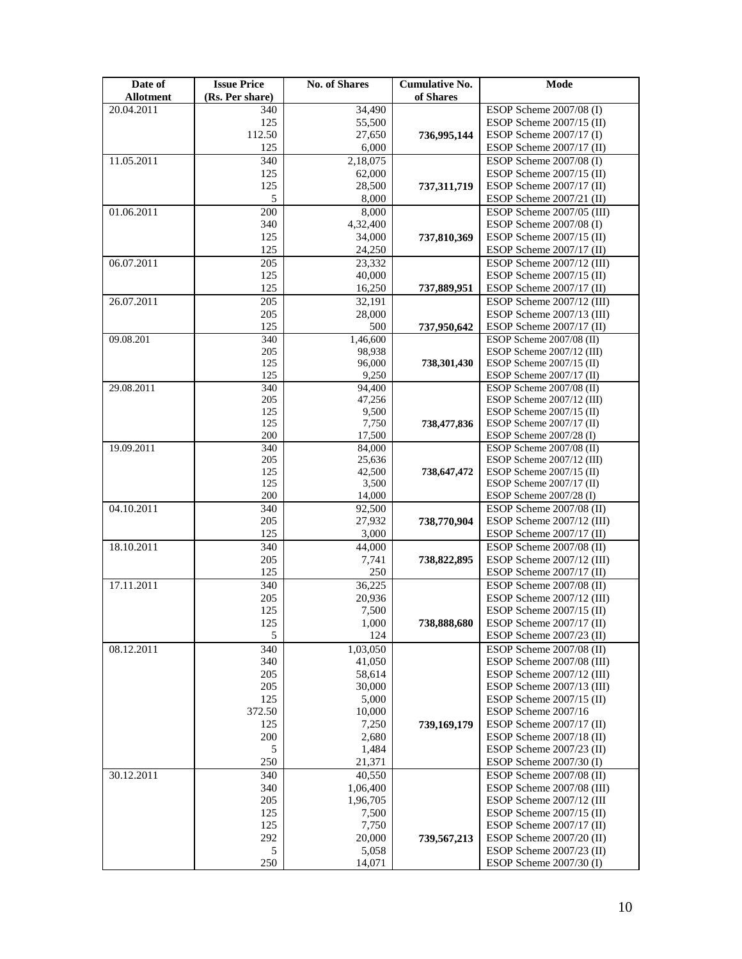| Date of<br><b>Allotment</b> | <b>Issue Price</b><br>(Rs. Per share) | <b>No. of Shares</b> | <b>Cumulative No.</b><br>of Shares | Mode                       |
|-----------------------------|---------------------------------------|----------------------|------------------------------------|----------------------------|
|                             |                                       |                      |                                    |                            |
| 20.04.2011                  | 340                                   | 34,490               |                                    | ESOP Scheme 2007/08 (I)    |
|                             | 125                                   | 55,500               |                                    | ESOP Scheme 2007/15 (II)   |
|                             | 112.50                                | 27,650               | 736,995,144                        | ESOP Scheme 2007/17 (I)    |
|                             | 125                                   | 6,000                |                                    | ESOP Scheme 2007/17 (II)   |
| 11.05.2011                  | 340                                   | 2,18,075             |                                    | ESOP Scheme 2007/08 (I)    |
|                             | 125                                   | 62,000               |                                    | ESOP Scheme 2007/15 (II)   |
|                             | 125                                   | 28,500               | 737,311,719                        | ESOP Scheme 2007/17 (II)   |
|                             | 5                                     | 8,000                |                                    | ESOP Scheme 2007/21 (II)   |
| 01.06.2011                  | 200                                   | 8,000                |                                    | ESOP Scheme 2007/05 (III)  |
|                             | 340                                   | 4,32,400             |                                    | ESOP Scheme $2007/08$ (I)  |
|                             |                                       |                      |                                    |                            |
|                             | 125                                   | 34,000               | 737,810,369                        | ESOP Scheme 2007/15 (II)   |
|                             | 125                                   | 24,250               |                                    | ESOP Scheme 2007/17 (II)   |
| 06.07.2011                  | $\overline{205}$                      | 23,332               |                                    | ESOP Scheme 2007/12 (III)  |
|                             | 125                                   | 40,000               |                                    | ESOP Scheme $2007/15$ (II) |
|                             | 125                                   | 16,250               | 737,889,951                        | ESOP Scheme 2007/17 (II)   |
| 26.07.2011                  | 205                                   | 32,191               |                                    | ESOP Scheme 2007/12 (III)  |
|                             | 205                                   | 28,000               |                                    | ESOP Scheme 2007/13 (III)  |
|                             | 125                                   | 500                  | 737,950,642                        | ESOP Scheme 2007/17 (II)   |
| 09.08.201                   | 340                                   | 1,46,600             |                                    | ESOP Scheme 2007/08 (II)   |
|                             | 205                                   | 98,938               |                                    | ESOP Scheme 2007/12 (III)  |
|                             | 125                                   | 96,000               | 738.301.430                        | ESOP Scheme $2007/15$ (II) |
|                             | 125                                   | 9,250                |                                    | ESOP Scheme 2007/17 (II)   |
| 29.08.2011                  | 340                                   | 94,400               |                                    | ESOP Scheme 2007/08 (II)   |
|                             | 205                                   | 47,256               |                                    | ESOP Scheme 2007/12 (III)  |
|                             | 125                                   | 9,500                |                                    | ESOP Scheme $2007/15$ (II) |
|                             | 125                                   | 7,750                | 738,477,836                        | ESOP Scheme 2007/17 (II)   |
|                             | 200                                   | 17,500               |                                    | ESOP Scheme 2007/28 (I)    |
| 19.09.2011                  | 340                                   | 84,000               |                                    | ESOP Scheme 2007/08 (II)   |
|                             | 205                                   | 25,636               |                                    | ESOP Scheme 2007/12 (III)  |
|                             | 125                                   | 42,500               | 738,647,472                        | ESOP Scheme $2007/15$ (II) |
|                             | 125                                   | 3,500                |                                    | ESOP Scheme 2007/17 (II)   |
|                             | 200                                   | 14,000               |                                    | ESOP Scheme 2007/28 (I)    |
| 04.10.2011                  | 340                                   | 92,500               |                                    | ESOP Scheme 2007/08 (II)   |
|                             |                                       |                      |                                    |                            |
|                             | 205                                   | 27,932               | 738,770,904                        | ESOP Scheme 2007/12 (III)  |
|                             | 125                                   | 3,000                |                                    | ESOP Scheme 2007/17 (II)   |
| 18.10.2011                  | 340                                   | 44,000               |                                    | ESOP Scheme 2007/08 (II)   |
|                             | 205                                   | 7,741                | 738,822,895                        | ESOP Scheme 2007/12 (III)  |
|                             | 125                                   | 250                  |                                    | ESOP Scheme $2007/17$ (II) |
| 17.11.2011                  | 340                                   | 36,225               |                                    | ESOP Scheme 2007/08 (II)   |
|                             | 205                                   | 20,936               |                                    | ESOP Scheme 2007/12 (III)  |
|                             | 125                                   | 7,500                |                                    | ESOP Scheme 2007/15 (II)   |
|                             | 125                                   | 1,000                | 738,888,680                        | ESOP Scheme 2007/17 (II)   |
|                             | 5                                     | 124                  |                                    | ESOP Scheme 2007/23 (II)   |
| 08.12.2011                  | 340                                   | 1,03,050             |                                    | ESOP Scheme 2007/08 (II)   |
|                             | 340                                   | 41,050               |                                    | ESOP Scheme 2007/08 (III)  |
|                             | 205                                   | 58,614               |                                    | ESOP Scheme 2007/12 (III)  |
|                             |                                       |                      |                                    |                            |
|                             | 205                                   | 30,000               |                                    | ESOP Scheme 2007/13 (III)  |
|                             | 125                                   | 5,000                |                                    | ESOP Scheme $2007/15$ (II) |
|                             | 372.50                                | 10,000               |                                    | ESOP Scheme 2007/16        |
|                             | 125                                   | 7,250                | 739,169,179                        | ESOP Scheme 2007/17 (II)   |
|                             | 200                                   | 2,680                |                                    | ESOP Scheme 2007/18 (II)   |
|                             | 5                                     | 1,484                |                                    | ESOP Scheme 2007/23 (II)   |
|                             | 250                                   | 21,371               |                                    | ESOP Scheme $2007/30$ (I)  |
| 30.12.2011                  | 340                                   | 40,550               |                                    | ESOP Scheme 2007/08 (II)   |
|                             | 340                                   | 1,06,400             |                                    | ESOP Scheme 2007/08 (III)  |
|                             | 205                                   | 1,96,705             |                                    | ESOP Scheme 2007/12 (III   |
|                             | 125                                   | 7,500                |                                    | ESOP Scheme $2007/15$ (II) |
|                             | 125                                   | 7,750                |                                    | ESOP Scheme 2007/17 (II)   |
|                             | 292                                   | 20,000               | 739,567,213                        | ESOP Scheme 2007/20 (II)   |
|                             | 5                                     | 5,058                |                                    | ESOP Scheme $2007/23$ (II) |
|                             | 250                                   | 14,071               |                                    | ESOP Scheme 2007/30 (I)    |
|                             |                                       |                      |                                    |                            |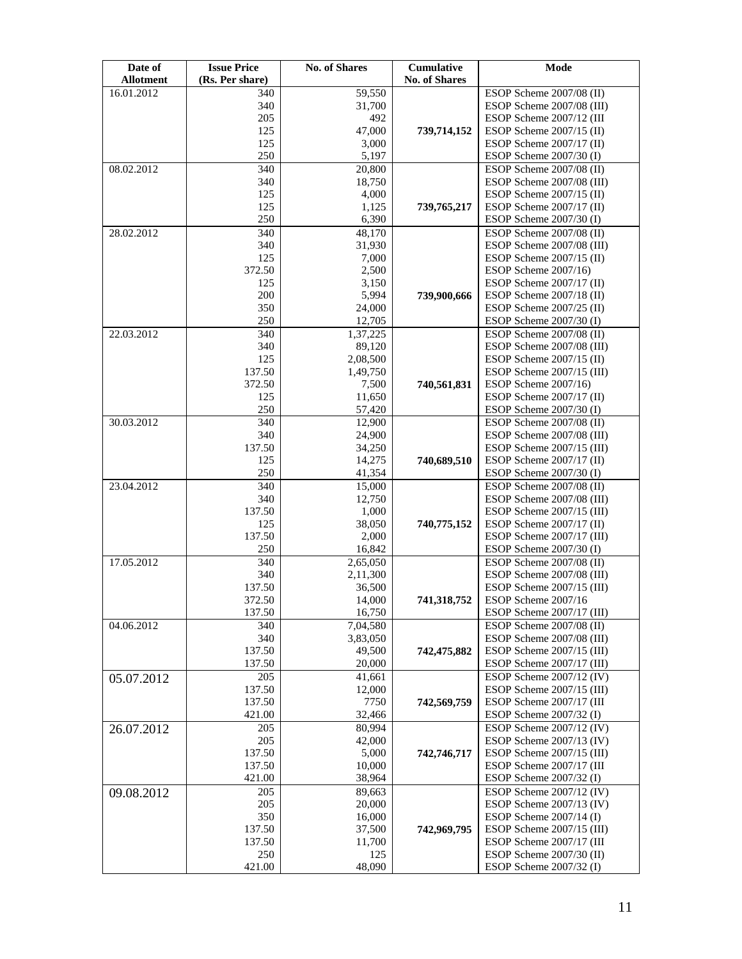| Date of<br><b>Allotment</b> | <b>Issue Price</b><br>(Rs. Per share) | <b>No. of Shares</b> | Cumulative<br><b>No. of Shares</b> | Mode                      |
|-----------------------------|---------------------------------------|----------------------|------------------------------------|---------------------------|
| 16.01.2012                  | 340                                   | 59,550               |                                    | ESOP Scheme 2007/08 (II)  |
|                             | 340                                   | 31,700               |                                    | ESOP Scheme 2007/08 (III) |
|                             | 205                                   | 492                  |                                    | ESOP Scheme 2007/12 (III) |
|                             | 125                                   | 47,000               | 739,714,152                        | ESOP Scheme 2007/15 (II)  |
|                             | 125                                   | 3,000                |                                    | ESOP Scheme 2007/17 (II)  |
|                             | 250                                   | 5,197                |                                    | ESOP Scheme 2007/30 (I)   |
| 08.02.2012                  | 340                                   | 20,800               |                                    | ESOP Scheme 2007/08 (II)  |
|                             | 340                                   | 18,750               |                                    | ESOP Scheme 2007/08 (III) |
|                             | 125                                   | 4,000                |                                    | ESOP Scheme 2007/15 (II)  |
|                             | 125                                   | 1,125                | 739,765,217                        | ESOP Scheme 2007/17 (II)  |
|                             | 250                                   | 6,390                |                                    | ESOP Scheme 2007/30 (I)   |
| 28.02.2012                  | 340                                   | 48,170               |                                    | ESOP Scheme 2007/08 (II)  |
|                             | 340                                   | 31,930               |                                    | ESOP Scheme 2007/08 (III) |
|                             | 125                                   | 7,000                |                                    | ESOP Scheme 2007/15 (II)  |
|                             | 372.50                                | 2,500                |                                    | ESOP Scheme 2007/16)      |
|                             | 125                                   | 3,150                |                                    | ESOP Scheme 2007/17 (II)  |
|                             | 200                                   | 5,994                | 739,900,666                        | ESOP Scheme 2007/18 (II)  |
|                             | 350                                   | 24,000               |                                    | ESOP Scheme 2007/25 (II)  |
|                             | 250                                   | 12,705               |                                    | ESOP Scheme $2007/30$ (I) |
| 22.03.2012                  | 340                                   | 1,37,225             |                                    | ESOP Scheme 2007/08 (II)  |
|                             | 340                                   | 89,120               |                                    | ESOP Scheme 2007/08 (III) |
|                             | 125                                   | 2,08,500             |                                    | ESOP Scheme 2007/15 (II)  |
|                             | 137.50                                | 1,49,750             |                                    | ESOP Scheme 2007/15 (III) |
|                             | 372.50                                | 7,500                | 740,561,831                        | ESOP Scheme 2007/16)      |
|                             | 125                                   | 11,650               |                                    | ESOP Scheme 2007/17 (II)  |
|                             | 250                                   | 57,420               |                                    | ESOP Scheme 2007/30 (I)   |
| 30.03.2012                  | 340                                   | 12,900               |                                    | ESOP Scheme 2007/08 (II)  |
|                             | 340                                   | 24,900               |                                    | ESOP Scheme 2007/08 (III) |
|                             | 137.50                                | 34,250               |                                    | ESOP Scheme 2007/15 (III) |
|                             | 125                                   | 14,275               | 740,689,510                        | ESOP Scheme 2007/17 (II)  |
|                             | 250                                   | 41,354               |                                    | ESOP Scheme 2007/30 (I)   |
| 23.04.2012                  | 340                                   | 15,000               |                                    | ESOP Scheme 2007/08 (II)  |
|                             | 340                                   | 12,750               |                                    | ESOP Scheme 2007/08 (III) |
|                             | 137.50                                | 1,000                |                                    | ESOP Scheme 2007/15 (III) |
|                             | 125                                   | 38,050               | 740,775,152                        | ESOP Scheme 2007/17 (II)  |
|                             | 137.50                                | 2,000                |                                    | ESOP Scheme 2007/17 (III) |
|                             | 250                                   | 16,842               |                                    | ESOP Scheme 2007/30 (I)   |
| 17.05.2012                  | 340                                   | 2,65,050             |                                    | ESOP Scheme 2007/08 (II)  |
|                             | 340                                   | 2,11,300             |                                    | ESOP Scheme 2007/08 (III) |
|                             | 137.50                                | 36,500               |                                    | ESOP Scheme 2007/15 (III) |
|                             | 372.50                                | 14,000               | 741,318,752                        | ESOP Scheme 2007/16       |
|                             | 137.50                                | 16,750               |                                    | ESOP Scheme 2007/17 (III) |
| 04.06.2012                  | 340                                   | 7,04,580             |                                    | ESOP Scheme 2007/08 (II)  |
|                             | 340                                   | 3,83,050             |                                    | ESOP Scheme 2007/08 (III) |
|                             | 137.50                                | 49,500               | 742,475,882                        | ESOP Scheme 2007/15 (III) |
|                             | 137.50                                | 20,000               |                                    | ESOP Scheme 2007/17 (III) |
| 05.07.2012                  | 205                                   | 41,661               |                                    | ESOP Scheme 2007/12 (IV)  |
|                             | 137.50                                | 12,000               |                                    | ESOP Scheme 2007/15 (III) |
|                             | 137.50                                | 7750                 | 742,569,759                        | ESOP Scheme 2007/17 (III  |
|                             | 421.00                                | 32,466               |                                    | ESOP Scheme 2007/32 (I)   |
| 26.07.2012                  | 205                                   | 80,994               |                                    | ESOP Scheme 2007/12 (IV)  |
|                             | 205                                   | 42,000               |                                    | ESOP Scheme 2007/13 (IV)  |
|                             | 137.50                                | 5,000                | 742,746,717                        | ESOP Scheme 2007/15 (III) |
|                             | 137.50                                | 10,000               |                                    | ESOP Scheme 2007/17 (III  |
|                             | 421.00                                | 38,964               |                                    | ESOP Scheme $2007/32$ (I) |
| 09.08.2012                  | 205                                   | 89,663               |                                    | ESOP Scheme 2007/12 (IV)  |
|                             | 205                                   | 20,000               |                                    | ESOP Scheme 2007/13 (IV)  |
|                             | 350                                   | 16,000               |                                    | ESOP Scheme 2007/14 (I)   |
|                             | 137.50                                | 37,500               | 742,969,795                        | ESOP Scheme 2007/15 (III) |
|                             | 137.50                                | 11,700               |                                    | ESOP Scheme 2007/17 (III  |
|                             | 250                                   | 125                  |                                    | ESOP Scheme 2007/30 (II)  |
|                             | 421.00                                | 48,090               |                                    | ESOP Scheme 2007/32 (I)   |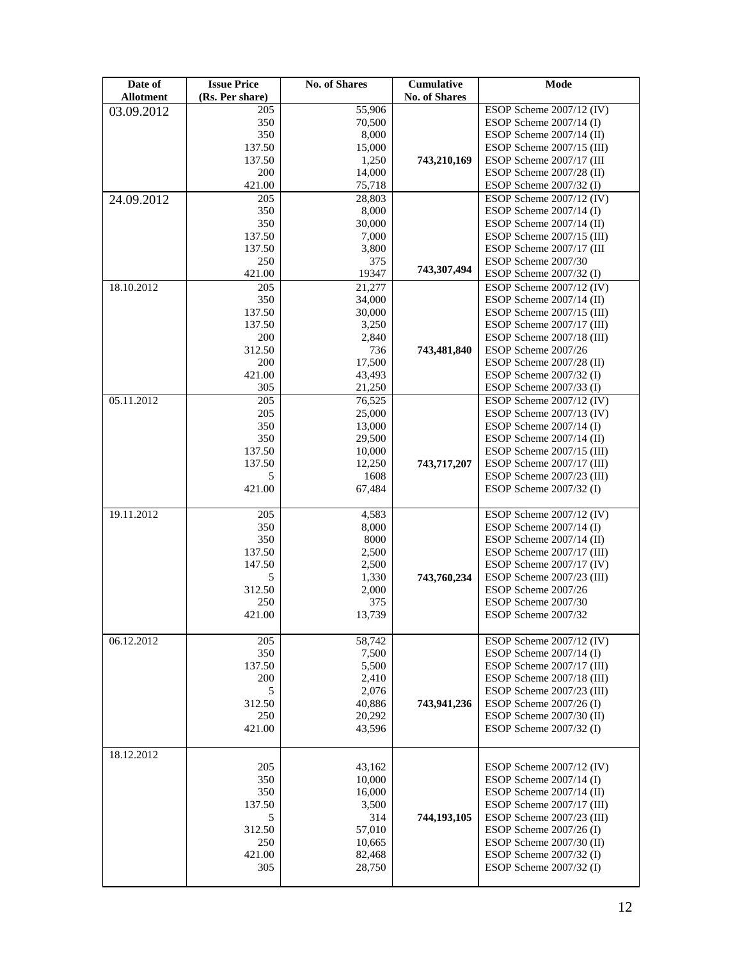| Date of          | <b>Issue Price</b> | <b>No. of Shares</b> | <b>Cumulative</b>    | Mode                      |
|------------------|--------------------|----------------------|----------------------|---------------------------|
| <b>Allotment</b> | (Rs. Per share)    |                      | <b>No. of Shares</b> |                           |
| 03.09.2012       | 205                | 55,906               |                      | ESOP Scheme 2007/12 (IV)  |
|                  | 350                | 70,500               |                      | ESOP Scheme $2007/14$ (I) |
|                  | 350                | 8,000                |                      | ESOP Scheme 2007/14 (II)  |
|                  | 137.50             | 15,000               |                      | ESOP Scheme 2007/15 (III) |
|                  | 137.50             | 1,250                | 743,210,169          | ESOP Scheme 2007/17 (III) |
|                  | 200                | 14,000               |                      | ESOP Scheme 2007/28 (II)  |
|                  | 421.00             | 75,718               |                      | ESOP Scheme 2007/32 (I)   |
| 24.09.2012       | 205                | 28,803               |                      | ESOP Scheme 2007/12 (IV)  |
|                  | 350                | 8,000                |                      | ESOP Scheme $2007/14$ (I) |
|                  | 350                | 30,000               |                      | ESOP Scheme 2007/14 (II)  |
|                  | 137.50             | 7,000                |                      | ESOP Scheme 2007/15 (III) |
|                  | 137.50             | 3,800                |                      | ESOP Scheme 2007/17 (III  |
|                  | 250                | 375                  |                      | ESOP Scheme 2007/30       |
|                  | 421.00             | 19347                | 743,307,494          | ESOP Scheme 2007/32 (I)   |
| 18.10.2012       | 205                | 21,277               |                      | ESOP Scheme 2007/12 (IV)  |
|                  | 350                | 34,000               |                      | ESOP Scheme 2007/14 (II)  |
|                  | 137.50             | 30,000               |                      | ESOP Scheme 2007/15 (III) |
|                  | 137.50             | 3,250                |                      | ESOP Scheme 2007/17 (III) |
|                  | 200                | 2,840                |                      | ESOP Scheme 2007/18 (III) |
|                  | 312.50             | 736                  | 743,481,840          | ESOP Scheme 2007/26       |
|                  | 200                | 17,500               |                      | ESOP Scheme 2007/28 (II)  |
|                  | 421.00             | 43,493               |                      | ESOP Scheme 2007/32 (I)   |
|                  | 305                | 21,250               |                      | ESOP Scheme 2007/33 (I)   |
| 05.11.2012       | 205                |                      |                      | ESOP Scheme 2007/12 (IV)  |
|                  |                    | 76,525               |                      |                           |
|                  | 205                | 25,000               |                      | ESOP Scheme 2007/13 (IV)  |
|                  | 350                | 13,000               |                      | ESOP Scheme $2007/14$ (I) |
|                  | 350                | 29,500               |                      | ESOP Scheme 2007/14 (II)  |
|                  | 137.50             | 10,000               |                      | ESOP Scheme 2007/15 (III) |
|                  | 137.50             | 12,250               | 743,717,207          | ESOP Scheme 2007/17 (III) |
|                  | 5                  | 1608                 |                      | ESOP Scheme 2007/23 (III) |
|                  | 421.00             | 67,484               |                      | ESOP Scheme 2007/32 (I)   |
|                  |                    |                      |                      |                           |
| 19.11.2012       | 205                | 4,583                |                      | ESOP Scheme 2007/12 (IV)  |
|                  | 350                | 8,000                |                      | ESOP Scheme $2007/14$ (I) |
|                  | 350                | 8000                 |                      | ESOP Scheme 2007/14 (II)  |
|                  | 137.50             | 2,500                |                      | ESOP Scheme 2007/17 (III) |
|                  | 147.50             | 2,500                |                      | ESOP Scheme 2007/17 (IV)  |
|                  | 5                  | 1,330                | 743,760,234          | ESOP Scheme 2007/23 (III) |
|                  | 312.50             | 2,000                |                      | ESOP Scheme 2007/26       |
|                  | 250                | 375                  |                      | ESOP Scheme 2007/30       |
|                  | 421.00             | 13,739               |                      | ESOP Scheme 2007/32       |
|                  |                    |                      |                      |                           |
| 06.12.2012       | 205                | 58,742               |                      | ESOP Scheme 2007/12 (IV)  |
|                  | 350                | 7,500                |                      | ESOP Scheme 2007/14 (I)   |
|                  | 137.50             | 5,500                |                      | ESOP Scheme 2007/17 (III) |
|                  | 200                | 2,410                |                      | ESOP Scheme 2007/18 (III) |
|                  | 5                  | 2,076                |                      | ESOP Scheme 2007/23 (III) |
|                  | 312.50             | 40,886               | 743,941,236          | ESOP Scheme 2007/26 (I)   |
|                  | 250                | 20,292               |                      | ESOP Scheme 2007/30 (II)  |
|                  | 421.00             | 43.596               |                      | ESOP Scheme 2007/32 (I)   |
|                  |                    |                      |                      |                           |
| 18.12.2012       |                    |                      |                      |                           |
|                  | 205                | 43,162               |                      | ESOP Scheme 2007/12 (IV)  |
|                  | 350                | 10,000               |                      | ESOP Scheme $2007/14$ (I) |
|                  | 350                | 16,000               |                      | ESOP Scheme 2007/14 (II)  |
|                  | 137.50             | 3,500                |                      | ESOP Scheme 2007/17 (III) |
|                  | 5                  | 314                  | 744,193,105          | ESOP Scheme 2007/23 (III) |
|                  | 312.50             | 57,010               |                      | ESOP Scheme $2007/26$ (I) |
|                  | 250                | 10,665               |                      | ESOP Scheme 2007/30 (II)  |
|                  | 421.00             | 82,468               |                      | ESOP Scheme $2007/32$ (I) |
|                  | 305                | 28,750               |                      | ESOP Scheme 2007/32 (I)   |
|                  |                    |                      |                      |                           |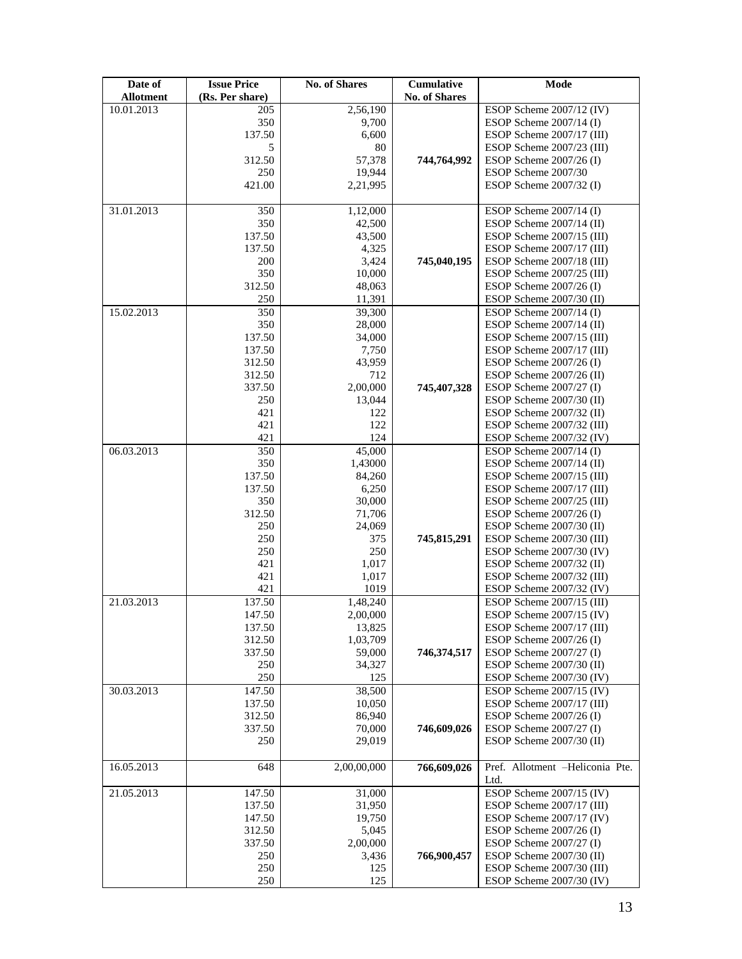| Date of          | <b>Issue Price</b> | <b>No. of Shares</b> | Cumulative    | Mode                                                  |
|------------------|--------------------|----------------------|---------------|-------------------------------------------------------|
| <b>Allotment</b> | (Rs. Per share)    |                      | No. of Shares |                                                       |
| 10.01.2013       | 205                | 2,56,190             |               | ESOP Scheme 2007/12 (IV)                              |
|                  | 350                | 9,700                |               | ESOP Scheme $2007/14$ (I)                             |
|                  | 137.50             | 6,600                |               | ESOP Scheme 2007/17 (III)                             |
|                  | 5                  | 80                   |               | ESOP Scheme 2007/23 (III)                             |
|                  | 312.50             | 57,378               | 744,764,992   | ESOP Scheme $2007/26$ (I)                             |
|                  | 250                | 19,944               |               | ESOP Scheme 2007/30                                   |
|                  | 421.00             | 2,21,995             |               | ESOP Scheme 2007/32 (I)                               |
|                  |                    |                      |               |                                                       |
| 31.01.2013       | 350                | 1,12,000             |               | ESOP Scheme 2007/14 (I)                               |
|                  | 350                | 42,500               |               | ESOP Scheme 2007/14 (II)                              |
|                  | 137.50             | 43,500               |               | ESOP Scheme 2007/15 (III)                             |
|                  | 137.50             | 4,325                |               | ESOP Scheme 2007/17 (III)                             |
|                  | 200                | 3,424                | 745,040,195   | ESOP Scheme 2007/18 (III)                             |
|                  | 350                | 10,000               |               | ESOP Scheme 2007/25 (III)                             |
|                  | 312.50             | 48,063               |               | ESOP Scheme 2007/26 (I)                               |
|                  | 250                | 11,391               |               | ESOP Scheme 2007/30 (II)                              |
| 15.02.2013       | 350                | 39,300               |               | ESOP Scheme $2007/14$ (I)                             |
|                  | 350                | 28,000               |               | ESOP Scheme 2007/14 (II)                              |
|                  | 137.50             | 34,000               |               | ESOP Scheme 2007/15 (III)                             |
|                  | 137.50             | 7,750                |               | ESOP Scheme 2007/17 (III)                             |
|                  | 312.50             | 43,959               |               | ESOP Scheme 2007/26 (I)                               |
|                  | 312.50             | 712                  |               | ESOP Scheme 2007/26 (II)                              |
|                  | 337.50             | 2,00,000             | 745,407,328   | ESOP Scheme 2007/27 (I)                               |
|                  | 250                | 13,044               |               | ESOP Scheme 2007/30 (II)                              |
|                  | 421                | 122                  |               | ESOP Scheme 2007/32 (II)                              |
|                  | 421                | 122                  |               | ESOP Scheme 2007/32 (III)                             |
|                  | 421                | 124                  |               | ESOP Scheme 2007/32 (IV)                              |
| 06.03.2013       | 350                | 45,000               |               | ESOP Scheme $2007/14$ (I)                             |
|                  | 350                | 1,43000              |               | ESOP Scheme 2007/14 (II)                              |
|                  | 137.50             | 84,260               |               | ESOP Scheme 2007/15 (III)                             |
|                  | 137.50             | 6,250                |               | ESOP Scheme 2007/17 (III)                             |
|                  | 350                | 30,000               |               | ESOP Scheme 2007/25 (III)                             |
|                  | 312.50             | 71,706               |               | ESOP Scheme 2007/26 (I)                               |
|                  | 250                | 24,069               |               | ESOP Scheme 2007/30 (II)                              |
|                  | 250<br>250         | 375<br>250           | 745,815,291   | ESOP Scheme 2007/30 (III)<br>ESOP Scheme 2007/30 (IV) |
|                  | 421                | 1,017                |               | ESOP Scheme 2007/32 (II)                              |
|                  | 421                | 1,017                |               | ESOP Scheme 2007/32 (III)                             |
|                  | 421                | 1019                 |               | ESOP Scheme 2007/32 (IV)                              |
| 21.03.2013       | 137.50             | 1,48,240             |               | ESOP Scheme 2007/15 (III)                             |
|                  | 147.50             | 2,00,000             |               | ESOP Scheme 2007/15 (IV)                              |
|                  | 137.50             | 13,825               |               | ESOP Scheme 2007/17 (III)                             |
|                  | 312.50             | 1,03,709             |               | ESOP Scheme 2007/26 (I)                               |
|                  | 337.50             | 59,000               | 746,374,517   | ESOP Scheme 2007/27 (I)                               |
|                  | 250                | 34,327               |               | ESOP Scheme 2007/30 (II)                              |
|                  | 250                | 125                  |               | ESOP Scheme 2007/30 (IV)                              |
| 30.03.2013       | 147.50             | 38,500               |               | ESOP Scheme 2007/15 (IV)                              |
|                  | 137.50             | 10,050               |               | ESOP Scheme 2007/17 (III)                             |
|                  | 312.50             | 86,940               |               | ESOP Scheme 2007/26 (I)                               |
|                  | 337.50             | 70,000               | 746,609,026   | ESOP Scheme 2007/27 (I)                               |
|                  | 250                | 29,019               |               | ESOP Scheme $2007/30$ (II)                            |
|                  |                    |                      |               |                                                       |
| 16.05.2013       | 648                | 2,00,00,000          | 766,609,026   | Pref. Allotment -Heliconia Pte.<br>Ltd.               |
| 21.05.2013       | 147.50             | 31,000               |               | ESOP Scheme 2007/15 (IV)                              |
|                  | 137.50             | 31,950               |               | ESOP Scheme 2007/17 (III)                             |
|                  | 147.50             | 19,750               |               | ESOP Scheme 2007/17 (IV)                              |
|                  | 312.50             | 5,045                |               | ESOP Scheme 2007/26 (I)                               |
|                  | 337.50             | 2,00,000             |               | ESOP Scheme 2007/27 (I)                               |
|                  | 250                | 3,436                | 766,900,457   | ESOP Scheme 2007/30 (II)                              |
|                  | 250                | 125                  |               | ESOP Scheme 2007/30 (III)                             |
|                  | 250                | 125                  |               | ESOP Scheme 2007/30 (IV)                              |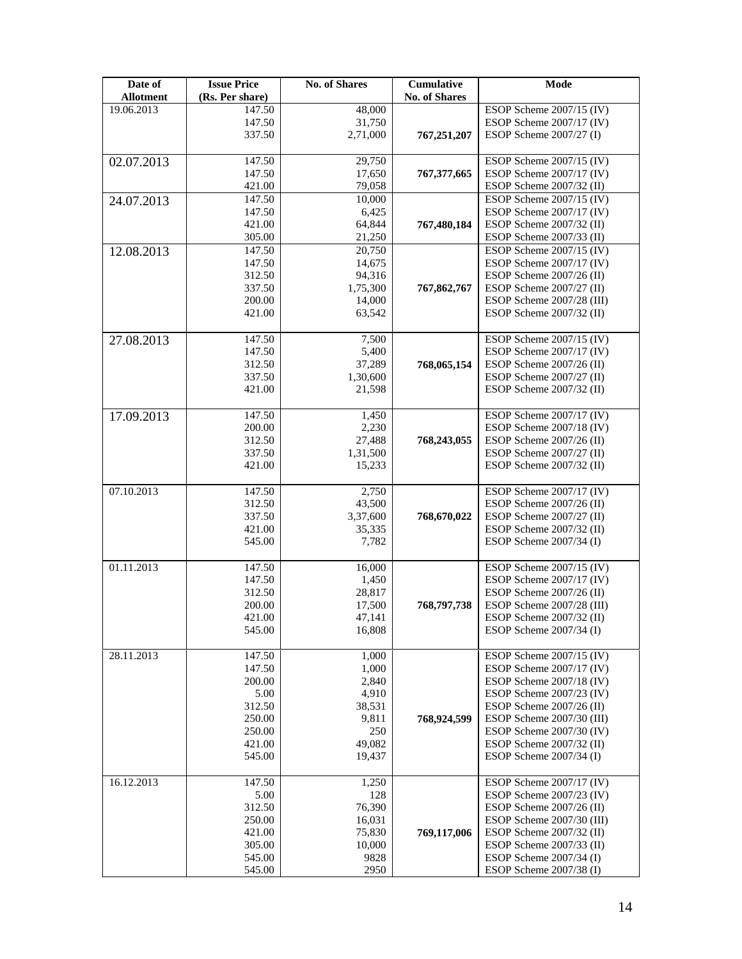| Date of<br><b>Allotment</b> | <b>Issue Price</b><br>(Rs. Per share) | <b>No. of Shares</b> | <b>Cumulative</b><br>No. of Shares | Mode                                                    |
|-----------------------------|---------------------------------------|----------------------|------------------------------------|---------------------------------------------------------|
| 19.06.2013                  | 147.50                                | 48,000               |                                    | ESOP Scheme 2007/15 (IV)                                |
|                             | 147.50                                | 31,750               |                                    | ESOP Scheme 2007/17 (IV)                                |
|                             | 337.50                                | 2,71,000             | 767,251,207                        | ESOP Scheme 2007/27 (I)                                 |
|                             |                                       |                      |                                    |                                                         |
| 02.07.2013                  | 147.50                                | 29,750               |                                    | ESOP Scheme 2007/15 (IV)                                |
|                             | 147.50                                | 17,650               | 767,377,665                        | ESOP Scheme 2007/17 (IV)                                |
|                             | 421.00                                | 79,058               |                                    | ESOP Scheme 2007/32 (II)                                |
| 24.07.2013                  | 147.50                                | 10,000               |                                    | ESOP Scheme 2007/15 (IV)                                |
|                             | 147.50                                | 6,425                |                                    | ESOP Scheme 2007/17 (IV)                                |
|                             | 421.00                                | 64,844               | 767,480,184                        | ESOP Scheme 2007/32 (II)                                |
|                             | 305.00                                | 21,250               |                                    | ESOP Scheme 2007/33 (II)                                |
| 12.08.2013                  | 147.50                                | 20,750               |                                    | ESOP Scheme 2007/15 (IV)                                |
|                             | 147.50                                | 14,675               |                                    | ESOP Scheme 2007/17 (IV)                                |
|                             | 312.50                                | 94,316               |                                    | ESOP Scheme 2007/26 (II)                                |
|                             | 337.50                                | 1,75,300             | 767,862,767                        | ESOP Scheme 2007/27 (II)                                |
|                             | 200.00                                | 14,000               |                                    | ESOP Scheme 2007/28 (III)                               |
|                             | 421.00                                | 63,542               |                                    | ESOP Scheme 2007/32 (II)                                |
|                             |                                       |                      |                                    |                                                         |
| 27.08.2013                  | 147.50                                | 7,500                |                                    | ESOP Scheme 2007/15 (IV)                                |
|                             | 147.50                                | 5,400                |                                    | ESOP Scheme 2007/17 (IV)                                |
|                             | 312.50                                | 37,289               | 768,065,154                        | ESOP Scheme 2007/26 (II)                                |
|                             | 337.50                                | 1,30,600             |                                    | ESOP Scheme 2007/27 (II)                                |
|                             | 421.00                                | 21,598               |                                    | ESOP Scheme 2007/32 (II)                                |
|                             |                                       |                      |                                    |                                                         |
| 17.09.2013                  | 147.50                                | 1,450                |                                    | ESOP Scheme 2007/17 (IV)                                |
|                             | 200.00                                | 2,230                |                                    | ESOP Scheme 2007/18 (IV)                                |
|                             | 312.50                                | 27,488               | 768,243,055                        | ESOP Scheme 2007/26 (II)                                |
|                             | 337.50                                | 1,31,500             |                                    | ESOP Scheme 2007/27 (II)                                |
|                             | 421.00                                | 15,233               |                                    | ESOP Scheme 2007/32 (II)                                |
| 07.10.2013                  | 147.50                                | 2,750                |                                    | ESOP Scheme 2007/17 (IV)                                |
|                             | 312.50                                | 43,500               |                                    | ESOP Scheme 2007/26 (II)                                |
|                             | 337.50                                | 3,37,600             | 768,670,022                        | ESOP Scheme 2007/27 (II)                                |
|                             | 421.00                                | 35,335               |                                    | ESOP Scheme 2007/32 (II)                                |
|                             | 545.00                                | 7,782                |                                    | ESOP Scheme 2007/34 (I)                                 |
|                             |                                       |                      |                                    |                                                         |
| 01.11.2013                  | 147.50                                | 16,000               |                                    | ESOP Scheme 2007/15 (IV)                                |
|                             | 147.50                                | 1,450                |                                    | ESOP Scheme 2007/17 (IV)                                |
|                             | 312.50                                | 28,817               |                                    | ESOP Scheme 2007/26 (II)                                |
|                             | 200.00                                | 17,500               | 768,797,738                        | ESOP Scheme 2007/28 (III)                               |
|                             | 421.00                                | 47,141               |                                    | ESOP Scheme 2007/32 (II)                                |
|                             | 545.00                                | 16,808               |                                    | ESOP Scheme 2007/34 (I)                                 |
| 28.11.2013                  | 147.50                                | 1,000                |                                    | ESOP Scheme 2007/15 (IV)                                |
|                             | 147.50                                | 1,000                |                                    | ESOP Scheme 2007/17 (IV)                                |
|                             | 200.00                                | 2,840                |                                    | ESOP Scheme $2007/18$ (IV)                              |
|                             | 5.00                                  | 4,910                |                                    | ESOP Scheme 2007/23 (IV)                                |
|                             | 312.50                                | 38,531               |                                    |                                                         |
|                             | 250.00                                | 9,811                | 768,924,599                        | ESOP Scheme $2007/26$ (II)<br>ESOP Scheme 2007/30 (III) |
|                             |                                       |                      |                                    |                                                         |
|                             | 250.00<br>421.00                      | 250<br>49,082        |                                    | ESOP Scheme 2007/30 (IV)<br>ESOP Scheme 2007/32 (II)    |
|                             | 545.00                                | 19,437               |                                    | ESOP Scheme 2007/34 (I)                                 |
|                             |                                       |                      |                                    |                                                         |
| 16.12.2013                  | 147.50                                | 1,250                |                                    | ESOP Scheme 2007/17 (IV)                                |
|                             | 5.00                                  | 128                  |                                    | ESOP Scheme 2007/23 (IV)                                |
|                             | 312.50                                | 76,390               |                                    | ESOP Scheme $2007/26$ (II)                              |
|                             | 250.00                                | 16,031               |                                    | ESOP Scheme 2007/30 (III)                               |
|                             | 421.00                                | 75,830               | 769,117,006                        | ESOP Scheme 2007/32 (II)                                |
|                             | 305.00                                | 10,000               |                                    | ESOP Scheme 2007/33 (II)                                |
|                             | 545.00                                | 9828                 |                                    | ESOP Scheme 2007/34 (I)                                 |
|                             | 545.00                                | 2950                 |                                    | ESOP Scheme $2007/38$ (I)                               |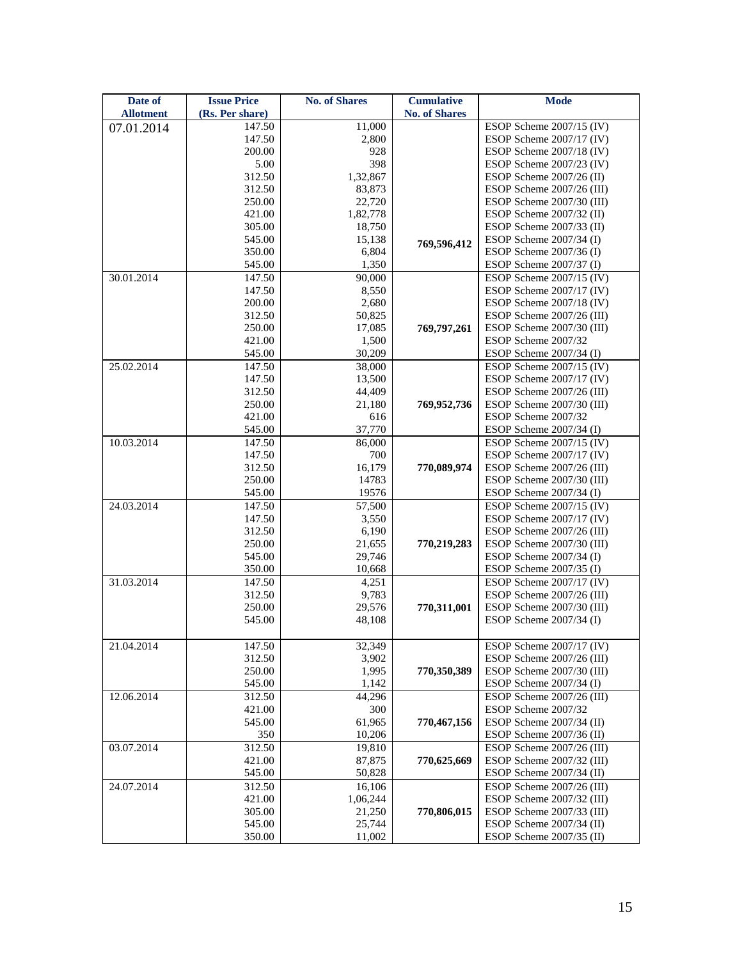| Date of          | <b>Issue Price</b> | <b>No. of Shares</b> | <b>Cumulative</b>    | <b>Mode</b>               |
|------------------|--------------------|----------------------|----------------------|---------------------------|
| <b>Allotment</b> | (Rs. Per share)    |                      | <b>No. of Shares</b> |                           |
| 07.01.2014       | 147.50             | 11,000               |                      | ESOP Scheme 2007/15 (IV)  |
|                  | 147.50             | 2,800                |                      | ESOP Scheme 2007/17 (IV)  |
|                  | 200.00             | 928                  |                      | ESOP Scheme 2007/18 (IV)  |
|                  | 5.00               | 398                  |                      | ESOP Scheme 2007/23 (IV)  |
|                  | 312.50             | 1,32,867             |                      | ESOP Scheme 2007/26 (II)  |
|                  | 312.50             | 83,873               |                      | ESOP Scheme 2007/26 (III) |
|                  | 250.00             | 22,720               |                      | ESOP Scheme 2007/30 (III) |
|                  | 421.00             | 1,82,778             |                      | ESOP Scheme 2007/32 (II)  |
|                  | 305.00             | 18,750               |                      | ESOP Scheme 2007/33 (II)  |
|                  | 545.00             | 15,138               | 769,596,412          | ESOP Scheme 2007/34 (I)   |
|                  | 350.00             | 6,804                |                      | ESOP Scheme 2007/36 (I)   |
|                  | 545.00             | 1,350                |                      | ESOP Scheme $2007/37$ (I) |
| 30.01.2014       | 147.50             | 90,000               |                      | ESOP Scheme 2007/15 (IV)  |
|                  | 147.50             | 8,550                |                      | ESOP Scheme 2007/17 (IV)  |
|                  | 200.00             | 2,680                |                      | ESOP Scheme 2007/18 (IV)  |
|                  | 312.50             | 50,825               |                      | ESOP Scheme 2007/26 (III) |
|                  | 250.00             | 17,085               | 769,797,261          | ESOP Scheme 2007/30 (III) |
|                  | 421.00             | 1,500                |                      | ESOP Scheme 2007/32       |
|                  | 545.00             | 30,209               |                      | ESOP Scheme 2007/34 (I)   |
| 25.02.2014       | 147.50             | 38,000               |                      | ESOP Scheme 2007/15 (IV)  |
|                  | 147.50             | 13,500               |                      | ESOP Scheme 2007/17 (IV)  |
|                  | 312.50             | 44,409               |                      | ESOP Scheme 2007/26 (III) |
|                  | 250.00             | 21,180               | 769,952,736          | ESOP Scheme 2007/30 (III) |
|                  | 421.00             | 616                  |                      | ESOP Scheme 2007/32       |
|                  | 545.00             | 37,770               |                      | ESOP Scheme 2007/34 (I)   |
| 10.03.2014       | 147.50             | 86,000               |                      | ESOP Scheme 2007/15 (IV)  |
|                  | 147.50             | 700                  |                      | ESOP Scheme 2007/17 (IV)  |
|                  | 312.50             | 16,179               | 770,089,974          | ESOP Scheme 2007/26 (III) |
|                  | 250.00             | 14783                |                      | ESOP Scheme 2007/30 (III) |
|                  | 545.00             | 19576                |                      | ESOP Scheme $2007/34$ (I) |
| 24.03.2014       | 147.50             | 57,500               |                      | ESOP Scheme 2007/15 (IV)  |
|                  | 147.50             | 3,550                |                      | ESOP Scheme 2007/17 (IV)  |
|                  | 312.50             | 6,190                |                      | ESOP Scheme 2007/26 (III) |
|                  | 250.00             | 21,655               | 770,219,283          | ESOP Scheme 2007/30 (III) |
|                  | 545.00             | 29,746               |                      | ESOP Scheme 2007/34 (I)   |
|                  | 350.00             | 10,668               |                      | ESOP Scheme 2007/35 (I)   |
| 31.03.2014       | 147.50             | 4,251                |                      | ESOP Scheme 2007/17 (IV)  |
|                  | 312.50             | 9,783                |                      | ESOP Scheme 2007/26 (III) |
|                  | 250.00             | 29,576               | 770,311,001          | ESOP Scheme 2007/30 (III) |
|                  | 545.00             | 48,108               |                      | ESOP Scheme 2007/34 (I)   |
| 21.04.2014       | 147.50             | 32,349               |                      | ESOP Scheme 2007/17 (IV)  |
|                  | 312.50             | 3,902                |                      | ESOP Scheme 2007/26 (III) |
|                  | 250.00             | 1,995                | 770,350,389          | ESOP Scheme 2007/30 (III) |
|                  | 545.00             | 1,142                |                      | ESOP Scheme $2007/34$ (I) |
| 12.06.2014       | 312.50             | 44,296               |                      | ESOP Scheme 2007/26 (III) |
|                  | 421.00             | 300                  |                      | ESOP Scheme 2007/32       |
|                  | 545.00             | 61,965               | 770,467,156          | ESOP Scheme 2007/34 (II)  |
|                  | 350                | 10,206               |                      | ESOP Scheme 2007/36 (II)  |
| 03.07.2014       | 312.50             | 19,810               |                      | ESOP Scheme 2007/26 (III) |
|                  | 421.00             | 87,875               | 770,625,669          | ESOP Scheme 2007/32 (III) |
|                  | 545.00             | 50,828               |                      | ESOP Scheme 2007/34 (II)  |
| 24.07.2014       | 312.50             | 16,106               |                      | ESOP Scheme 2007/26 (III) |
|                  | 421.00             | 1,06,244             |                      | ESOP Scheme 2007/32 (III) |
|                  | 305.00             | 21,250               | 770,806,015          | ESOP Scheme 2007/33 (III) |
|                  | 545.00             | 25,744               |                      | ESOP Scheme 2007/34 (II)  |
|                  | 350.00             | 11,002               |                      | ESOP Scheme 2007/35 (II)  |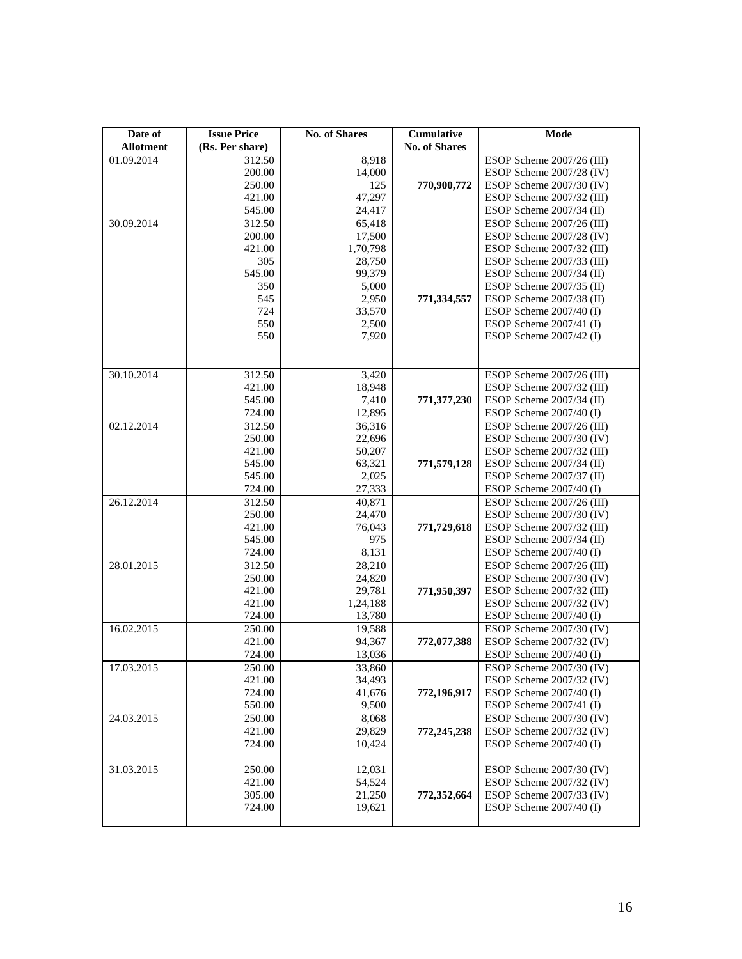| Date of          | <b>Issue Price</b> | <b>No. of Shares</b> | Cumulative           | Mode                                                   |
|------------------|--------------------|----------------------|----------------------|--------------------------------------------------------|
| <b>Allotment</b> | (Rs. Per share)    |                      | <b>No. of Shares</b> |                                                        |
| 01.09.2014       | 312.50             | 8,918                |                      | ESOP Scheme 2007/26 (III)                              |
|                  | 200.00             | 14,000               |                      | ESOP Scheme 2007/28 (IV)                               |
|                  | 250.00             | 125                  | 770,900,772          | ESOP Scheme 2007/30 (IV)                               |
|                  | 421.00             | 47,297               |                      | ESOP Scheme 2007/32 (III)                              |
|                  | 545.00             | 24,417               |                      | ESOP Scheme 2007/34 (II)                               |
| 30.09.2014       | 312.50             | 65,418               |                      | ESOP Scheme 2007/26 (III)                              |
|                  | 200.00             | 17,500               |                      | ESOP Scheme 2007/28 (IV)                               |
|                  | 421.00             | 1,70,798             |                      | ESOP Scheme 2007/32 (III)                              |
|                  | 305                | 28,750               |                      | ESOP Scheme 2007/33 (III)                              |
|                  | 545.00             | 99,379               |                      | ESOP Scheme 2007/34 (II)                               |
|                  | 350                | 5,000                |                      | ESOP Scheme 2007/35 (II)                               |
|                  | 545                | 2,950                | 771,334,557          | ESOP Scheme 2007/38 (II)                               |
|                  | 724                | 33,570               |                      | ESOP Scheme 2007/40 (I)                                |
|                  | 550                | 2,500                |                      | ESOP Scheme 2007/41 (I)                                |
|                  | 550                | 7,920                |                      | ESOP Scheme 2007/42 (I)                                |
|                  |                    |                      |                      |                                                        |
|                  |                    |                      |                      |                                                        |
| 30.10.2014       | 312.50             | 3,420                |                      | ESOP Scheme 2007/26 (III)                              |
|                  | 421.00             | 18,948               |                      | ESOP Scheme 2007/32 (III)                              |
|                  | 545.00             | 7,410                | 771,377,230          | ESOP Scheme 2007/34 (II)                               |
|                  | 724.00             | 12,895               |                      | ESOP Scheme 2007/40 (I)                                |
| 02.12.2014       | 312.50             | 36,316               |                      | ESOP Scheme 2007/26 (III)                              |
|                  | 250.00             | 22,696               |                      | ESOP Scheme 2007/30 (IV)                               |
|                  | 421.00             | 50,207               |                      | ESOP Scheme 2007/32 (III)                              |
|                  | 545.00             | 63,321               | 771,579,128          | ESOP Scheme 2007/34 (II)                               |
|                  | 545.00<br>724.00   | 2,025<br>27,333      |                      | ESOP Scheme 2007/37 (II)                               |
| 26.12.2014       | 312.50             | 40,871               |                      | ESOP Scheme $2007/40$ (I)<br>ESOP Scheme 2007/26 (III) |
|                  | 250.00             | 24,470               |                      | ESOP Scheme 2007/30 (IV)                               |
|                  | 421.00             | 76,043               | 771,729,618          | ESOP Scheme 2007/32 (III)                              |
|                  | 545.00             | 975                  |                      | ESOP Scheme 2007/34 (II)                               |
|                  | 724.00             | 8,131                |                      | ESOP Scheme $2007/40$ (I)                              |
| 28.01.2015       | 312.50             | 28,210               |                      | ESOP Scheme 2007/26 (III)                              |
|                  | 250.00             | 24,820               |                      | ESOP Scheme 2007/30 (IV)                               |
|                  | 421.00             | 29,781               | 771,950,397          | ESOP Scheme 2007/32 (III)                              |
|                  | 421.00             | 1,24,188             |                      | ESOP Scheme 2007/32 (IV)                               |
|                  | 724.00             | 13,780               |                      | ESOP Scheme 2007/40 (I)                                |
| 16.02.2015       | 250.00             | 19,588               |                      | ESOP Scheme 2007/30 (IV)                               |
|                  | 421.00             | 94,367               | 772,077,388          | ESOP Scheme 2007/32 (IV)                               |
|                  | 724.00             | 13,036               |                      | ESOP Scheme 2007/40 (I)                                |
| 17.03.2015       | 250.00             | 33,860               |                      | ESOP Scheme 2007/30 (IV)                               |
|                  | 421.00             | 34,493               |                      | ESOP Scheme 2007/32 (IV)                               |
|                  | 724.00             | 41,676               | 772,196,917          | ESOP Scheme 2007/40 (I)                                |
|                  | 550.00             | 9,500                |                      | ESOP Scheme $2007/41$ (I)                              |
| 24.03.2015       | 250.00             | 8,068                |                      | ESOP Scheme 2007/30 (IV)                               |
|                  | 421.00             | 29,829               | 772,245,238          | ESOP Scheme 2007/32 (IV)                               |
|                  | 724.00             | 10,424               |                      | ESOP Scheme $2007/40$ (I)                              |
|                  |                    |                      |                      |                                                        |
| 31.03.2015       | 250.00             | 12,031               |                      | ESOP Scheme 2007/30 (IV)                               |
|                  | 421.00             | 54,524               |                      | ESOP Scheme 2007/32 (IV)                               |
|                  | 305.00             | 21,250               | 772,352,664          | ESOP Scheme 2007/33 (IV)                               |
|                  | 724.00             | 19,621               |                      | ESOP Scheme $2007/40$ (I)                              |
|                  |                    |                      |                      |                                                        |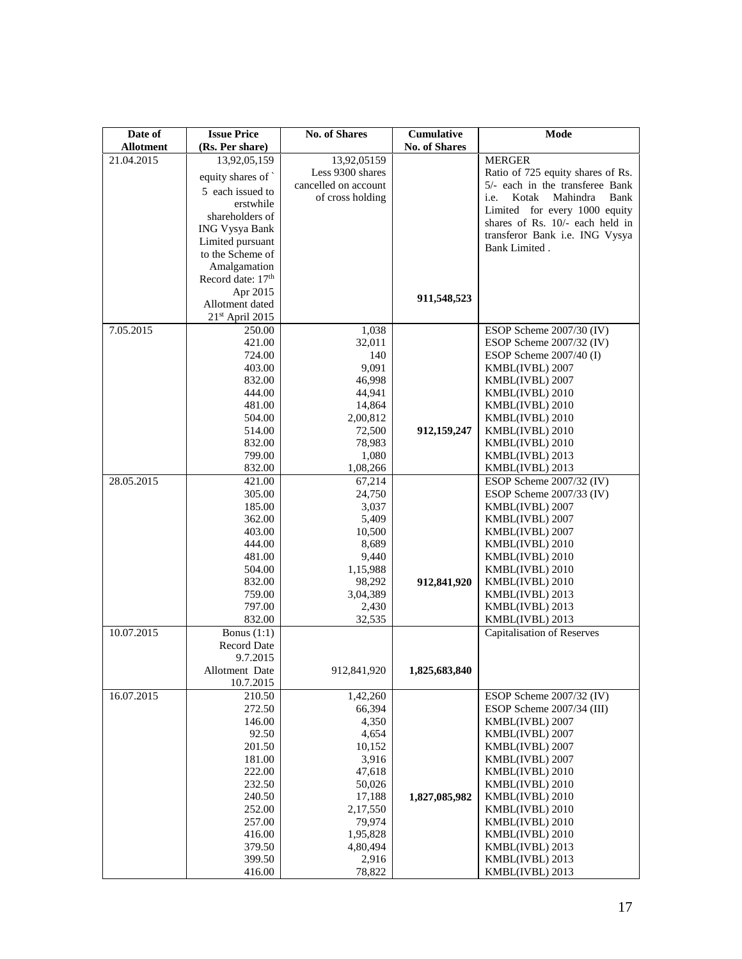| Date of                        | <b>Issue Price</b>                 | <b>No. of Shares</b>            | <b>Cumulative</b>    | Mode                                                                 |
|--------------------------------|------------------------------------|---------------------------------|----------------------|----------------------------------------------------------------------|
| <b>Allotment</b><br>21.04.2015 | (Rs. Per share)                    |                                 | <b>No. of Shares</b> |                                                                      |
|                                | 13,92,05,159                       | 13,92,05159<br>Less 9300 shares |                      | <b>MERGER</b>                                                        |
|                                | equity shares of                   | cancelled on account            |                      | Ratio of 725 equity shares of Rs.<br>5/- each in the transferee Bank |
|                                | 5 each issued to                   | of cross holding                |                      | i.e.<br>Kotak<br>Mahindra<br>Bank                                    |
|                                | erstwhile                          |                                 |                      | Limited for every 1000 equity                                        |
|                                | shareholders of                    |                                 |                      | shares of Rs. 10/- each held in                                      |
|                                | <b>ING Vysya Bank</b>              |                                 |                      | transferor Bank i.e. ING Vysya                                       |
|                                | Limited pursuant                   |                                 |                      | Bank Limited.                                                        |
|                                | to the Scheme of                   |                                 |                      |                                                                      |
|                                | Amalgamation                       |                                 |                      |                                                                      |
|                                | Record date: 17 <sup>th</sup>      |                                 |                      |                                                                      |
|                                | Apr 2015                           |                                 | 911,548,523          |                                                                      |
|                                | Allotment dated<br>21st April 2015 |                                 |                      |                                                                      |
| 7.05.2015                      | 250.00                             | 1,038                           |                      | ESOP Scheme 2007/30 (IV)                                             |
|                                | 421.00                             | 32,011                          |                      | ESOP Scheme 2007/32 (IV)                                             |
|                                | 724.00                             | 140                             |                      | ESOP Scheme 2007/40 (I)                                              |
|                                | 403.00                             | 9,091                           |                      | KMBL(IVBL) 2007                                                      |
|                                | 832.00                             | 46,998                          |                      | KMBL(IVBL) 2007                                                      |
|                                | 444.00                             | 44,941                          |                      | KMBL(IVBL) 2010                                                      |
|                                | 481.00                             | 14,864                          |                      | KMBL(IVBL) 2010                                                      |
|                                | 504.00                             | 2,00,812                        |                      | KMBL(IVBL) 2010                                                      |
|                                | 514.00                             | 72,500                          | 912,159,247          | KMBL(IVBL) 2010                                                      |
|                                | 832.00                             | 78,983                          |                      | KMBL(IVBL) 2010                                                      |
|                                | 799.00                             | 1,080                           |                      | KMBL(IVBL) 2013                                                      |
|                                | 832.00                             | 1,08,266                        |                      | KMBL(IVBL) 2013                                                      |
| 28.05.2015                     | 421.00                             | 67,214                          |                      | ESOP Scheme 2007/32 (IV)                                             |
|                                | 305.00                             | 24,750                          |                      | ESOP Scheme 2007/33 (IV)                                             |
|                                | 185.00                             | 3,037                           |                      | KMBL(IVBL) 2007                                                      |
|                                | 362.00                             | 5,409                           |                      | KMBL(IVBL) 2007                                                      |
|                                | 403.00                             | 10,500                          |                      | KMBL(IVBL) 2007                                                      |
|                                | 444.00                             | 8,689                           |                      | KMBL(IVBL) 2010                                                      |
|                                | 481.00                             | 9,440                           |                      | KMBL(IVBL) 2010                                                      |
|                                | 504.00<br>832.00                   | 1,15,988<br>98,292              | 912,841,920          | KMBL(IVBL) 2010<br>KMBL(IVBL) 2010                                   |
|                                | 759.00                             | 3,04,389                        |                      | KMBL(IVBL) 2013                                                      |
|                                | 797.00                             | 2,430                           |                      | KMBL(IVBL) 2013                                                      |
|                                | 832.00                             | 32,535                          |                      | KMBL(IVBL) 2013                                                      |
| 10.07.2015                     | Bonus $(1:1)$                      |                                 |                      | Capitalisation of Reserves                                           |
|                                | <b>Record Date</b>                 |                                 |                      |                                                                      |
|                                | 9.7.2015                           |                                 |                      |                                                                      |
|                                | Allotment Date                     | 912,841,920                     | 1,825,683,840        |                                                                      |
|                                | 10.7.2015                          |                                 |                      |                                                                      |
| 16.07.2015                     | 210.50                             | 1,42,260                        |                      | ESOP Scheme 2007/32 (IV)                                             |
|                                | 272.50                             | 66,394                          |                      | ESOP Scheme 2007/34 (III)                                            |
|                                | 146.00                             | 4,350                           |                      | KMBL(IVBL) 2007                                                      |
|                                | 92.50                              | 4,654                           |                      | KMBL(IVBL) 2007                                                      |
|                                | 201.50                             | 10,152                          |                      | KMBL(IVBL) 2007                                                      |
|                                | 181.00                             | 3,916                           |                      | KMBL(IVBL) 2007                                                      |
|                                | 222.00                             | 47,618                          |                      | KMBL(IVBL) 2010                                                      |
|                                | 232.50                             | 50,026                          |                      | KMBL(IVBL) 2010                                                      |
|                                | 240.50<br>252.00                   | 17,188<br>2,17,550              | 1,827,085,982        | KMBL(IVBL) 2010<br>KMBL(IVBL) 2010                                   |
|                                | 257.00                             | 79,974                          |                      | KMBL(IVBL) 2010                                                      |
|                                | 416.00                             | 1,95,828                        |                      | KMBL(IVBL) 2010                                                      |
|                                | 379.50                             | 4,80,494                        |                      | KMBL(IVBL) 2013                                                      |
|                                | 399.50                             | 2,916                           |                      | KMBL(IVBL) 2013                                                      |
|                                | 416.00                             | 78,822                          |                      | KMBL(IVBL) 2013                                                      |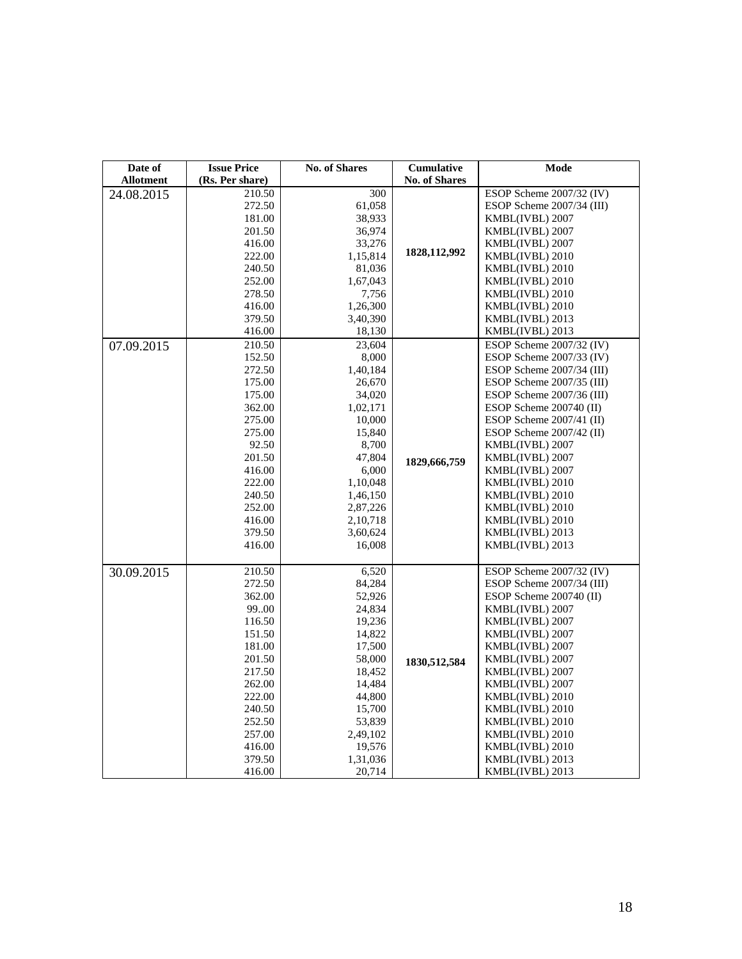| Date of          | <b>Issue Price</b> | <b>No. of Shares</b> | <b>Cumulative</b>    | <b>Mode</b>                |
|------------------|--------------------|----------------------|----------------------|----------------------------|
| <b>Allotment</b> | (Rs. Per share)    |                      | <b>No. of Shares</b> |                            |
| 24.08.2015       | 210.50             | 300                  |                      | ESOP Scheme 2007/32 (IV)   |
|                  | 272.50             | 61,058               |                      | ESOP Scheme 2007/34 (III)  |
|                  | 181.00             | 38,933               |                      | KMBL(IVBL) 2007            |
|                  | 201.50             | 36,974               |                      | KMBL(IVBL) 2007            |
|                  | 416.00             | 33,276               |                      | KMBL(IVBL) 2007            |
|                  | 222.00             | 1,15,814             | 1828, 112, 992       | KMBL(IVBL) 2010            |
|                  | 240.50             | 81,036               |                      | KMBL(IVBL) 2010            |
|                  | 252.00             | 1,67,043             |                      | KMBL(IVBL) 2010            |
|                  | 278.50             | 7,756                |                      | KMBL(IVBL) 2010            |
|                  | 416.00             | 1,26,300             |                      | KMBL(IVBL) 2010            |
|                  | 379.50             | 3,40,390             |                      | KMBL(IVBL) 2013            |
|                  | 416.00             | 18,130               |                      | KMBL(IVBL) 2013            |
| 07.09.2015       | 210.50             | 23,604               |                      | ESOP Scheme 2007/32 (IV)   |
|                  | 152.50             | 8,000                |                      | ESOP Scheme 2007/33 (IV)   |
|                  | 272.50             | 1,40,184             |                      | ESOP Scheme 2007/34 (III)  |
|                  | 175.00             | 26,670               |                      | ESOP Scheme 2007/35 (III)  |
|                  | 175.00             | 34,020               |                      | ESOP Scheme 2007/36 (III)  |
|                  | 362.00             | 1,02,171             |                      | ESOP Scheme 200740 (II)    |
|                  | 275.00             | 10,000               |                      | ESOP Scheme $2007/41$ (II) |
|                  | 275.00             | 15,840               |                      | ESOP Scheme 2007/42 (II)   |
|                  | 92.50              | 8,700                |                      | KMBL(IVBL) 2007            |
|                  | 201.50             | 47,804               | 1829,666,759         | KMBL(IVBL) 2007            |
|                  | 416.00             | 6,000                |                      | KMBL(IVBL) 2007            |
|                  | 222.00             | 1,10,048             |                      | KMBL(IVBL) 2010            |
|                  | 240.50             | 1,46,150             |                      | KMBL(IVBL) 2010            |
|                  | 252.00             | 2,87,226             |                      | KMBL(IVBL) 2010            |
|                  | 416.00             | 2,10,718             |                      | KMBL(IVBL) 2010            |
|                  | 379.50             | 3,60,624             |                      | KMBL(IVBL) 2013            |
|                  | 416.00             | 16,008               |                      | KMBL(IVBL) 2013            |
|                  |                    |                      |                      |                            |
| 30.09.2015       | 210.50             | 6,520                |                      | ESOP Scheme 2007/32 (IV)   |
|                  | 272.50             | 84,284               |                      | ESOP Scheme 2007/34 (III)  |
|                  | 362.00             | 52,926               |                      | ESOP Scheme 200740 (II)    |
|                  | 9900               | 24,834               |                      | KMBL(IVBL) 2007            |
|                  | 116.50             | 19,236               |                      | KMBL(IVBL) 2007            |
|                  | 151.50             | 14,822               |                      | KMBL(IVBL) 2007            |
|                  | 181.00             | 17,500               |                      | KMBL(IVBL) 2007            |
|                  | 201.50             | 58,000               | 1830,512,584         | KMBL(IVBL) 2007            |
|                  | 217.50             | 18,452               |                      | KMBL(IVBL) 2007            |
|                  | 262.00             | 14,484               |                      | KMBL(IVBL) 2007            |
|                  | 222.00             | 44,800               |                      | KMBL(IVBL) 2010            |
|                  | 240.50             | 15,700               |                      | KMBL(IVBL) 2010            |
|                  | 252.50             | 53,839               |                      | KMBL(IVBL) 2010            |
|                  | 257.00             | 2,49,102             |                      | KMBL(IVBL) 2010            |
|                  | 416.00<br>379.50   | 19,576               |                      | KMBL(IVBL) 2010            |
|                  |                    | 1,31,036             |                      | KMBL(IVBL) 2013            |
|                  | 416.00             | 20,714               |                      | KMBL(IVBL) 2013            |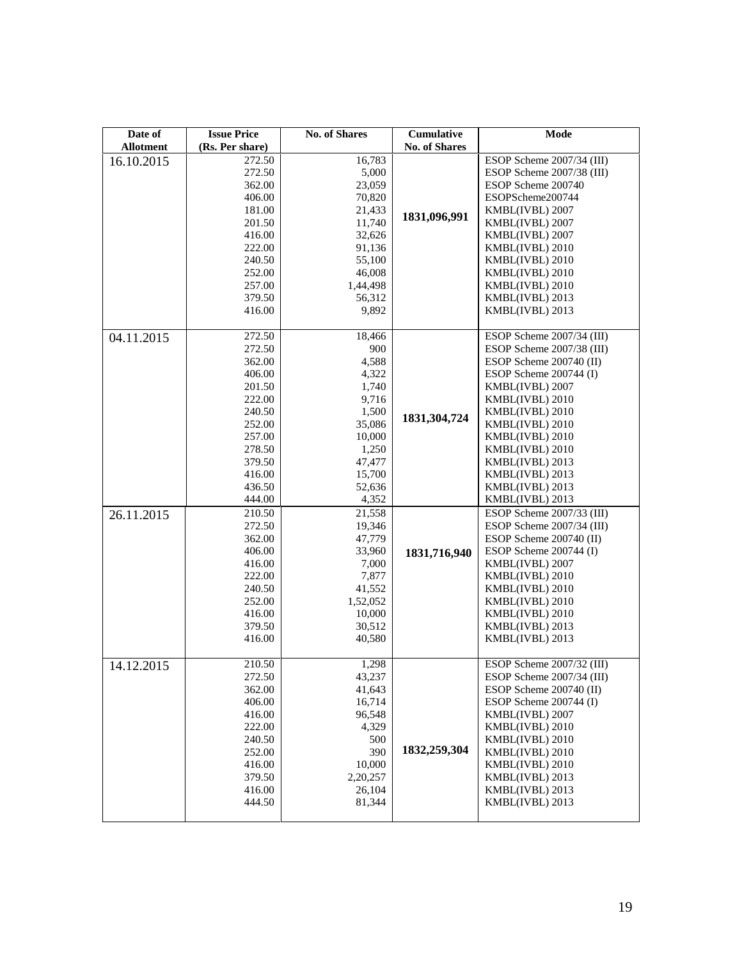| Date of          | <b>Issue Price</b> | <b>No. of Shares</b> | <b>Cumulative</b>    | Mode                      |
|------------------|--------------------|----------------------|----------------------|---------------------------|
| <b>Allotment</b> | (Rs. Per share)    |                      | <b>No. of Shares</b> |                           |
| 16.10.2015       | 272.50             | 16,783               |                      | ESOP Scheme 2007/34 (III) |
|                  | 272.50             | 5,000                |                      | ESOP Scheme 2007/38 (III) |
|                  | 362.00             | 23,059               |                      | ESOP Scheme 200740        |
|                  | 406.00             | 70,820               |                      | ESOPScheme200744          |
|                  | 181.00             | 21,433               |                      | KMBL(IVBL) 2007           |
|                  | 201.50             | 11,740               | 1831,096,991         | KMBL(IVBL) 2007           |
|                  | 416.00             | 32,626               |                      | KMBL(IVBL) 2007           |
|                  | 222.00             | 91,136               |                      | KMBL(IVBL) 2010           |
|                  | 240.50             | 55,100               |                      | KMBL(IVBL) 2010           |
|                  | 252.00             | 46,008               |                      | KMBL(IVBL) 2010           |
|                  | 257.00             | 1,44,498             |                      | KMBL(IVBL) 2010           |
|                  | 379.50             | 56,312               |                      | KMBL(IVBL) 2013           |
|                  | 416.00             | 9,892                |                      | KMBL(IVBL) 2013           |
|                  |                    |                      |                      |                           |
| 04.11.2015       | 272.50             | 18,466               |                      | ESOP Scheme 2007/34 (III) |
|                  | 272.50             | 900                  |                      | ESOP Scheme 2007/38 (III) |
|                  | 362.00             | 4,588                |                      | ESOP Scheme 200740 (II)   |
|                  | 406.00             | 4,322                |                      | ESOP Scheme 200744 (I)    |
|                  | 201.50             | 1,740                |                      | KMBL(IVBL) 2007           |
|                  | 222.00             | 9,716                |                      | KMBL(IVBL) 2010           |
|                  | 240.50             | 1,500                | 1831,304,724         | KMBL(IVBL) 2010           |
|                  | 252.00             | 35,086               |                      | KMBL(IVBL) 2010           |
|                  | 257.00             | 10,000               |                      | KMBL(IVBL) 2010           |
|                  | 278.50             | 1,250                |                      | KMBL(IVBL) 2010           |
|                  | 379.50             | 47,477               |                      | KMBL(IVBL) 2013           |
|                  | 416.00             | 15,700               |                      | KMBL(IVBL) 2013           |
|                  | 436.50             | 52,636               |                      | KMBL(IVBL) 2013           |
|                  | 444.00             | 4,352                |                      | KMBL(IVBL) 2013           |
| 26.11.2015       | 210.50             | 21,558               |                      | ESOP Scheme 2007/33 (III) |
|                  | 272.50             | 19,346               |                      | ESOP Scheme 2007/34 (III) |
|                  | 362.00             | 47,779               |                      | ESOP Scheme 200740 (II)   |
|                  | 406.00             | 33,960               | 1831,716,940         | ESOP Scheme 200744 (I)    |
|                  | 416.00             | 7,000                |                      | KMBL(IVBL) 2007           |
|                  | 222.00             | 7,877                |                      | KMBL(IVBL) 2010           |
|                  | 240.50             | 41,552               |                      | KMBL(IVBL) 2010           |
|                  | 252.00             | 1,52,052             |                      | KMBL(IVBL) 2010           |
|                  | 416.00             | 10,000               |                      | KMBL(IVBL) 2010           |
|                  | 379.50             | 30,512               |                      | KMBL(IVBL) 2013           |
|                  | 416.00             | 40,580               |                      | KMBL(IVBL) 2013           |
|                  | 210.50             | 1,298                |                      | ESOP Scheme 2007/32 (III) |
| 14.12.2015       | 272.50             | 43,237               |                      | ESOP Scheme 2007/34 (III) |
|                  | 362.00             | 41,643               |                      | ESOP Scheme 200740 (II)   |
|                  | 406.00             | 16,714               |                      | ESOP Scheme 200744 (I)    |
|                  | 416.00             | 96,548               |                      | KMBL(IVBL) 2007           |
|                  | 222.00             | 4,329                |                      | KMBL(IVBL) 2010           |
|                  | 240.50             | 500                  |                      | KMBL(IVBL) 2010           |
|                  | 252.00             | 390                  | 1832,259,304         | KMBL(IVBL) 2010           |
|                  | 416.00             | 10,000               |                      | KMBL(IVBL) 2010           |
|                  | 379.50             | 2,20,257             |                      | KMBL(IVBL) 2013           |
|                  | 416.00             | 26,104               |                      | KMBL(IVBL) 2013           |
|                  | 444.50             | 81,344               |                      | KMBL(IVBL) 2013           |
|                  |                    |                      |                      |                           |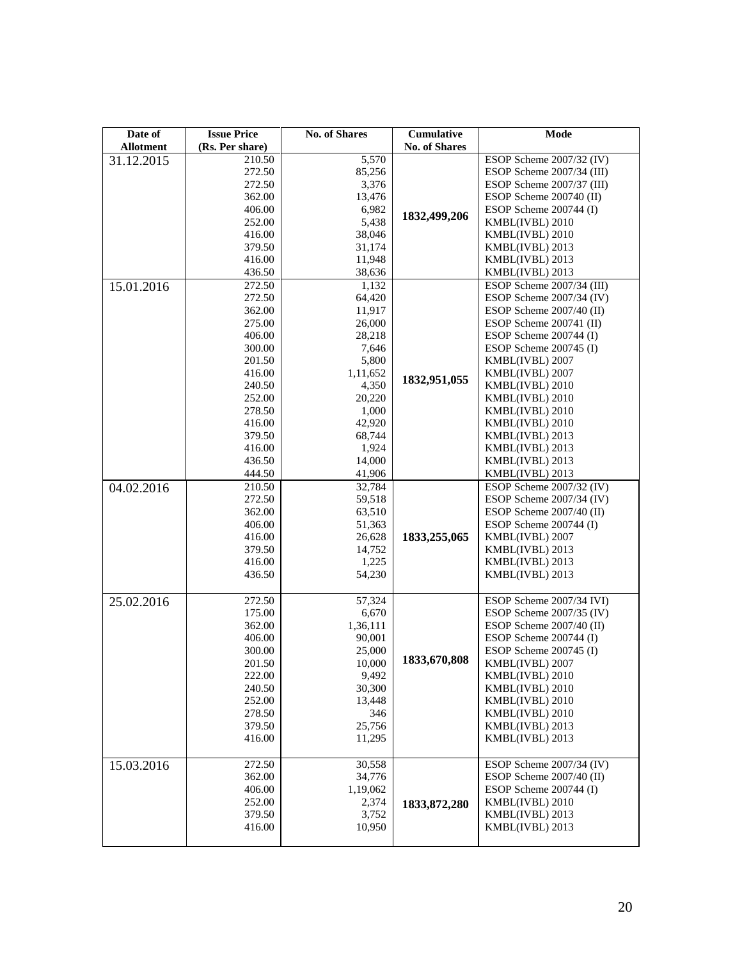| Date of          | <b>Issue Price</b> | <b>No. of Shares</b> | Cumulative           | Mode                      |
|------------------|--------------------|----------------------|----------------------|---------------------------|
| <b>Allotment</b> | (Rs. Per share)    |                      | <b>No. of Shares</b> |                           |
| 31.12.2015       | 210.50             | 5,570                |                      | ESOP Scheme 2007/32 (IV)  |
|                  | 272.50             | 85,256               |                      | ESOP Scheme 2007/34 (III) |
|                  | 272.50             | 3,376                |                      | ESOP Scheme 2007/37 (III) |
|                  | 362.00             | 13,476               |                      | ESOP Scheme 200740 (II)   |
|                  | 406.00             | 6,982                | 1832,499,206         | ESOP Scheme 200744 (I)    |
|                  | 252.00             | 5,438                |                      | KMBL(IVBL) 2010           |
|                  | 416.00             | 38,046               |                      | KMBL(IVBL) 2010           |
|                  | 379.50             | 31,174               |                      | KMBL(IVBL) 2013           |
|                  | 416.00             | 11,948               |                      | KMBL(IVBL) 2013           |
|                  | 436.50             | 38,636               |                      | KMBL(IVBL) 2013           |
| 15.01.2016       | 272.50             | 1,132                |                      | ESOP Scheme 2007/34 (III) |
|                  | 272.50             | 64,420               |                      | ESOP Scheme 2007/34 (IV)  |
|                  | 362.00             | 11,917               |                      | ESOP Scheme 2007/40 (II)  |
|                  | 275.00             | 26,000               |                      | ESOP Scheme 200741 (II)   |
|                  | 406.00             | 28,218               |                      | ESOP Scheme 200744 (I)    |
|                  | 300.00             | 7,646                |                      | ESOP Scheme $200745$ (I)  |
|                  | 201.50             | 5,800                |                      | KMBL(IVBL) 2007           |
|                  | 416.00             | 1,11,652             | 1832,951,055         | KMBL(IVBL) 2007           |
|                  | 240.50             | 4,350                |                      | KMBL(IVBL) 2010           |
|                  | 252.00             | 20,220               |                      | KMBL(IVBL) 2010           |
|                  | 278.50             | 1,000                |                      | KMBL(IVBL) 2010           |
|                  | 416.00             | 42,920               |                      | KMBL(IVBL) 2010           |
|                  | 379.50             | 68,744               |                      | KMBL(IVBL) 2013           |
|                  | 416.00             | 1,924                |                      | KMBL(IVBL) 2013           |
|                  | 436.50             | 14,000               |                      | KMBL(IVBL) 2013           |
|                  | 444.50             | 41,906               |                      | KMBL(IVBL) 2013           |
| 04.02.2016       | 210.50             | 32,784               |                      | ESOP Scheme 2007/32 (IV)  |
|                  | 272.50             | 59,518               |                      | ESOP Scheme 2007/34 (IV)  |
|                  | 362.00             | 63,510               |                      | ESOP Scheme 2007/40 (II)  |
|                  | 406.00             | 51,363               |                      | ESOP Scheme 200744 (I)    |
|                  | 416.00             | 26,628               | 1833,255,065         | KMBL(IVBL) 2007           |
|                  | 379.50             | 14,752               |                      | KMBL(IVBL) 2013           |
|                  | 416.00             | 1,225                |                      | KMBL(IVBL) 2013           |
|                  | 436.50             | 54,230               |                      | KMBL(IVBL) 2013           |
| 25.02.2016       | 272.50             | 57,324               |                      | ESOP Scheme 2007/34 IVI)  |
|                  | 175.00             | 6,670                |                      | ESOP Scheme 2007/35 (IV)  |
|                  | 362.00             | 1,36,111             |                      | ESOP Scheme 2007/40 (II)  |
|                  | 406.00             | 90,001               |                      | ESOP Scheme $200744$ (I)  |
|                  | 300.00             | 25,000               |                      | ESOP Scheme $200745$ (I)  |
|                  | 201.50             | 10,000               | 1833,670,808         | KMBL(IVBL) 2007           |
|                  | 222.00             | 9,492                |                      | KMBL(IVBL) 2010           |
|                  | 240.50             | 30,300               |                      | KMBL(IVBL) 2010           |
|                  | 252.00             | 13,448               |                      | KMBL(IVBL) 2010           |
|                  | 278.50             | 346                  |                      | KMBL(IVBL) 2010           |
|                  | 379.50             | 25,756               |                      | KMBL(IVBL) 2013           |
|                  | 416.00             | 11,295               |                      | KMBL(IVBL) 2013           |
|                  |                    |                      |                      |                           |
| 15.03.2016       | 272.50             | 30,558               |                      | ESOP Scheme 2007/34 (IV)  |
|                  | 362.00             | 34,776               |                      | ESOP Scheme 2007/40 (II)  |
|                  | 406.00             | 1,19,062             |                      | ESOP Scheme 200744 (I)    |
|                  | 252.00             | 2,374                | 1833, 872, 280       | KMBL(IVBL) 2010           |
|                  | 379.50             | 3,752                |                      | KMBL(IVBL) 2013           |
|                  | 416.00             | 10,950               |                      | KMBL(IVBL) 2013           |
|                  |                    |                      |                      |                           |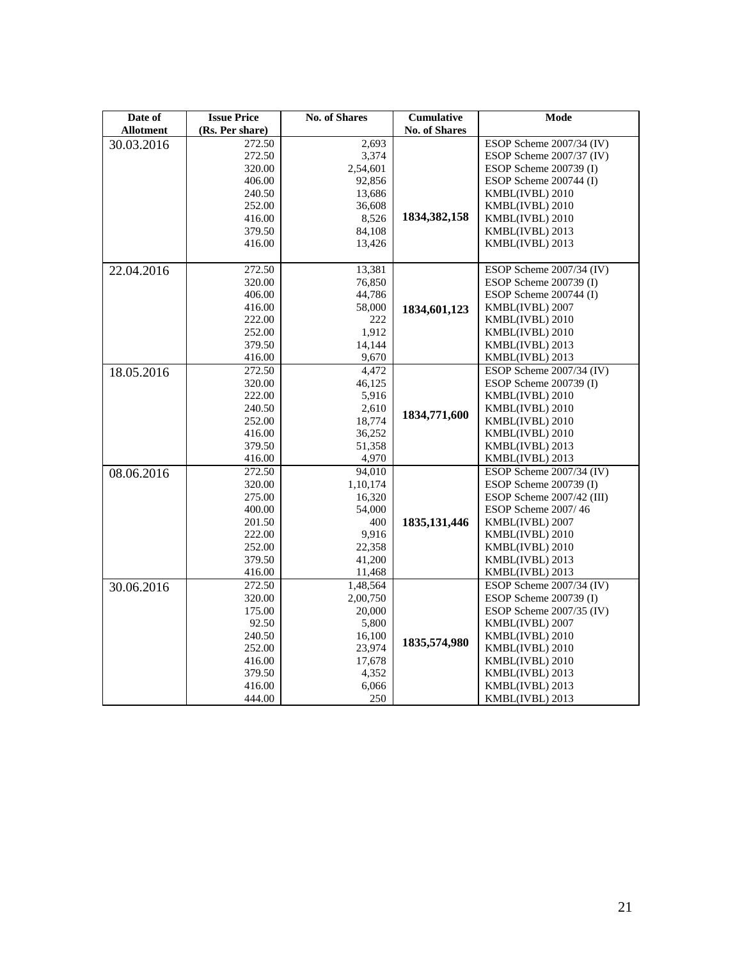| Date of          | <b>Issue Price</b> | <b>No. of Shares</b> | Cumulative           | <b>Mode</b>               |
|------------------|--------------------|----------------------|----------------------|---------------------------|
| <b>Allotment</b> | (Rs. Per share)    |                      | <b>No. of Shares</b> |                           |
| 30.03.2016       | 272.50             | 2,693                |                      | ESOP Scheme 2007/34 (IV)  |
|                  | 272.50             | 3,374                |                      | ESOP Scheme 2007/37 (IV)  |
|                  | 320.00             | 2,54,601             |                      | ESOP Scheme 200739 (I)    |
|                  | 406.00             | 92,856               |                      | ESOP Scheme 200744 (I)    |
|                  | 240.50             | 13,686               |                      | KMBL(IVBL) 2010           |
|                  | 252.00             | 36,608               |                      | KMBL(IVBL) 2010           |
|                  | 416.00             | 8,526                | 1834, 382, 158       | KMBL(IVBL) 2010           |
|                  | 379.50             | 84,108               |                      | KMBL(IVBL) 2013           |
|                  | 416.00             | 13,426               |                      | KMBL(IVBL) 2013           |
|                  |                    |                      |                      |                           |
| 22.04.2016       | 272.50             | 13,381               |                      | ESOP Scheme 2007/34 (IV)  |
|                  | 320.00             | 76,850               |                      | ESOP Scheme 200739 (I)    |
|                  | 406.00             | 44,786               |                      | ESOP Scheme 200744 (I)    |
|                  | 416.00             | 58,000               | 1834,601,123         | KMBL(IVBL) 2007           |
|                  | 222.00             | 222                  |                      | KMBL(IVBL) 2010           |
|                  | 252.00             | 1,912                |                      | KMBL(IVBL) 2010           |
|                  | 379.50             | 14,144               |                      | KMBL(IVBL) 2013           |
|                  | 416.00             | 9,670                |                      | KMBL(IVBL) 2013           |
| 18.05.2016       | 272.50             | 4,472                |                      | ESOP Scheme 2007/34 (IV)  |
|                  | 320.00             | 46,125               |                      | ESOP Scheme $200739$ (I)  |
|                  | 222.00             | 5,916                |                      | KMBL(IVBL) 2010           |
|                  | 240.50             | 2,610                | 1834,771,600         | KMBL(IVBL) 2010           |
|                  | 252.00             | 18,774               |                      | KMBL(IVBL) 2010           |
|                  | 416.00             | 36,252               |                      | KMBL(IVBL) 2010           |
|                  | 379.50             | 51,358               |                      | KMBL(IVBL) 2013           |
|                  | 416.00             | 4,970                |                      | KMBL(IVBL) 2013           |
| 08.06.2016       | 272.50             | 94,010               |                      | ESOP Scheme 2007/34 (IV)  |
|                  | 320.00             | 1,10,174             |                      | ESOP Scheme 200739 (I)    |
|                  | 275.00             | 16,320               |                      | ESOP Scheme 2007/42 (III) |
|                  | 400.00             | 54,000               |                      | ESOP Scheme 2007/46       |
|                  | 201.50             | 400                  | 1835, 131, 446       | KMBL(IVBL) 2007           |
|                  | 222.00             | 9,916                |                      | KMBL(IVBL) 2010           |
|                  | 252.00             | 22,358               |                      | KMBL(IVBL) 2010           |
|                  | 379.50             | 41,200               |                      | KMBL(IVBL) 2013           |
|                  | 416.00             | 11,468               |                      | KMBL(IVBL) 2013           |
| 30.06.2016       | 272.50             | 1,48,564             |                      | ESOP Scheme 2007/34 (IV)  |
|                  | 320.00             | 2,00,750             |                      | ESOP Scheme 200739 (I)    |
|                  | 175.00             | 20,000               |                      | ESOP Scheme 2007/35 (IV)  |
|                  | 92.50              | 5,800                |                      | KMBL(IVBL) 2007           |
|                  | 240.50             | 16,100               | 1835,574,980         | KMBL(IVBL) 2010           |
|                  | 252.00             | 23,974               |                      | KMBL(IVBL) 2010           |
|                  | 416.00             | 17,678               |                      | KMBL(IVBL) 2010           |
|                  | 379.50             | 4,352                |                      | KMBL(IVBL) 2013           |
|                  | 416.00             | 6,066                |                      | KMBL(IVBL) 2013           |
|                  | 444.00             | 250                  |                      | KMBL(IVBL) 2013           |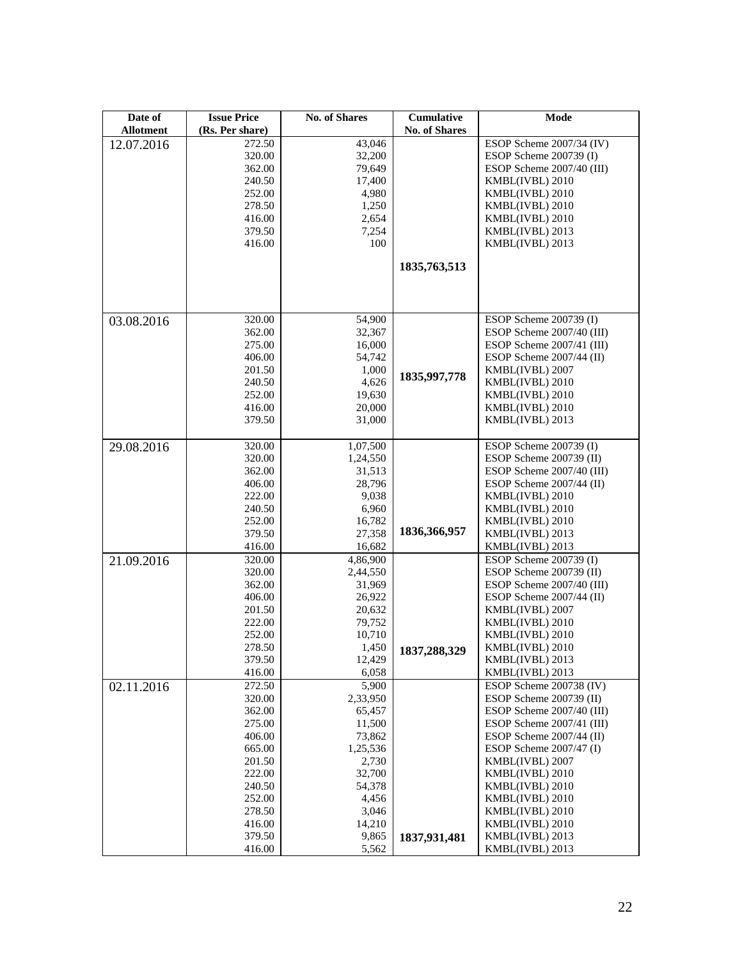| Date of<br><b>Allotment</b> | <b>Issue Price</b><br>(Rs. Per share) | <b>No. of Shares</b> | Cumulative<br><b>No. of Shares</b> | Mode                                               |
|-----------------------------|---------------------------------------|----------------------|------------------------------------|----------------------------------------------------|
|                             | 272.50                                | 43,046               |                                    | ESOP Scheme 2007/34 (IV)                           |
| 12.07.2016                  | 320.00                                | 32,200               |                                    | ESOP Scheme 200739 (I)                             |
|                             | 362.00                                | 79,649               |                                    | ESOP Scheme 2007/40 (III)                          |
|                             | 240.50                                | 17,400               |                                    | KMBL(IVBL) 2010                                    |
|                             |                                       |                      |                                    |                                                    |
|                             | 252.00                                | 4,980                |                                    | KMBL(IVBL) 2010                                    |
|                             | 278.50                                | 1,250                |                                    | KMBL(IVBL) 2010                                    |
|                             | 416.00                                | 2,654                |                                    | KMBL(IVBL) 2010                                    |
|                             | 379.50                                | 7,254                |                                    | KMBL(IVBL) 2013                                    |
|                             | 416.00                                | 100                  |                                    | KMBL(IVBL) 2013                                    |
|                             |                                       |                      | 1835, 763, 513                     |                                                    |
|                             |                                       |                      |                                    |                                                    |
|                             |                                       |                      |                                    |                                                    |
|                             |                                       |                      |                                    |                                                    |
| 03.08.2016                  | 320.00                                | 54,900               |                                    | ESOP Scheme 200739 (I)                             |
|                             | 362.00                                | 32,367               |                                    | ESOP Scheme 2007/40 (III)                          |
|                             | 275.00                                | 16,000               |                                    | ESOP Scheme 2007/41 (III)                          |
|                             | 406.00                                | 54,742               |                                    | ESOP Scheme 2007/44 (II)                           |
|                             | 201.50                                | 1,000                | 1835,997,778                       | KMBL(IVBL) 2007                                    |
|                             | 240.50                                | 4,626                |                                    | KMBL(IVBL) 2010                                    |
|                             | 252.00                                | 19,630               |                                    | KMBL(IVBL) 2010                                    |
|                             | 416.00                                | 20,000               |                                    | KMBL(IVBL) 2010                                    |
|                             | 379.50                                | 31,000               |                                    | KMBL(IVBL) 2013                                    |
|                             |                                       |                      |                                    |                                                    |
| 29.08.2016                  | 320.00                                | 1,07,500             |                                    | ESOP Scheme 200739 (I)                             |
|                             | 320.00                                | 1,24,550             |                                    | ESOP Scheme 200739 (II)                            |
|                             | 362.00                                | 31,513               |                                    | ESOP Scheme 2007/40 (III)                          |
|                             | 406.00                                | 28,796               |                                    | ESOP Scheme $2007/44$ (II)                         |
|                             | 222.00                                | 9,038                |                                    | KMBL(IVBL) 2010                                    |
|                             | 240.50                                | 6,960                |                                    | KMBL(IVBL) 2010                                    |
|                             | 252.00                                | 16,782               |                                    | KMBL(IVBL) 2010                                    |
|                             | 379.50                                | 27,358               | 1836,366,957                       | KMBL(IVBL) 2013                                    |
|                             | 416.00                                | 16,682               |                                    | KMBL(IVBL) 2013                                    |
| 21.09.2016                  | 320.00                                | 4,86,900             |                                    | ESOP Scheme 200739 (I)                             |
|                             | 320.00                                | 2,44,550             |                                    | ESOP Scheme 200739 (II)                            |
|                             | 362.00                                | 31,969               |                                    | ESOP Scheme 2007/40 (III)                          |
|                             | 406.00                                | 26,922               |                                    | ESOP Scheme 2007/44 (II)                           |
|                             | 201.50                                | 20,632               |                                    | KMBL(IVBL) 2007                                    |
|                             | 222.00                                | 79,752               |                                    | KMBL(IVBL) 2010                                    |
|                             | 252.00                                | 10,710               |                                    | KMBL(IVBL) 2010                                    |
|                             | 278.50                                | 1,450                | 1837,288,329                       | KMBL(IVBL) 2010                                    |
|                             | 379.50                                | 12,429               |                                    | KMBL(IVBL) 2013                                    |
|                             | 416.00                                | 6,058                |                                    | KMBL(IVBL) 2013                                    |
| 02.11.2016                  | 272.50<br>320.00                      | 5,900<br>2,33,950    |                                    | ESOP Scheme 200738 (IV)<br>ESOP Scheme 200739 (II) |
|                             | 362.00                                | 65,457               |                                    | ESOP Scheme 2007/40 (III)                          |
|                             | 275.00                                | 11,500               |                                    | ESOP Scheme 2007/41 (III)                          |
|                             | 406.00                                | 73,862               |                                    | ESOP Scheme 2007/44 (II)                           |
|                             | 665.00                                | 1,25,536             |                                    | ESOP Scheme $2007/47$ (I)                          |
|                             | 201.50                                | 2,730                |                                    | KMBL(IVBL) 2007                                    |
|                             | 222.00                                | 32,700               |                                    | KMBL(IVBL) 2010                                    |
|                             | 240.50                                | 54,378               |                                    | KMBL(IVBL) 2010                                    |
|                             | 252.00                                | 4,456                |                                    | KMBL(IVBL) 2010                                    |
|                             | 278.50                                | 3,046                |                                    | KMBL(IVBL) 2010                                    |
|                             | 416.00                                | 14,210               |                                    | KMBL(IVBL) 2010                                    |
|                             | 379.50                                | 9,865                | 1837,931,481                       | KMBL(IVBL) 2013                                    |
|                             | 416.00                                | 5,562                |                                    | KMBL(IVBL) 2013                                    |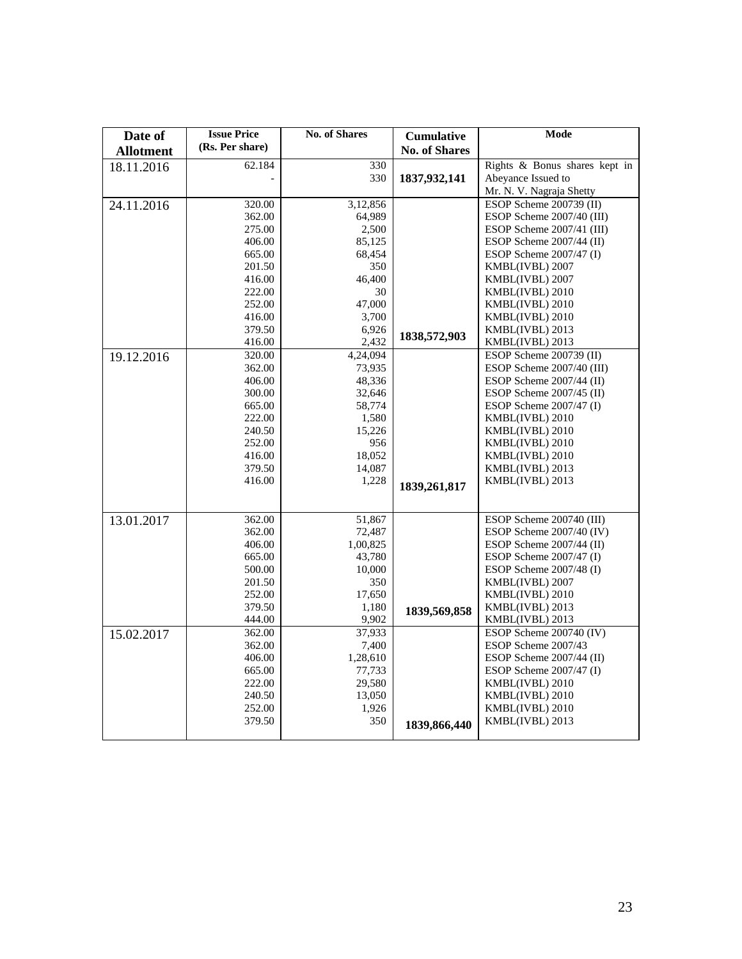| Date of          | <b>Issue Price</b> | <b>No. of Shares</b> | <b>Cumulative</b>    | Mode                                                   |
|------------------|--------------------|----------------------|----------------------|--------------------------------------------------------|
| <b>Allotment</b> | (Rs. Per share)    |                      | <b>No. of Shares</b> |                                                        |
| 18.11.2016       | 62.184             | 330                  |                      | Rights & Bonus shares kept in                          |
|                  |                    | 330                  | 1837,932,141         | Abeyance Issued to                                     |
|                  |                    |                      |                      | Mr. N. V. Nagraja Shetty                               |
| 24.11.2016       | 320.00             | 3,12,856             |                      | ESOP Scheme 200739 (II)                                |
|                  | 362.00             | 64,989               |                      | ESOP Scheme 2007/40 (III)                              |
|                  | 275.00             | 2,500                |                      | ESOP Scheme 2007/41 (III)                              |
|                  | 406.00             | 85,125               |                      | ESOP Scheme 2007/44 (II)                               |
|                  | 665.00<br>201.50   | 68,454<br>350        |                      | ESOP Scheme $2007/47$ (I)<br>KMBL(IVBL) 2007           |
|                  | 416.00             | 46,400               |                      | KMBL(IVBL) 2007                                        |
|                  | 222.00             | 30                   |                      | KMBL(IVBL) 2010                                        |
|                  | 252.00             | 47,000               |                      | KMBL(IVBL) 2010                                        |
|                  | 416.00             | 3,700                |                      | KMBL(IVBL) 2010                                        |
|                  | 379.50             | 6,926                |                      | KMBL(IVBL) 2013                                        |
|                  | 416.00             | 2,432                | 1838,572,903         | KMBL(IVBL) 2013                                        |
| 19.12.2016       | 320.00             | 4,24,094             |                      | ESOP Scheme 200739 (II)                                |
|                  | 362.00             | 73,935               |                      | ESOP Scheme 2007/40 (III)                              |
|                  | 406.00             | 48,336               |                      | ESOP Scheme $2007/44$ (II)                             |
|                  | 300.00             | 32,646               |                      | ESOP Scheme $2007/45$ (II)                             |
|                  | 665.00             | 58,774               |                      | ESOP Scheme $2007/47$ (I)                              |
|                  | 222.00<br>240.50   | 1,580<br>15,226      |                      | KMBL(IVBL) 2010<br>KMBL(IVBL) 2010                     |
|                  | 252.00             | 956                  |                      | KMBL(IVBL) 2010                                        |
|                  | 416.00             | 18,052               |                      | KMBL(IVBL) 2010                                        |
|                  | 379.50             | 14,087               |                      | KMBL(IVBL) 2013                                        |
|                  | 416.00             | 1,228                |                      | KMBL(IVBL) 2013                                        |
|                  |                    |                      | 1839,261,817         |                                                        |
|                  |                    |                      |                      |                                                        |
| 13.01.2017       | 362.00             | 51,867               |                      | ESOP Scheme 200740 (III)                               |
|                  | 362.00             | 72,487               |                      | ESOP Scheme $2007/40$ (IV)                             |
|                  | 406.00             | 1,00,825             |                      | ESOP Scheme 2007/44 (II)                               |
|                  | 665.00<br>500.00   | 43,780<br>10,000     |                      | ESOP Scheme $2007/47$ (I)<br>ESOP Scheme $2007/48$ (I) |
|                  | 201.50             | 350                  |                      | KMBL(IVBL) 2007                                        |
|                  | 252.00             | 17,650               |                      | KMBL(IVBL) 2010                                        |
|                  | 379.50             | 1,180                |                      | KMBL(IVBL) 2013                                        |
|                  | 444.00             | 9,902                | 1839,569,858         | KMBL(IVBL) 2013                                        |
| 15.02.2017       | 362.00             | 37,933               |                      | ESOP Scheme 200740 (IV)                                |
|                  | 362.00             | 7,400                |                      | ESOP Scheme 2007/43                                    |
|                  | 406.00             | 1,28,610             |                      | ESOP Scheme $2007/44$ (II)                             |
|                  | 665.00             | 77,733               |                      | ESOP Scheme $2007/47$ (I)                              |
|                  | 222.00             | 29,580               |                      | KMBL(IVBL) 2010                                        |
|                  | 240.50             | 13,050               |                      | KMBL(IVBL) 2010                                        |
|                  | 252.00             | 1,926                |                      | KMBL(IVBL) 2010                                        |
|                  | 379.50             | 350                  | 1839,866,440         | KMBL(IVBL) 2013                                        |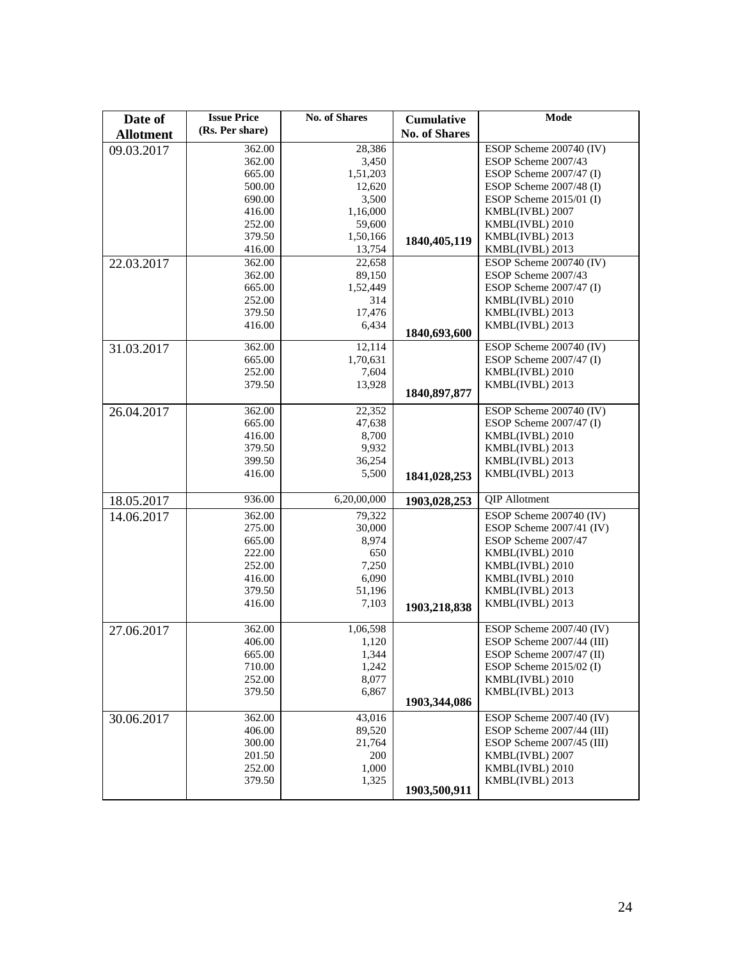| Date of          | <b>Issue Price</b> | <b>No. of Shares</b> | <b>Cumulative</b>    | Mode                       |
|------------------|--------------------|----------------------|----------------------|----------------------------|
| <b>Allotment</b> | (Rs. Per share)    |                      | <b>No. of Shares</b> |                            |
| 09.03.2017       | 362.00             | 28,386               |                      | ESOP Scheme 200740 (IV)    |
|                  | 362.00             | 3,450                |                      | ESOP Scheme 2007/43        |
|                  | 665.00             | 1,51,203             |                      | ESOP Scheme 2007/47 (I)    |
|                  | 500.00             | 12,620               |                      | ESOP Scheme 2007/48 (I)    |
|                  | 690.00             | 3,500                |                      | ESOP Scheme 2015/01 (I)    |
|                  | 416.00             | 1,16,000             |                      | KMBL(IVBL) 2007            |
|                  | 252.00             | 59,600               |                      | KMBL(IVBL) 2010            |
|                  | 379.50             | 1,50,166             |                      | KMBL(IVBL) 2013            |
|                  | 416.00             | 13,754               | 1840, 405, 119       | KMBL(IVBL) 2013            |
| 22.03.2017       | 362.00             | 22,658               |                      | ESOP Scheme 200740 (IV)    |
|                  | 362.00             | 89,150               |                      | ESOP Scheme 2007/43        |
|                  | 665.00             | 1,52,449             |                      | ESOP Scheme 2007/47 (I)    |
|                  | 252.00             | 314                  |                      | KMBL(IVBL) 2010            |
|                  | 379.50             | 17,476               |                      | KMBL(IVBL) 2013            |
|                  | 416.00             | 6,434                |                      | KMBL(IVBL) 2013            |
|                  |                    |                      | 1840,693,600         |                            |
| 31.03.2017       | 362.00             | 12,114               |                      | ESOP Scheme 200740 (IV)    |
|                  | 665.00             | 1,70,631             |                      | ESOP Scheme 2007/47 (I)    |
|                  | 252.00             | 7,604                |                      | KMBL(IVBL) 2010            |
|                  | 379.50             | 13,928               | 1840, 897, 877       | KMBL(IVBL) 2013            |
|                  |                    |                      |                      |                            |
| 26.04.2017       | 362.00             | 22,352               |                      | ESOP Scheme 200740 (IV)    |
|                  | 665.00             | 47,638               |                      | ESOP Scheme 2007/47 (I)    |
|                  | 416.00             | 8,700                |                      | KMBL(IVBL) 2010            |
|                  | 379.50             | 9,932                |                      | KMBL(IVBL) 2013            |
|                  | 399.50             | 36,254               |                      | KMBL(IVBL) 2013            |
|                  | 416.00             | 5,500                | 1841,028,253         | KMBL(IVBL) 2013            |
| 18.05.2017       | 936.00             | 6,20,00,000          | 1903,028,253         | QIP Allotment              |
| 14.06.2017       | 362.00             | 79,322               |                      | ESOP Scheme 200740 (IV)    |
|                  | 275.00             | 30,000               |                      | ESOP Scheme 2007/41 (IV)   |
|                  | 665.00             | 8,974                |                      | ESOP Scheme 2007/47        |
|                  | 222.00             | 650                  |                      | KMBL(IVBL) 2010            |
|                  | 252.00             | 7,250                |                      | KMBL(IVBL) 2010            |
|                  | 416.00             | 6,090                |                      | KMBL(IVBL) 2010            |
|                  | 379.50             | 51,196               |                      | KMBL(IVBL) 2013            |
|                  | 416.00             | 7,103                | 1903,218,838         | KMBL(IVBL) 2013            |
| 27.06.2017       | 362.00             | 1,06,598             |                      | ESOP Scheme 2007/40 (IV)   |
|                  | 406.00             | 1,120                |                      | ESOP Scheme 2007/44 (III)  |
|                  | 665.00             | 1,344                |                      | ESOP Scheme $2007/47$ (II) |
|                  | 710.00             | 1,242                |                      | ESOP Scheme 2015/02 (I)    |
|                  | 252.00             | 8,077                |                      | KMBL(IVBL) 2010            |
|                  | 379.50             | 6,867                |                      | KMBL(IVBL) 2013            |
|                  |                    |                      | 1903,344,086         |                            |
| 30.06.2017       | 362.00             | 43,016               |                      | ESOP Scheme 2007/40 (IV)   |
|                  | 406.00             | 89,520               |                      | ESOP Scheme 2007/44 (III)  |
|                  | 300.00             | 21,764               |                      | ESOP Scheme 2007/45 (III)  |
|                  | 201.50             | 200                  |                      | KMBL(IVBL) 2007            |
|                  | 252.00             | 1,000                |                      | KMBL(IVBL) 2010            |
|                  | 379.50             | 1,325                |                      | KMBL(IVBL) 2013            |
|                  |                    |                      | 1903,500,911         |                            |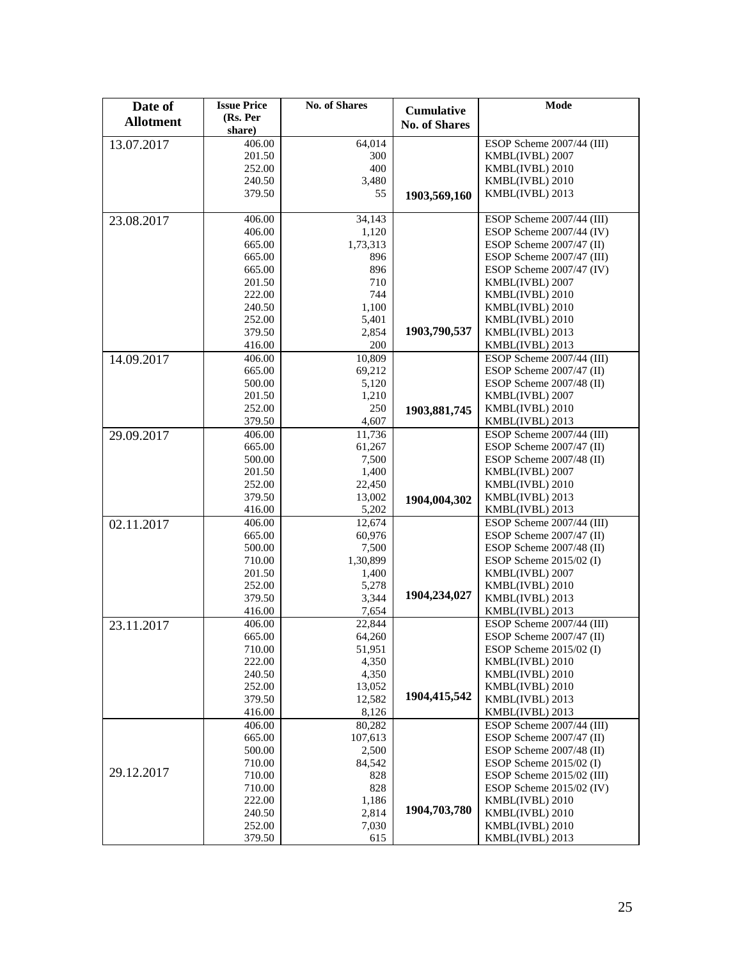| Date of          | <b>Issue Price</b> | <b>No. of Shares</b> | <b>Cumulative</b>    | Mode                               |
|------------------|--------------------|----------------------|----------------------|------------------------------------|
| <b>Allotment</b> | (Rs. Per           |                      | <b>No. of Shares</b> |                                    |
|                  | share)<br>406.00   | 64,014               |                      | ESOP Scheme 2007/44 (III)          |
| 13.07.2017       | 201.50             | 300                  |                      | KMBL(IVBL) 2007                    |
|                  | 252.00             | 400                  |                      | KMBL(IVBL) 2010                    |
|                  | 240.50             | 3,480                |                      | KMBL(IVBL) 2010                    |
|                  | 379.50             | 55                   | 1903,569,160         | KMBL(IVBL) 2013                    |
|                  |                    |                      |                      |                                    |
| 23.08.2017       | 406.00             | 34,143               |                      | ESOP Scheme 2007/44 (III)          |
|                  | 406.00             | 1,120                |                      | ESOP Scheme 2007/44 (IV)           |
|                  | 665.00             | 1,73,313             |                      | ESOP Scheme $2007/47$ (II)         |
|                  | 665.00             | 896                  |                      | ESOP Scheme 2007/47 (III)          |
|                  | 665.00             | 896<br>710           |                      | ESOP Scheme 2007/47 (IV)           |
|                  | 201.50<br>222.00   | 744                  |                      | KMBL(IVBL) 2007<br>KMBL(IVBL) 2010 |
|                  | 240.50             | 1,100                |                      | KMBL(IVBL) 2010                    |
|                  | 252.00             | 5,401                |                      | KMBL(IVBL) 2010                    |
|                  | 379.50             | 2,854                | 1903,790,537         | KMBL(IVBL) 2013                    |
|                  | 416.00             | 200                  |                      | KMBL(IVBL) 2013                    |
| 14.09.2017       | 406.00             | 10,809               |                      | ESOP Scheme 2007/44 (III)          |
|                  | 665.00             | 69,212               |                      | ESOP Scheme $2007/47$ (II)         |
|                  | 500.00             | 5,120                |                      | ESOP Scheme 2007/48 (II)           |
|                  | 201.50             | 1,210                |                      | KMBL(IVBL) 2007                    |
|                  | 252.00             | 250                  | 1903,881,745         | KMBL(IVBL) 2010                    |
|                  | 379.50             | 4,607                |                      | KMBL(IVBL) 2013                    |
| 29.09.2017       | 406.00             | 11,736               |                      | ESOP Scheme 2007/44 (III)          |
|                  | 665.00             | 61,267               |                      | ESOP Scheme 2007/47 (II)           |
|                  | 500.00             | 7,500                |                      | ESOP Scheme 2007/48 (II)           |
|                  | 201.50             | 1,400                |                      | KMBL(IVBL) 2007                    |
|                  | 252.00             | 22,450               |                      | KMBL(IVBL) 2010                    |
|                  | 379.50<br>416.00   | 13,002<br>5,202      | 1904,004,302         | KMBL(IVBL) 2013<br>KMBL(IVBL) 2013 |
| 02.11.2017       | 406.00             | 12,674               |                      | ESOP Scheme 2007/44 (III)          |
|                  | 665.00             | 60,976               |                      | ESOP Scheme 2007/47 (II)           |
|                  | 500.00             | 7,500                |                      | ESOP Scheme 2007/48 (II)           |
|                  | 710.00             | 1,30,899             |                      | ESOP Scheme $2015/02$ (I)          |
|                  | 201.50             | 1,400                |                      | KMBL(IVBL) 2007                    |
|                  | 252.00             | 5,278                |                      | KMBL(IVBL) 2010                    |
|                  | 379.50             | 3,344                | 1904,234,027         | KMBL(IVBL) 2013                    |
|                  | 416.00             | 7,654                |                      | KMBL(IVBL) 2013                    |
| 23.11.2017       | 406.00             | 22,844               |                      | ESOP Scheme 2007/44 (III)          |
|                  | 665.00             | 64,260               |                      | ESOP Scheme 2007/47 (II)           |
|                  | 710.00             | 51,951               |                      | ESOP Scheme 2015/02 (I)            |
|                  | 222.00             | 4,350                |                      | KMBL(IVBL) 2010                    |
|                  | 240.50             | 4,350                |                      | KMBL(IVBL) 2010                    |
|                  | 252.00<br>379.50   | 13,052               | 1904,415,542         | KMBL(IVBL) 2010                    |
|                  | 416.00             | 12,582<br>8,126      |                      | KMBL(IVBL) 2013<br>KMBL(IVBL) 2013 |
|                  | 406.00             | 80,282               |                      | ESOP Scheme 2007/44 (III)          |
|                  | 665.00             | 107,613              |                      | ESOP Scheme 2007/47 (II)           |
|                  | 500.00             | 2,500                |                      | ESOP Scheme 2007/48 (II)           |
|                  | 710.00             | 84,542               |                      | ESOP Scheme $2015/02$ (I)          |
| 29.12.2017       | 710.00             | 828                  |                      | ESOP Scheme 2015/02 (III)          |
|                  | 710.00             | 828                  |                      | ESOP Scheme 2015/02 (IV)           |
|                  | 222.00             | 1,186                |                      | KMBL(IVBL) 2010                    |
|                  | 240.50             | 2,814                | 1904,703,780         | KMBL(IVBL) 2010                    |
|                  | 252.00             | 7,030                |                      | KMBL(IVBL) 2010                    |
|                  | 379.50             | 615                  |                      | KMBL(IVBL) 2013                    |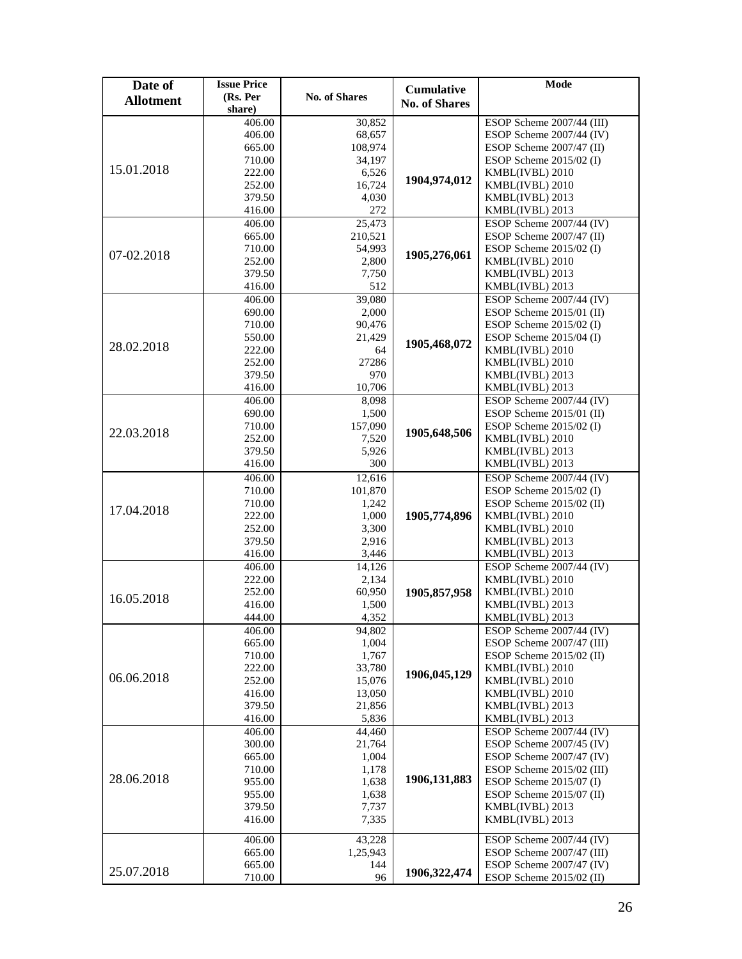| Date of          | <b>Issue Price</b> |                      | <b>Cumulative</b>    | Mode                                         |
|------------------|--------------------|----------------------|----------------------|----------------------------------------------|
| <b>Allotment</b> | (Rs. Per           | <b>No. of Shares</b> | <b>No. of Shares</b> |                                              |
|                  | share)             |                      |                      |                                              |
|                  | 406.00             | 30,852               |                      | ESOP Scheme 2007/44 (III)                    |
|                  | 406.00             | 68,657               |                      | ESOP Scheme 2007/44 (IV)                     |
|                  | 665.00             | 108,974              |                      | ESOP Scheme $2007/47$ (II)                   |
| 15.01.2018       | 710.00             | 34,197               |                      | ESOP Scheme $2015/02$ (I)                    |
|                  | 222.00             | 6,526                | 1904,974,012         | KMBL(IVBL) 2010                              |
|                  | 252.00             | 16,724               |                      | KMBL(IVBL) 2010                              |
|                  | 379.50             | 4,030                |                      | KMBL(IVBL) 2013                              |
|                  | 416.00             | 272                  |                      | KMBL(IVBL) 2013                              |
|                  | 406.00             | 25,473               |                      | ESOP Scheme 2007/44 (IV)                     |
|                  | 665.00             | 210,521              |                      | ESOP Scheme 2007/47 (II)                     |
| 07-02.2018       | 710.00<br>252.00   | 54,993<br>2,800      | 1905,276,061         | ESOP Scheme $2015/02$ (I)<br>KMBL(IVBL) 2010 |
|                  | 379.50             | 7,750                |                      | KMBL(IVBL) 2013                              |
|                  | 416.00             | 512                  |                      | KMBL(IVBL) 2013                              |
|                  | 406.00             | 39,080               |                      | ESOP Scheme 2007/44 (IV)                     |
|                  | 690.00             | 2,000                |                      | ESOP Scheme $2015/01$ (II)                   |
|                  | 710.00             | 90,476               |                      | ESOP Scheme $2015/02$ (I)                    |
|                  | 550.00             | 21,429               |                      | ESOP Scheme $2015/04$ (I)                    |
| 28.02.2018       | 222.00             | 64                   | 1905,468,072         | KMBL(IVBL) 2010                              |
|                  | 252.00             | 27286                |                      | KMBL(IVBL) 2010                              |
|                  | 379.50             | 970                  |                      | KMBL(IVBL) 2013                              |
|                  | 416.00             | 10,706               |                      | KMBL(IVBL) 2013                              |
|                  | 406.00             | 8,098                |                      | ESOP Scheme 2007/44 (IV)                     |
|                  | 690.00             | 1,500                |                      | ESOP Scheme 2015/01 (II)                     |
|                  | 710.00             | 157,090              |                      | ESOP Scheme 2015/02 (I)                      |
| 22.03.2018       | 252.00             | 7,520                | 1905,648,506         | KMBL(IVBL) 2010                              |
|                  | 379.50             | 5,926                |                      | KMBL(IVBL) 2013                              |
|                  | 416.00             | 300                  |                      | KMBL(IVBL) 2013                              |
|                  | 406.00             | 12,616               |                      | ESOP Scheme 2007/44 (IV)                     |
|                  | 710.00             | 101,870              |                      | ESOP Scheme $2015/02$ (I)                    |
|                  | 710.00             | 1,242                |                      | ESOP Scheme 2015/02 (II)                     |
| 17.04.2018       | 222.00             | 1,000                | 1905,774,896         | KMBL(IVBL) 2010                              |
|                  | 252.00             | 3,300                |                      | KMBL(IVBL) 2010                              |
|                  | 379.50             | 2,916                |                      | KMBL(IVBL) 2013                              |
|                  | 416.00             | 3,446                |                      | KMBL(IVBL) 2013                              |
|                  | 406.00             | 14,126               |                      | ESOP Scheme 2007/44 (IV)                     |
|                  | 222.00             | 2,134                |                      | KMBL(IVBL) 2010                              |
| 16.05.2018       | 252.00             | 60,950               | 1905,857,958         | KMBL(IVBL) 2010                              |
|                  | 416.00             | 1,500                |                      | KMBL(IVBL) 2013                              |
|                  | 444.00             | 4.352                |                      | KMBL(IVBL) 2013                              |
|                  | 406.00             | 94,802               |                      | ESOP Scheme 2007/44 (IV)                     |
|                  | 665.00             | 1,004                |                      | ESOP Scheme 2007/47 (III)                    |
|                  | 710.00             | 1,767                |                      | ESOP Scheme $2015/02$ (II)                   |
| 06.06.2018       | 222.00             | 33,780               | 1906,045,129         | KMBL(IVBL) 2010                              |
|                  | 252.00             | 15,076               |                      | KMBL(IVBL) 2010                              |
|                  | 416.00<br>379.50   | 13,050<br>21,856     |                      | KMBL(IVBL) 2010                              |
|                  | 416.00             | 5,836                |                      | KMBL(IVBL) 2013<br>KMBL(IVBL) 2013           |
|                  |                    |                      |                      | ESOP Scheme 2007/44 (IV)                     |
|                  | 406.00<br>300.00   | 44,460<br>21,764     |                      | ESOP Scheme 2007/45 (IV)                     |
|                  | 665.00             | 1,004                |                      | ESOP Scheme 2007/47 (IV)                     |
|                  | 710.00             | 1,178                |                      | ESOP Scheme 2015/02 (III)                    |
| 28.06.2018       | 955.00             | 1,638                | 1906,131,883         | ESOP Scheme $2015/07$ (I)                    |
|                  | 955.00             | 1,638                |                      | ESOP Scheme 2015/07 (II)                     |
|                  | 379.50             | 7,737                |                      | KMBL(IVBL) 2013                              |
|                  | 416.00             | 7,335                |                      | KMBL(IVBL) 2013                              |
|                  |                    |                      |                      |                                              |
|                  | 406.00             | 43,228               |                      | ESOP Scheme 2007/44 (IV)                     |
|                  | 665.00             | 1,25,943             |                      | ESOP Scheme 2007/47 (III)                    |
| 25.07.2018       | 665.00             | 144                  | 1906, 322, 474       | ESOP Scheme 2007/47 (IV)                     |
|                  | 710.00             | 96                   |                      | ESOP Scheme 2015/02 (II)                     |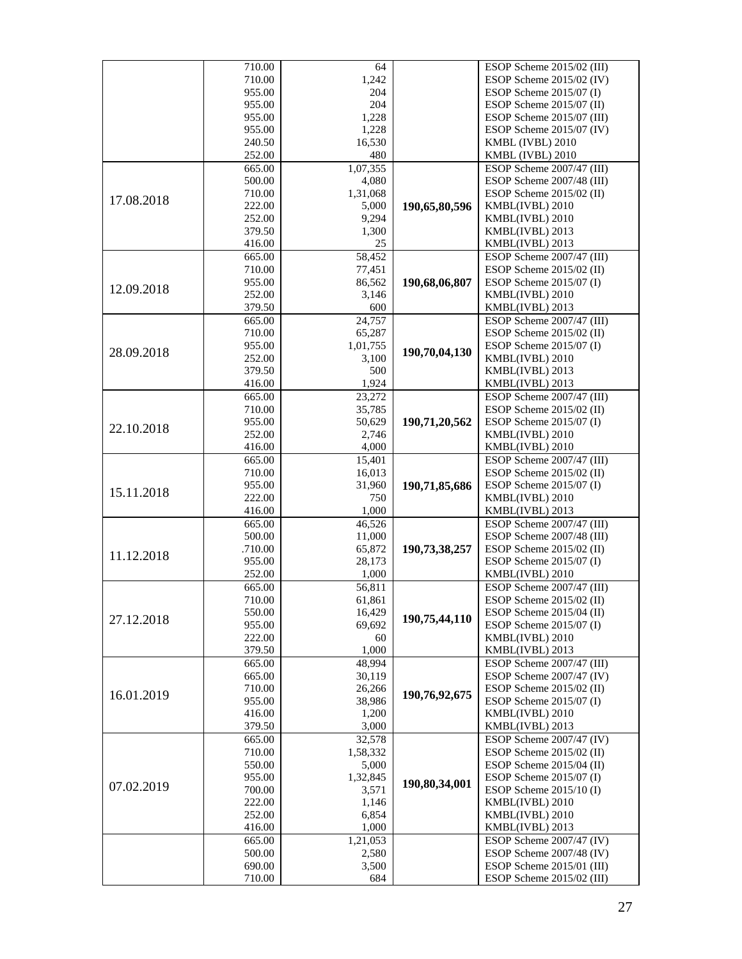|            | 710.00           | 64           |               | ESOP Scheme 2015/02 (III)                    |
|------------|------------------|--------------|---------------|----------------------------------------------|
|            | 710.00           | 1,242        |               | ESOP Scheme 2015/02 (IV)                     |
|            | 955.00           | 204          |               | ESOP Scheme $2015/07$ (I)                    |
|            | 955.00           | 204          |               | ESOP Scheme $2015/07$ (II)                   |
|            | 955.00           | 1,228        |               | ESOP Scheme 2015/07 (III)                    |
|            | 955.00           | 1,228        |               | ESOP Scheme 2015/07 (IV)                     |
|            | 240.50           | 16,530       |               | KMBL (IVBL) 2010                             |
|            | 252.00           | 480          |               | KMBL (IVBL) 2010                             |
|            | 665.00           | 1,07,355     |               | ESOP Scheme 2007/47 (III)                    |
|            | 500.00           | 4,080        |               | ESOP Scheme 2007/48 (III)                    |
| 17.08.2018 | 710.00           | 1,31,068     |               | ESOP Scheme $2015/02$ (II)                   |
|            | 222.00           | 5,000        | 190,65,80,596 | KMBL(IVBL) 2010                              |
|            | 252.00           | 9,294        |               | KMBL(IVBL) 2010                              |
|            | 379.50<br>416.00 | 1,300<br>25  |               | KMBL(IVBL) 2013                              |
|            | 665.00           | 58,452       |               | KMBL(IVBL) 2013<br>ESOP Scheme 2007/47 (III) |
|            | 710.00           | 77,451       |               | ESOP Scheme 2015/02 (II)                     |
|            | 955.00           | 86,562       | 190,68,06,807 | ESOP Scheme 2015/07 (I)                      |
| 12.09.2018 | 252.00           | 3,146        |               | KMBL(IVBL) 2010                              |
|            | 379.50           | 600          |               | KMBL(IVBL) 2013                              |
|            | 665.00           | 24,757       |               | ESOP Scheme 2007/47 (III)                    |
|            | 710.00           | 65,287       |               | ESOP Scheme $2015/02$ (II)                   |
|            | 955.00           | 1,01,755     |               | ESOP Scheme 2015/07 (I)                      |
| 28.09.2018 | 252.00           | 3,100        | 190,70,04,130 | KMBL(IVBL) 2010                              |
|            | 379.50           | 500          |               | KMBL(IVBL) 2013                              |
|            | 416.00           | 1,924        |               | KMBL(IVBL) 2013                              |
|            | 665.00           | 23,272       |               | ESOP Scheme 2007/47 (III)                    |
|            | 710.00           | 35,785       |               | ESOP Scheme $2015/02$ (II)                   |
|            | 955.00           | 50,629       | 190,71,20,562 | ESOP Scheme $2015/07$ (I)                    |
| 22.10.2018 | 252.00           | 2,746        |               | KMBL(IVBL) 2010                              |
|            | 416.00           | 4,000        |               | KMBL(IVBL) 2010                              |
|            | 665.00           | 15,401       |               | ESOP Scheme 2007/47 (III)                    |
|            | 710.00           | 16,013       |               | ESOP Scheme $2015/02$ (II)                   |
| 15.11.2018 | 955.00           | 31,960       | 190,71,85,686 | ESOP Scheme 2015/07 (I)                      |
|            | 222.00           | 750          |               | KMBL(IVBL) 2010                              |
|            | 416.00           | 1,000        |               | KMBL(IVBL) 2013                              |
|            | 665.00           | 46,526       |               | ESOP Scheme 2007/47 (III)                    |
|            | 500.00           | 11,000       |               | ESOP Scheme 2007/48 (III)                    |
| 11.12.2018 | .710.00          | 65,872       | 190,73,38,257 | ESOP Scheme $2015/02$ (II)                   |
|            | 955.00           | 28,173       |               | ESOP Scheme 2015/07 (I)                      |
|            | 252.00           | 1,000        |               | KMBL(IVBL) 2010                              |
|            | 665.00           | 56,811       |               | ESOP Scheme 2007/47 (III)                    |
|            | 710.00           | 61,861       |               | ESOP Scheme $2015/02$ (II)                   |
| 27.12.2018 | 550.00           | 16,429       | 190,75,44,110 | ESOP Scheme 2015/04 (II)                     |
|            | 955.00<br>222.00 | 69,692<br>60 |               | ESOP Scheme 2015/07 (I)<br>KMBL(IVBL) 2010   |
|            | 379.50           | 1,000        |               | KMBL(IVBL) 2013                              |
|            | 665.00           | 48,994       |               | ESOP Scheme 2007/47 (III)                    |
|            | 665.00           | 30,119       |               | ESOP Scheme 2007/47 (IV)                     |
|            | 710.00           | 26,266       |               | ESOP Scheme $2015/02$ (II)                   |
| 16.01.2019 | 955.00           | 38,986       | 190,76,92,675 | ESOP Scheme $2015/07$ (I)                    |
|            | 416.00           | 1,200        |               | KMBL(IVBL) 2010                              |
|            | 379.50           | 3,000        |               | KMBL(IVBL) 2013                              |
|            | 665.00           | 32,578       |               | ESOP Scheme 2007/47 (IV)                     |
|            | 710.00           | 1,58,332     |               | ESOP Scheme $2015/02$ (II)                   |
|            | 550.00           | 5,000        |               | ESOP Scheme 2015/04 (II)                     |
|            | 955.00           | 1,32,845     |               | ESOP Scheme $2015/07$ (I)                    |
| 07.02.2019 | 700.00           | 3,571        | 190,80,34,001 | ESOP Scheme $2015/10$ (I)                    |
|            | 222.00           | 1,146        |               | KMBL(IVBL) 2010                              |
|            | 252.00           | 6,854        |               | KMBL(IVBL) 2010                              |
|            | 416.00           | 1,000        |               | KMBL(IVBL) 2013                              |
|            | 665.00           | 1,21,053     |               | ESOP Scheme 2007/47 (IV)                     |
|            | 500.00           | 2,580        |               | ESOP Scheme 2007/48 (IV)                     |
|            | 690.00           | 3,500        |               | ESOP Scheme 2015/01 (III)                    |
|            | 710.00           | 684          |               | ESOP Scheme 2015/02 (III)                    |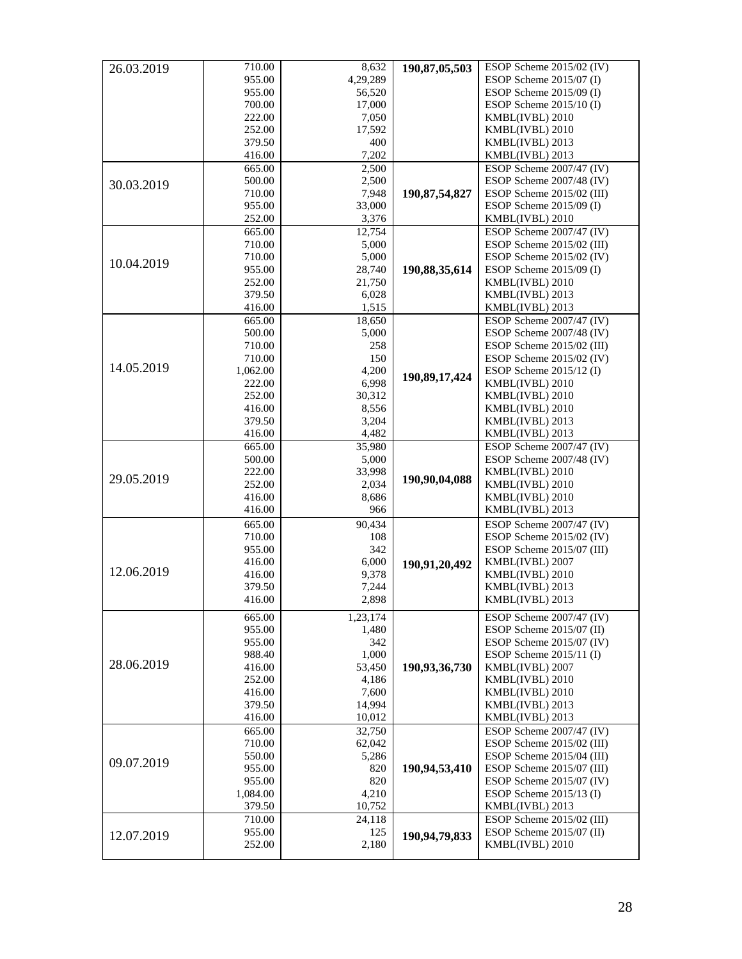| 26.03.2019 | 710.00   | 8,632    | 190,87,05,503    | ESOP Scheme $2015/02$ (IV) |
|------------|----------|----------|------------------|----------------------------|
|            | 955.00   | 4,29,289 |                  | ESOP Scheme 2015/07 (I)    |
|            | 955.00   | 56,520   |                  | ESOP Scheme 2015/09 (I)    |
|            | 700.00   | 17,000   |                  | ESOP Scheme 2015/10 (I)    |
|            | 222.00   | 7,050    |                  | KMBL(IVBL) 2010            |
|            |          |          |                  |                            |
|            | 252.00   | 17,592   |                  | KMBL(IVBL) 2010            |
|            | 379.50   | 400      |                  | KMBL(IVBL) 2013            |
|            | 416.00   | 7,202    |                  | KMBL(IVBL) 2013            |
|            | 665.00   | 2,500    |                  | ESOP Scheme 2007/47 (IV)   |
| 30.03.2019 | 500.00   | 2,500    |                  | ESOP Scheme 2007/48 (IV)   |
|            | 710.00   | 7,948    | 190, 87, 54, 827 | ESOP Scheme 2015/02 (III)  |
|            | 955.00   | 33,000   |                  | ESOP Scheme 2015/09 (I)    |
|            | 252.00   | 3,376    |                  | KMBL(IVBL) 2010            |
|            | 665.00   | 12,754   |                  | ESOP Scheme 2007/47 (IV)   |
|            | 710.00   | 5,000    |                  | ESOP Scheme 2015/02 (III)  |
|            | 710.00   | 5,000    |                  | ESOP Scheme 2015/02 (IV)   |
| 10.04.2019 | 955.00   | 28,740   | 190,88,35,614    | ESOP Scheme 2015/09 (I)    |
|            | 252.00   | 21,750   |                  | KMBL(IVBL) 2010            |
|            | 379.50   | 6,028    |                  | KMBL(IVBL) 2013            |
|            | 416.00   | 1,515    |                  | KMBL(IVBL) 2013            |
|            | 665.00   | 18,650   |                  | ESOP Scheme 2007/47 (IV)   |
|            | 500.00   | 5,000    |                  | ESOP Scheme 2007/48 (IV)   |
|            | 710.00   | 258      |                  | ESOP Scheme 2015/02 (III)  |
|            | 710.00   | 150      |                  | ESOP Scheme 2015/02 (IV)   |
| 14.05.2019 |          |          |                  |                            |
|            | 1,062.00 | 4,200    | 190,89,17,424    | ESOP Scheme 2015/12 (I)    |
|            | 222.00   | 6,998    |                  | KMBL(IVBL) 2010            |
|            | 252.00   | 30,312   |                  | KMBL(IVBL) 2010            |
|            | 416.00   | 8,556    |                  | KMBL(IVBL) 2010            |
|            | 379.50   | 3,204    |                  | KMBL(IVBL) 2013            |
|            | 416.00   | 4,482    |                  | KMBL(IVBL) 2013            |
|            | 665.00   | 35,980   |                  | ESOP Scheme 2007/47 (IV)   |
|            | 500.00   | 5,000    |                  | ESOP Scheme 2007/48 (IV)   |
| 29.05.2019 | 222.00   | 33,998   | 190,90,04,088    | KMBL(IVBL) 2010            |
|            | 252.00   | 2,034    |                  | KMBL(IVBL) 2010            |
|            | 416.00   | 8,686    |                  | KMBL(IVBL) 2010            |
|            | 416.00   | 966      |                  | KMBL(IVBL) 2013            |
|            | 665.00   | 90,434   |                  | ESOP Scheme 2007/47 (IV)   |
|            | 710.00   | 108      |                  | ESOP Scheme 2015/02 (IV)   |
|            | 955.00   | 342      |                  | ESOP Scheme 2015/07 (III)  |
|            | 416.00   | 6,000    | 190,91,20,492    | KMBL(IVBL) 2007            |
| 12.06.2019 | 416.00   | 9,378    |                  | KMBL(IVBL) 2010            |
|            | 379.50   | 7,244    |                  | KMBL(IVBL) 2013            |
|            | 416.00   | 2,898    |                  | KMBL(IVBL) 2013            |
|            |          |          |                  |                            |
|            | 665.00   | 1,23,174 |                  | ESOP Scheme 2007/47 (IV)   |
|            | 955.00   | 1,480    |                  | ESOP Scheme 2015/07 (II)   |
|            | 955.00   | 342      |                  | ESOP Scheme 2015/07 (IV)   |
|            | 988.40   | 1,000    |                  | ESOP Scheme $2015/11$ (I)  |
| 28.06.2019 | 416.00   | 53,450   | 190,93,36,730    | KMBL(IVBL) 2007            |
|            | 252.00   | 4,186    |                  | KMBL(IVBL) 2010            |
|            | 416.00   | 7,600    |                  | KMBL(IVBL) 2010            |
|            | 379.50   | 14,994   |                  | KMBL(IVBL) 2013            |
|            | 416.00   | 10,012   |                  | KMBL(IVBL) 2013            |
|            | 665.00   | 32,750   |                  | ESOP Scheme 2007/47 (IV)   |
|            | 710.00   | 62,042   |                  | ESOP Scheme 2015/02 (III)  |
|            | 550.00   | 5,286    |                  | ESOP Scheme 2015/04 (III)  |
| 09.07.2019 | 955.00   | 820      | 190,94,53,410    | ESOP Scheme 2015/07 (III)  |
|            | 955.00   | 820      |                  | ESOP Scheme 2015/07 (IV)   |
|            | 1,084.00 | 4,210    |                  | ESOP Scheme 2015/13 (I)    |
|            | 379.50   | 10,752   |                  | KMBL(IVBL) 2013            |
|            |          |          |                  |                            |
|            | 710.00   | 24,118   |                  | ESOP Scheme 2015/02 (III)  |
| 12.07.2019 | 955.00   | 125      | 190,94,79,833    | ESOP Scheme 2015/07 (II)   |
|            | 252.00   | 2,180    |                  | KMBL(IVBL) 2010            |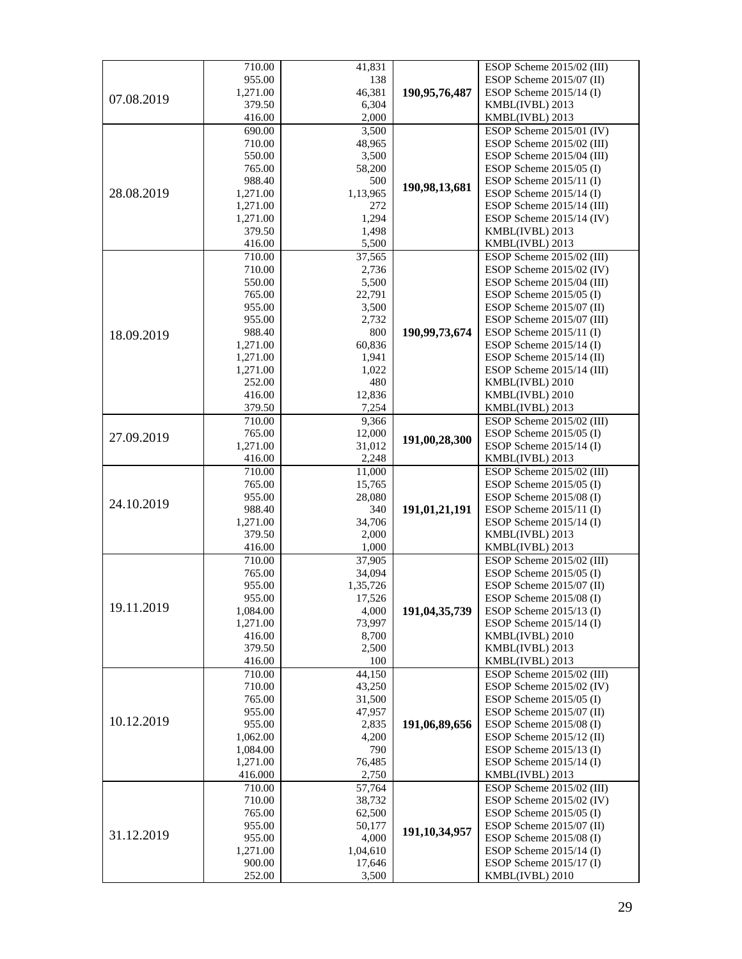|            | 710.00   | 41,831   |               | ESOP Scheme 2015/02 (III)              |
|------------|----------|----------|---------------|----------------------------------------|
|            | 955.00   | 138      |               | ESOP Scheme 2015/07 (II)               |
|            | 1,271.00 | 46,381   | 190,95,76,487 | ESOP Scheme $2015/14$ (I)              |
| 07.08.2019 | 379.50   | 6,304    |               | KMBL(IVBL) 2013                        |
|            | 416.00   | 2,000    |               | KMBL(IVBL) 2013                        |
|            | 690.00   | 3,500    |               | ESOP Scheme 2015/01 (IV)               |
|            | 710.00   | 48,965   |               | ESOP Scheme 2015/02 (III)              |
|            | 550.00   | 3,500    |               | ESOP Scheme 2015/04 (III)              |
|            | 765.00   | 58,200   |               | ESOP Scheme $2015/05$ (I)              |
|            | 988.40   | 500      |               | ESOP Scheme $2015/11$ (I)              |
| 28.08.2019 | 1,271.00 | 1,13,965 | 190,98,13,681 | ESOP Scheme $2015/14$ (I)              |
|            | 1,271.00 | 272      |               | ESOP Scheme 2015/14 (III)              |
|            | 1,271.00 | 1,294    |               | ESOP Scheme 2015/14 (IV)               |
|            | 379.50   | 1,498    |               | KMBL(IVBL) 2013                        |
|            | 416.00   | 5,500    |               | KMBL(IVBL) 2013                        |
|            | 710.00   | 37,565   |               | ESOP Scheme 2015/02 (III)              |
|            | 710.00   | 2,736    |               | ESOP Scheme 2015/02 (IV)               |
|            | 550.00   | 5,500    |               | ESOP Scheme 2015/04 (III)              |
|            | 765.00   | 22,791   |               | ESOP Scheme $2015/05$ (I)              |
|            | 955.00   | 3,500    |               | ESOP Scheme 2015/07 (II)               |
|            | 955.00   | 2,732    |               | ESOP Scheme 2015/07 (III)              |
|            | 988.40   | 800      | 190,99,73,674 | ESOP Scheme $2015/11$ (I)              |
| 18.09.2019 | 1,271.00 | 60,836   |               | ESOP Scheme $2015/14$ (I)              |
|            | 1,271.00 | 1,941    |               | ESOP Scheme $2015/14$ (II)             |
|            | 1,271.00 | 1,022    |               | ESOP Scheme 2015/14 (III)              |
|            | 252.00   | 480      |               | KMBL(IVBL) 2010                        |
|            | 416.00   | 12,836   |               | KMBL(IVBL) 2010                        |
|            | 379.50   | 7,254    |               | KMBL(IVBL) 2013                        |
|            | 710.00   | 9,366    |               | ESOP Scheme 2015/02 (III)              |
|            | 765.00   |          |               | ESOP Scheme $2015/05$ (I)              |
| 27.09.2019 |          | 12,000   | 191,00,28,300 |                                        |
|            | 1,271.00 | 31,012   |               | ESOP Scheme $2015/14$ (I)              |
|            | 416.00   | 2,248    |               | KMBL(IVBL) 2013                        |
|            | 710.00   | 11,000   |               | ESOP Scheme 2015/02 (III)              |
|            | 765.00   | 15,765   |               | ESOP Scheme $2015/05$ (I)              |
| 24.10.2019 | 955.00   | 28,080   |               | ESOP Scheme 2015/08 (I)                |
|            | 988.40   | 340      | 191,01,21,191 | ESOP Scheme $2015/11$ (I)              |
|            | 1,271.00 | 34,706   |               | ESOP Scheme $2015/14$ (I)              |
|            | 379.50   | 2,000    |               | KMBL(IVBL) 2013                        |
|            | 416.00   | 1,000    |               | KMBL(IVBL) 2013                        |
|            | 710.00   | 37,905   |               | $\overline{ESOP}$ Scheme 2015/02 (III) |
|            | 765.00   | 34,094   |               | ESOP Scheme 2015/05 (I)                |
|            | 955.00   | 1,35,726 |               | ESOP Scheme 2015/07 (II)               |
| 19.11.2019 | 955.00   | 17,526   |               | ESOP Scheme 2015/08 (I)                |
|            | 1,084.00 | 4,000    | 191,04,35,739 | ESOP Scheme $2015/13$ (I)              |
|            | 1,271.00 | 73,997   |               | ESOP Scheme $2015/14$ (I)              |
|            | 416.00   | 8,700    |               | KMBL(IVBL) 2010                        |
|            | 379.50   | 2,500    |               | KMBL(IVBL) 2013                        |
|            | 416.00   | 100      |               | KMBL(IVBL) 2013                        |
|            | 710.00   | 44,150   |               | ESOP Scheme 2015/02 (III)              |
|            | 710.00   | 43,250   |               | ESOP Scheme 2015/02 (IV)               |
|            | 765.00   | 31,500   |               | ESOP Scheme $2015/05$ (I)              |
|            | 955.00   | 47,957   |               | ESOP Scheme 2015/07 (II)               |
| 10.12.2019 | 955.00   | 2,835    | 191,06,89,656 | ESOP Scheme $2015/08$ (I)              |
|            | 1,062.00 | 4,200    |               | ESOP Scheme $2015/12$ (II)             |
|            | 1,084.00 | 790      |               | ESOP Scheme $2015/13$ (I)              |
|            | 1,271.00 | 76,485   |               | ESOP Scheme $2015/14$ (I)              |
|            | 416.000  | 2,750    |               | KMBL(IVBL) 2013                        |
|            | 710.00   | 57,764   |               | ESOP Scheme 2015/02 (III)              |
|            | 710.00   | 38,732   |               | ESOP Scheme 2015/02 (IV)               |
|            | 765.00   | 62,500   |               | ESOP Scheme $2015/05$ (I)              |
|            | 955.00   | 50,177   | 191,10,34,957 | ESOP Scheme 2015/07 (II)               |
| 31.12.2019 | 955.00   | 4,000    |               | ESOP Scheme 2015/08 (I)                |
|            | 1,271.00 | 1,04,610 |               | ESOP Scheme $2015/14$ (I)              |
|            | 900.00   | 17,646   |               | ESOP Scheme $2015/17$ (I)              |
|            | 252.00   | 3,500    |               | KMBL(IVBL) 2010                        |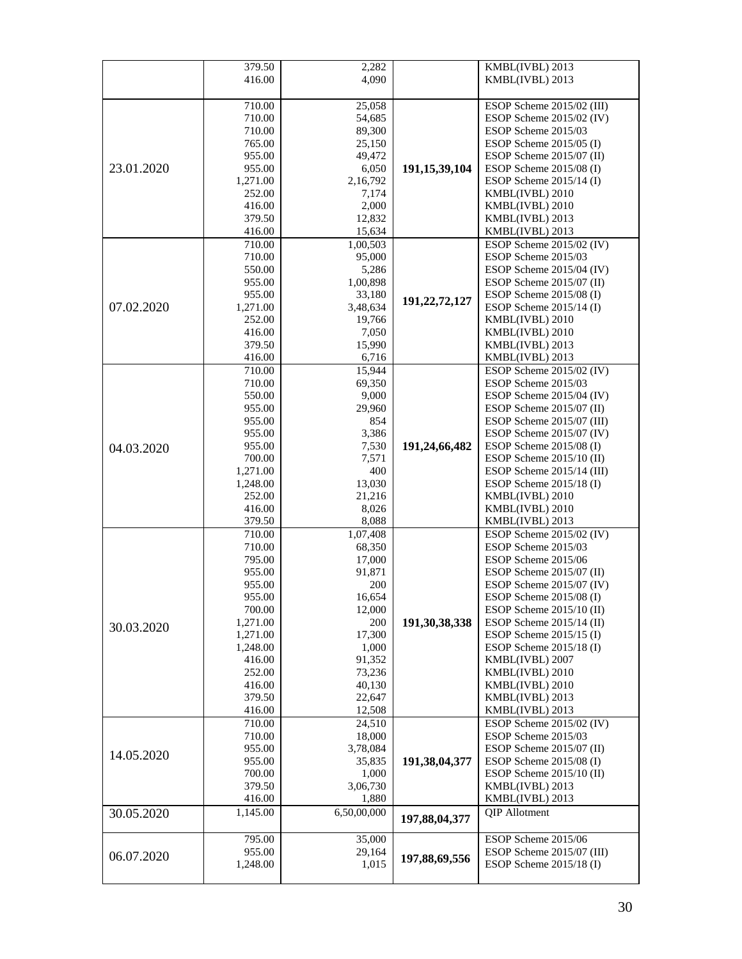|            | 379.50   | 2,282       |                  | KMBL(IVBL) 2013            |
|------------|----------|-------------|------------------|----------------------------|
|            | 416.00   | 4,090       |                  | KMBL(IVBL) 2013            |
|            |          |             |                  |                            |
|            | 710.00   | 25,058      |                  | ESOP Scheme 2015/02 (III)  |
|            | 710.00   | 54,685      |                  | ESOP Scheme $2015/02$ (IV) |
|            | 710.00   | 89,300      |                  | ESOP Scheme 2015/03        |
|            | 765.00   | 25,150      |                  | ESOP Scheme $2015/05$ (I)  |
|            | 955.00   | 49,472      |                  | ESOP Scheme 2015/07 (II)   |
| 23.01.2020 | 955.00   | 6,050       | 191, 15, 39, 104 | ESOP Scheme 2015/08 (I)    |
|            | 1,271.00 | 2,16,792    |                  | ESOP Scheme $2015/14$ (I)  |
|            | 252.00   | 7,174       |                  | KMBL(IVBL) 2010            |
|            | 416.00   | 2,000       |                  | KMBL(IVBL) 2010            |
|            | 379.50   | 12,832      |                  | KMBL(IVBL) 2013            |
|            | 416.00   | 15,634      |                  | KMBL(IVBL) 2013            |
|            | 710.00   | 1,00,503    |                  | ESOP Scheme 2015/02 (IV)   |
|            | 710.00   | 95,000      |                  | ESOP Scheme 2015/03        |
|            | 550.00   | 5,286       |                  | ESOP Scheme 2015/04 (IV)   |
|            | 955.00   | 1,00,898    |                  | ESOP Scheme $2015/07$ (II) |
|            | 955.00   | 33,180      |                  | ESOP Scheme $2015/08$ (I)  |
| 07.02.2020 | 1,271.00 | 3,48,634    | 191,22,72,127    | ESOP Scheme $2015/14$ (I)  |
|            | 252.00   | 19,766      |                  | KMBL(IVBL) 2010            |
|            | 416.00   | 7,050       |                  | KMBL(IVBL) 2010            |
|            | 379.50   | 15,990      |                  | KMBL(IVBL) 2013            |
|            | 416.00   | 6,716       |                  | KMBL(IVBL) 2013            |
|            | 710.00   | 15,944      |                  | ESOP Scheme 2015/02 (IV)   |
|            | 710.00   | 69,350      |                  | ESOP Scheme 2015/03        |
|            | 550.00   | 9,000       |                  | ESOP Scheme 2015/04 (IV)   |
|            | 955.00   | 29,960      |                  | ESOP Scheme 2015/07 (II)   |
|            | 955.00   | 854         |                  | ESOP Scheme 2015/07 (III)  |
|            | 955.00   | 3,386       |                  | ESOP Scheme 2015/07 (IV)   |
| 04.03.2020 | 955.00   | 7,530       | 191,24,66,482    | ESOP Scheme 2015/08 (I)    |
|            | 700.00   | 7,571       |                  | ESOP Scheme $2015/10$ (II) |
|            | 1,271.00 | 400         |                  | ESOP Scheme 2015/14 (III)  |
|            | 1,248.00 | 13,030      |                  | ESOP Scheme $2015/18$ (I)  |
|            | 252.00   | 21,216      |                  | KMBL(IVBL) 2010            |
|            | 416.00   | 8,026       |                  | KMBL(IVBL) 2010            |
|            | 379.50   | 8,088       |                  | KMBL(IVBL) 2013            |
|            | 710.00   | 1,07,408    |                  | ESOP Scheme 2015/02 (IV)   |
|            | 710.00   | 68,350      |                  | ESOP Scheme 2015/03        |
|            | 795.00   | 17,000      |                  | ESOP Scheme 2015/06        |
|            | 955.00   | 91,871      |                  | ESOP Scheme 2015/07 (II)   |
|            | 955.00   | 200         |                  | ESOP Scheme 2015/07 (IV)   |
|            | 955.00   | 16,654      |                  | ESOP Scheme 2015/08 (I)    |
|            | 700.00   | 12,000      |                  | ESOP Scheme 2015/10 (II)   |
| 30.03.2020 | 1,271.00 | 200         | 191,30,38,338    | ESOP Scheme 2015/14 (II)   |
|            | 1,271.00 | 17,300      |                  | ESOP Scheme $2015/15$ (I)  |
|            | 1,248.00 | 1,000       |                  | ESOP Scheme 2015/18 (I)    |
|            | 416.00   | 91,352      |                  | KMBL(IVBL) 2007            |
|            | 252.00   | 73,236      |                  | KMBL(IVBL) 2010            |
|            | 416.00   | 40,130      |                  | KMBL(IVBL) 2010            |
|            | 379.50   | 22,647      |                  | KMBL(IVBL) 2013            |
|            | 416.00   | 12,508      |                  | KMBL(IVBL) 2013            |
|            | 710.00   | 24.510      |                  | ESOP Scheme 2015/02 (IV)   |
|            | 710.00   | 18,000      |                  | ESOP Scheme 2015/03        |
| 14.05.2020 | 955.00   | 3,78,084    |                  | ESOP Scheme 2015/07 (II)   |
|            | 955.00   | 35,835      | 191,38,04,377    | ESOP Scheme 2015/08 (I)    |
|            | 700.00   | 1,000       |                  | ESOP Scheme 2015/10 (II)   |
|            | 379.50   | 3,06,730    |                  | KMBL(IVBL) 2013            |
|            | 416.00   | 1,880       |                  | KMBL(IVBL) 2013            |
| 30.05.2020 | 1,145.00 | 6,50,00,000 | 197,88,04,377    | QIP Allotment              |
|            |          |             |                  |                            |
|            | 795.00   | 35,000      |                  | ESOP Scheme 2015/06        |
| 06.07.2020 | 955.00   | 29,164      | 197,88,69,556    | ESOP Scheme 2015/07 (III)  |
|            | 1,248.00 | 1,015       |                  | ESOP Scheme $2015/18$ (I)  |
|            |          |             |                  |                            |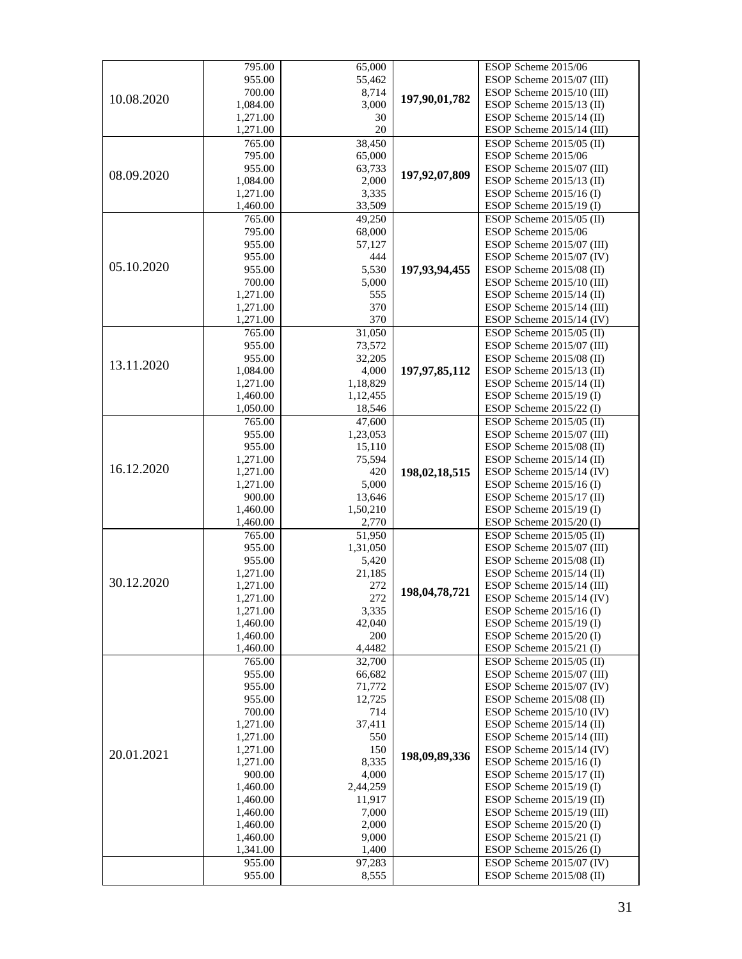|            | 795.00               | 65,000              |                  | ESOP Scheme 2015/06                                      |
|------------|----------------------|---------------------|------------------|----------------------------------------------------------|
|            | 955.00               | 55,462              |                  | ESOP Scheme 2015/07 (III)                                |
|            | 700.00               | 8,714               |                  | ESOP Scheme 2015/10 (III)                                |
| 10.08.2020 | 1,084.00             | 3,000               | 197,90,01,782    | ESOP Scheme 2015/13 (II)                                 |
|            | 1,271.00             | 30                  |                  | ESOP Scheme $2015/14$ (II)                               |
|            | 1,271.00             | $20\,$              |                  | ESOP Scheme 2015/14 (III)                                |
|            | 765.00               | 38,450              |                  | ESOP Scheme 2015/05 (II)                                 |
|            | 795.00               | 65,000              |                  | ESOP Scheme 2015/06                                      |
| 08.09.2020 | 955.00               | 63,733              | 197,92,07,809    | ESOP Scheme 2015/07 (III)                                |
|            | 1,084.00             | 2,000               |                  | ESOP Scheme $2015/13$ (II)                               |
|            | 1,271.00             | 3,335               |                  | ESOP Scheme $2015/16$ (I)                                |
|            | 1,460.00             | 33,509              |                  | ESOP Scheme 2015/19 (I)                                  |
|            | 765.00               | 49,250              |                  | ESOP Scheme $2015/05$ (II)                               |
|            | 795.00               | 68,000              |                  | ESOP Scheme 2015/06                                      |
|            | 955.00               | 57,127              |                  | ESOP Scheme 2015/07 (III)                                |
| 05.10.2020 | 955.00               | 444                 |                  | ESOP Scheme 2015/07 (IV)                                 |
|            | 955.00               | 5,530               | 197,93,94,455    | ESOP Scheme 2015/08 (II)                                 |
|            | 700.00               | 5,000               |                  | ESOP Scheme 2015/10 (III)                                |
|            | 1,271.00             | 555                 |                  | ESOP Scheme $2015/14$ (II)                               |
|            | 1,271.00             | 370                 |                  | ESOP Scheme 2015/14 (III)                                |
|            | 1,271.00             | 370                 |                  | ESOP Scheme 2015/14 (IV)                                 |
|            | 765.00               | 31,050              |                  | ESOP Scheme $2015/05$ (II)                               |
|            | 955.00               | 73,572              |                  | ESOP Scheme 2015/07 (III)<br>ESOP Scheme 2015/08 (II)    |
| 13.11.2020 | 955.00               | 32,205<br>4,000     | 197, 97, 85, 112 |                                                          |
|            | 1,084.00<br>1,271.00 | 1,18,829            |                  | ESOP Scheme $2015/13$ (II)<br>ESOP Scheme $2015/14$ (II) |
|            | 1,460.00             | 1,12,455            |                  | ESOP Scheme 2015/19 (I)                                  |
|            | 1,050.00             | 18,546              |                  | ESOP Scheme 2015/22 (I)                                  |
|            | 765.00               | 47,600              |                  | $\overline{ESOP}$ Scheme 2015/05 (II)                    |
|            | 955.00               | 1,23,053            |                  | ESOP Scheme 2015/07 (III)                                |
|            | 955.00               | 15,110              |                  | ESOP Scheme 2015/08 (II)                                 |
|            | 1,271.00             | 75,594              |                  | ESOP Scheme 2015/14 (II)                                 |
| 16.12.2020 | 1,271.00             | 420                 | 198,02,18,515    | ESOP Scheme 2015/14 (IV)                                 |
|            | 1,271.00             | 5,000               |                  | ESOP Scheme $2015/16$ (I)                                |
|            | 900.00               | 13,646              |                  | ESOP Scheme 2015/17 (II)                                 |
|            | 1,460.00             | 1,50,210            |                  | ESOP Scheme $2015/19$ (I)                                |
|            | 1,460.00             | 2,770               |                  | ESOP Scheme 2015/20 (I)                                  |
|            | 765.00               | $\overline{51,950}$ |                  | ESOP Scheme 2015/05 (II)                                 |
|            | 955.00               | 1,31,050            |                  | ESOP Scheme 2015/07 (III)                                |
|            | 955.00               | 5,420               |                  | ESOP Scheme 2015/08 (II)                                 |
|            | 1,271.00             | 21,185              |                  | ESOP Scheme $2015/14$ (II)                               |
| 30.12.2020 | 1,271.00             | 272                 | 198,04,78,721    | ESOP Scheme 2015/14 (III)                                |
|            | 1,271.00             | 272                 |                  | ESOP Scheme 2015/14 (IV)                                 |
|            | 1,271.00             | 3,335               |                  | ESOP Scheme $2015/16$ (I)                                |
|            | 1,460.00             | 42,040              |                  | ESOP Scheme 2015/19 (I)                                  |
|            | 1,460.00             | 200                 |                  | ESOP Scheme $2015/20$ (I)                                |
|            | 1,460.00             | 4,4482              |                  | ESOP Scheme $2015/21$ (I)                                |
|            | 765.00               | 32,700              |                  | ESOP Scheme 2015/05 (II)                                 |
|            | 955.00               | 66,682              |                  | ESOP Scheme 2015/07 (III)                                |
|            | 955.00               | 71,772              |                  | ESOP Scheme 2015/07 (IV)                                 |
|            | 955.00               | 12,725              |                  | ESOP Scheme 2015/08 (II)                                 |
|            | 700.00               | 714                 |                  | ESOP Scheme 2015/10 (IV)                                 |
|            | 1,271.00             | 37,411              |                  | ESOP Scheme $2015/14$ (II)                               |
|            | 1,271.00             | 550                 |                  | ESOP Scheme 2015/14 (III)                                |
| 20.01.2021 | 1,271.00             | 150                 | 198,09,89,336    | ESOP Scheme 2015/14 (IV)                                 |
|            | 1,271.00             | 8,335               |                  | ESOP Scheme $2015/16$ (I)                                |
|            | 900.00               | 4,000<br>2,44,259   |                  | ESOP Scheme $2015/17$ (II)<br>ESOP Scheme $2015/19$ (I)  |
|            | 1,460.00<br>1,460.00 | 11,917              |                  | ESOP Scheme $2015/19$ (II)                               |
|            | 1,460.00             | 7,000               |                  | ESOP Scheme 2015/19 (III)                                |
|            | 1,460.00             | 2,000               |                  | ESOP Scheme $2015/20$ (I)                                |
|            | 1,460.00             | 9,000               |                  | ESOP Scheme $2015/21$ (I)                                |
|            | 1,341.00             | 1,400               |                  | ESOP Scheme $2015/26$ (I)                                |
|            | 955.00               | 97,283              |                  | ESOP Scheme 2015/07 (IV)                                 |
|            | 955.00               | 8,555               |                  | ESOP Scheme 2015/08 (II)                                 |
|            |                      |                     |                  |                                                          |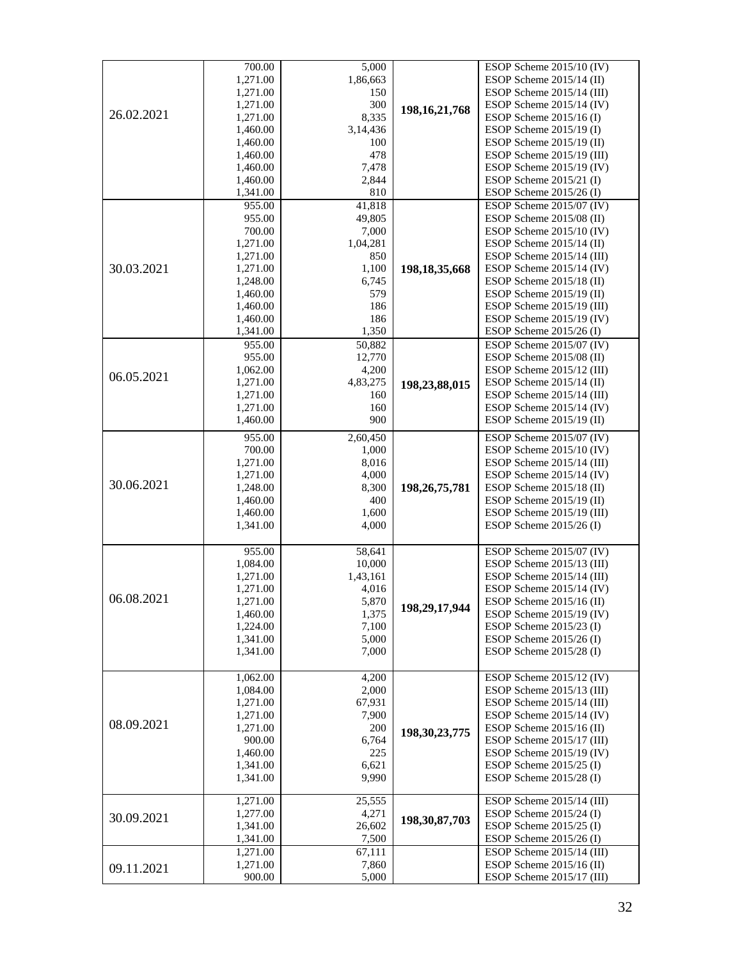|            | 700.00   | 5,000    |                  | ESOP Scheme 2015/10 (IV)   |
|------------|----------|----------|------------------|----------------------------|
|            | 1,271.00 | 1,86,663 |                  | ESOP Scheme 2015/14 (II)   |
|            | 1,271.00 | 150      |                  | ESOP Scheme 2015/14 (III)  |
|            | 1,271.00 | 300      |                  | ESOP Scheme 2015/14 (IV)   |
| 26.02.2021 | 1,271.00 | 8,335    | 198, 16, 21, 768 | ESOP Scheme $2015/16$ (I)  |
|            | 1,460.00 | 3,14,436 |                  | ESOP Scheme 2015/19 (I)    |
|            | 1,460.00 | 100      |                  | ESOP Scheme 2015/19 (II)   |
|            | 1,460.00 | 478      |                  | ESOP Scheme 2015/19 (III)  |
|            | 1,460.00 | 7,478    |                  | ESOP Scheme 2015/19 (IV)   |
|            | 1,460.00 | 2,844    |                  | ESOP Scheme $2015/21$ (I)  |
|            | 1,341.00 | 810      |                  | ESOP Scheme 2015/26 (I)    |
|            | 955.00   | 41,818   |                  | ESOP Scheme 2015/07 (IV)   |
|            | 955.00   | 49,805   |                  | ESOP Scheme 2015/08 (II)   |
|            | 700.00   | 7,000    |                  | ESOP Scheme 2015/10 (IV)   |
|            | 1,271.00 | 1,04,281 |                  | ESOP Scheme $2015/14$ (II) |
|            | 1,271.00 | 850      |                  | ESOP Scheme 2015/14 (III)  |
| 30.03.2021 | 1,271.00 | 1,100    | 198, 18, 35, 668 | ESOP Scheme 2015/14 (IV)   |
|            | 1,248.00 | 6,745    |                  | ESOP Scheme 2015/18 (II)   |
|            | 1,460.00 | 579      |                  | ESOP Scheme 2015/19 (II)   |
|            | 1,460.00 | 186      |                  | ESOP Scheme 2015/19 (III)  |
|            | 1,460.00 | 186      |                  | ESOP Scheme 2015/19 (IV)   |
|            | 1,341.00 | 1,350    |                  | ESOP Scheme 2015/26 (I)    |
|            | 955.00   | 50,882   |                  | ESOP Scheme 2015/07 (IV)   |
|            | 955.00   | 12,770   |                  | ESOP Scheme 2015/08 (II)   |
|            | 1,062.00 | 4,200    |                  | ESOP Scheme 2015/12 (III)  |
| 06.05.2021 | 1,271.00 | 4,83,275 |                  | ESOP Scheme 2015/14 (II)   |
|            | 1,271.00 | 160      | 198,23,88,015    | ESOP Scheme 2015/14 (III)  |
|            | 1,271.00 | 160      |                  | ESOP Scheme 2015/14 (IV)   |
|            |          | 900      |                  |                            |
|            | 1,460.00 |          |                  | ESOP Scheme 2015/19 (II)   |
|            | 955.00   | 2,60,450 |                  | ESOP Scheme 2015/07 (IV)   |
|            | 700.00   | 1,000    |                  | ESOP Scheme 2015/10 (IV)   |
|            | 1,271.00 | 8,016    |                  | ESOP Scheme 2015/14 (III)  |
|            | 1,271.00 | 4,000    |                  | ESOP Scheme 2015/14 (IV)   |
| 30.06.2021 | 1,248.00 | 8,300    | 198, 26, 75, 781 | ESOP Scheme 2015/18 (II)   |
|            | 1,460.00 | 400      |                  | ESOP Scheme 2015/19 (II)   |
|            | 1,460.00 | 1,600    |                  | ESOP Scheme 2015/19 (III)  |
|            | 1,341.00 | 4,000    |                  | ESOP Scheme 2015/26 (I)    |
|            |          |          |                  |                            |
|            | 955.00   | 58,641   |                  | ESOP Scheme 2015/07 (IV)   |
|            | 1,084.00 | 10,000   |                  | ESOP Scheme 2015/13 (III)  |
|            | 1,271.00 | 1,43,161 |                  | ESOP Scheme 2015/14 (III)  |
|            | 1,271.00 | 4,016    |                  | ESOP Scheme 2015/14 (IV)   |
| 06.08.2021 | 1,271.00 | 5,870    | 198,29,17,944    | ESOP Scheme 2015/16 (II)   |
|            | 1,460.00 | 1,375    |                  | ESOP Scheme 2015/19 (IV)   |
|            | 1,224.00 | 7,100    |                  | ESOP Scheme 2015/23 (I)    |
|            | 1,341.00 | 5,000    |                  | ESOP Scheme $2015/26$ (I)  |
|            | 1,341.00 | 7,000    |                  | ESOP Scheme 2015/28 (I)    |
|            |          |          |                  |                            |
|            | 1,062.00 | 4,200    |                  | ESOP Scheme 2015/12 (IV)   |
|            | 1,084.00 | 2,000    |                  | ESOP Scheme 2015/13 (III)  |
|            | 1,271.00 | 67,931   |                  | ESOP Scheme 2015/14 (III)  |
|            | 1,271.00 | 7,900    |                  | ESOP Scheme 2015/14 (IV)   |
| 08.09.2021 | 1,271.00 | 200      | 198, 30, 23, 775 | ESOP Scheme 2015/16 (II)   |
|            | 900.00   | 6,764    |                  | ESOP Scheme 2015/17 (III)  |
|            | 1,460.00 | 225      |                  | ESOP Scheme 2015/19 (IV)   |
|            | 1,341.00 | 6,621    |                  | ESOP Scheme $2015/25$ (I)  |
|            | 1,341.00 | 9,990    |                  | ESOP Scheme 2015/28 (I)    |
|            | 1,271.00 | 25,555   |                  | ESOP Scheme 2015/14 (III)  |
|            | 1,277.00 | 4,271    |                  | ESOP Scheme $2015/24$ (I)  |
| 30.09.2021 | 1,341.00 | 26,602   | 198, 30, 87, 703 | ESOP Scheme $2015/25$ (I)  |
|            | 1,341.00 | 7,500    |                  | ESOP Scheme $2015/26$ (I)  |
|            | 1,271.00 | 67,111   |                  | ESOP Scheme 2015/14 (III)  |
|            | 1,271.00 | 7,860    |                  | ESOP Scheme $2015/16$ (II) |
| 09.11.2021 | 900.00   | 5,000    |                  | ESOP Scheme 2015/17 (III)  |
|            |          |          |                  |                            |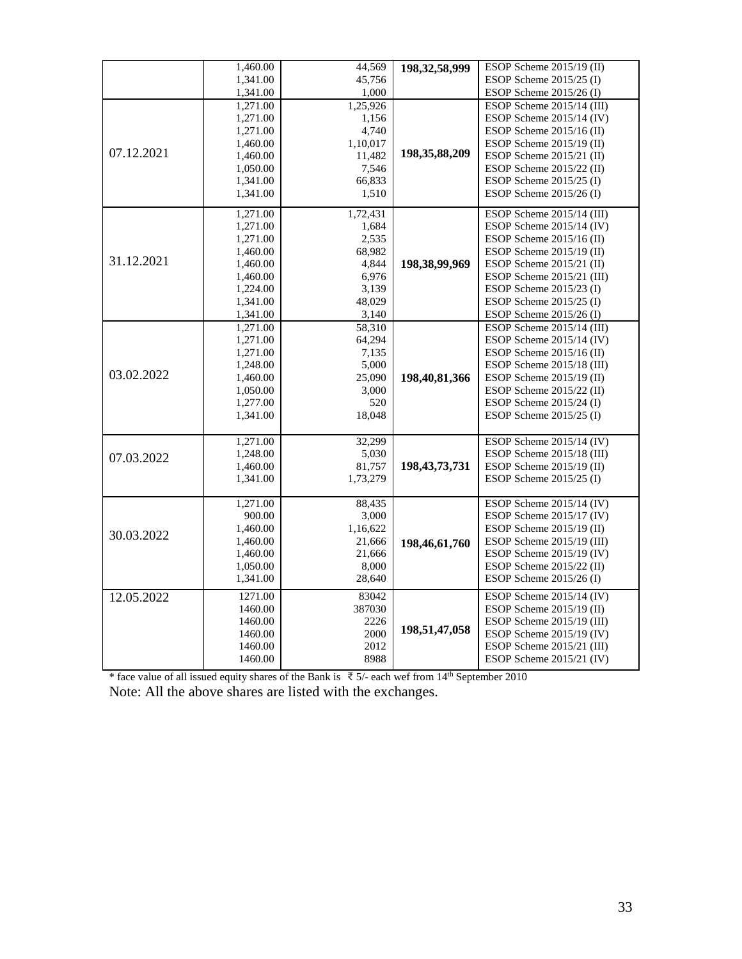| 1,341.00<br>45,756<br>ESOP Scheme $2015/25$ (I)<br>1,000<br>1,341.00<br>ESOP Scheme 2015/26 (I)<br>1,25,926<br>1,271.00<br>ESOP Scheme 2015/14 (III)<br>ESOP Scheme $2015/14$ (IV)<br>1,271.00<br>1,156<br>4,740<br>1,271.00<br>ESOP Scheme $2015/16$ (II)<br>ESOP Scheme 2015/19 (II)<br>1,460.00<br>1,10,017<br>07.12.2021<br>198, 35, 88, 209<br>1,460.00<br>11,482<br>ESOP Scheme $2015/21$ (II)<br>7,546<br>ESOP Scheme $2015/22$ (II)<br>1,050.00<br>66,833<br>ESOP Scheme $2015/25$ (I)<br>1,341.00<br>1,510<br>1,341.00<br>ESOP Scheme $2015/26$ (I)<br>1,72,431<br>ESOP Scheme 2015/14 (III)<br>1,271.00<br>1,271.00<br>1,684<br>ESOP Scheme $2015/14$ (IV)<br>2,535<br>ESOP Scheme 2015/16 (II)<br>1,271.00<br>68,982<br>ESOP Scheme $2015/19$ (II)<br>1,460.00<br>31.12.2021<br>4,844<br>198,38,99,969<br>ESOP Scheme $2015/21$ (II)<br>1,460.00<br>6,976<br>1,460.00<br>ESOP Scheme 2015/21 (III)<br>3,139<br>ESOP Scheme $2015/23$ (I)<br>1,224.00<br>48,029<br>1,341.00<br>ESOP Scheme $2015/25$ (I)<br>1,341.00<br>3,140<br>ESOP Scheme 2015/26 (I)<br>58,310<br>ESOP Scheme 2015/14 (III)<br>1,271.00<br>64,294<br>ESOP Scheme 2015/14 (IV)<br>1,271.00<br>ESOP Scheme $2015/16$ (II)<br>1,271.00<br>7,135<br>5,000<br>ESOP Scheme 2015/18 (III)<br>1,248.00<br>03.02.2022<br>25,090<br>198,40,81,366<br>ESOP Scheme $2015/19$ (II)<br>1,460.00<br>3,000<br>1,050.00<br>ESOP Scheme 2015/22 (II)<br>520<br>ESOP Scheme $2015/24$ (I)<br>1,277.00<br>1,341.00<br>18,048<br>ESOP Scheme $2015/25$ (I)<br>32,299<br>ESOP Scheme 2015/14 (IV)<br>1,271.00<br>1,248.00<br>5,030<br>ESOP Scheme 2015/18 (III)<br>07.03.2022<br>198, 43, 73, 731<br>81,757<br>ESOP Scheme $2015/19$ (II)<br>1,460.00<br>ESOP Scheme 2015/25 (I)<br>1,341.00<br>1,73,279<br>ESOP Scheme 2015/14 (IV)<br>1,271.00<br>88,435<br>ESOP Scheme $2015/17$ (IV)<br>900.00<br>3,000<br>1,460.00<br>1,16,622<br>ESOP Scheme $2015/19$ (II)<br>30.03.2022<br>ESOP Scheme 2015/19 (III)<br>1,460.00<br>21,666<br>198,46,61,760<br>1,460.00<br>21,666<br>ESOP Scheme $2015/19$ (IV)<br>8,000<br>ESOP Scheme 2015/22 (II)<br>1,050.00<br>1,341.00<br>28,640<br>ESOP Scheme 2015/26 (I)<br>83042<br>ESOP Scheme 2015/14 (IV)<br>12.05.2022<br>1271.00<br>387030<br>ESOP Scheme 2015/19 (II)<br>1460.00<br>1460.00<br>2226<br>ESOP Scheme 2015/19 (III)<br>198,51,47,058<br>1460.00<br>2000<br>ESOP Scheme $2015/19$ (IV)<br>1460.00<br>2012<br>ESOP Scheme 2015/21 (III)<br>8988<br>ESOP Scheme $2015/21$ (IV)<br>1460.00 | 1,460.00 | 44,569 | 198, 32, 58, 999 | ESOP Scheme 2015/19 (II) |
|-----------------------------------------------------------------------------------------------------------------------------------------------------------------------------------------------------------------------------------------------------------------------------------------------------------------------------------------------------------------------------------------------------------------------------------------------------------------------------------------------------------------------------------------------------------------------------------------------------------------------------------------------------------------------------------------------------------------------------------------------------------------------------------------------------------------------------------------------------------------------------------------------------------------------------------------------------------------------------------------------------------------------------------------------------------------------------------------------------------------------------------------------------------------------------------------------------------------------------------------------------------------------------------------------------------------------------------------------------------------------------------------------------------------------------------------------------------------------------------------------------------------------------------------------------------------------------------------------------------------------------------------------------------------------------------------------------------------------------------------------------------------------------------------------------------------------------------------------------------------------------------------------------------------------------------------------------------------------------------------------------------------------------------------------------------------------------------------------------------------------------------------------------------------------------------------------------------------------------------------------------------------------------------------------------------------------------------------------------------------------------------------------------------------------------------------------------------------------------------------------------|----------|--------|------------------|--------------------------|
|                                                                                                                                                                                                                                                                                                                                                                                                                                                                                                                                                                                                                                                                                                                                                                                                                                                                                                                                                                                                                                                                                                                                                                                                                                                                                                                                                                                                                                                                                                                                                                                                                                                                                                                                                                                                                                                                                                                                                                                                                                                                                                                                                                                                                                                                                                                                                                                                                                                                                                     |          |        |                  |                          |
|                                                                                                                                                                                                                                                                                                                                                                                                                                                                                                                                                                                                                                                                                                                                                                                                                                                                                                                                                                                                                                                                                                                                                                                                                                                                                                                                                                                                                                                                                                                                                                                                                                                                                                                                                                                                                                                                                                                                                                                                                                                                                                                                                                                                                                                                                                                                                                                                                                                                                                     |          |        |                  |                          |
|                                                                                                                                                                                                                                                                                                                                                                                                                                                                                                                                                                                                                                                                                                                                                                                                                                                                                                                                                                                                                                                                                                                                                                                                                                                                                                                                                                                                                                                                                                                                                                                                                                                                                                                                                                                                                                                                                                                                                                                                                                                                                                                                                                                                                                                                                                                                                                                                                                                                                                     |          |        |                  |                          |
|                                                                                                                                                                                                                                                                                                                                                                                                                                                                                                                                                                                                                                                                                                                                                                                                                                                                                                                                                                                                                                                                                                                                                                                                                                                                                                                                                                                                                                                                                                                                                                                                                                                                                                                                                                                                                                                                                                                                                                                                                                                                                                                                                                                                                                                                                                                                                                                                                                                                                                     |          |        |                  |                          |
|                                                                                                                                                                                                                                                                                                                                                                                                                                                                                                                                                                                                                                                                                                                                                                                                                                                                                                                                                                                                                                                                                                                                                                                                                                                                                                                                                                                                                                                                                                                                                                                                                                                                                                                                                                                                                                                                                                                                                                                                                                                                                                                                                                                                                                                                                                                                                                                                                                                                                                     |          |        |                  |                          |
|                                                                                                                                                                                                                                                                                                                                                                                                                                                                                                                                                                                                                                                                                                                                                                                                                                                                                                                                                                                                                                                                                                                                                                                                                                                                                                                                                                                                                                                                                                                                                                                                                                                                                                                                                                                                                                                                                                                                                                                                                                                                                                                                                                                                                                                                                                                                                                                                                                                                                                     |          |        |                  |                          |
|                                                                                                                                                                                                                                                                                                                                                                                                                                                                                                                                                                                                                                                                                                                                                                                                                                                                                                                                                                                                                                                                                                                                                                                                                                                                                                                                                                                                                                                                                                                                                                                                                                                                                                                                                                                                                                                                                                                                                                                                                                                                                                                                                                                                                                                                                                                                                                                                                                                                                                     |          |        |                  |                          |
|                                                                                                                                                                                                                                                                                                                                                                                                                                                                                                                                                                                                                                                                                                                                                                                                                                                                                                                                                                                                                                                                                                                                                                                                                                                                                                                                                                                                                                                                                                                                                                                                                                                                                                                                                                                                                                                                                                                                                                                                                                                                                                                                                                                                                                                                                                                                                                                                                                                                                                     |          |        |                  |                          |
|                                                                                                                                                                                                                                                                                                                                                                                                                                                                                                                                                                                                                                                                                                                                                                                                                                                                                                                                                                                                                                                                                                                                                                                                                                                                                                                                                                                                                                                                                                                                                                                                                                                                                                                                                                                                                                                                                                                                                                                                                                                                                                                                                                                                                                                                                                                                                                                                                                                                                                     |          |        |                  |                          |
|                                                                                                                                                                                                                                                                                                                                                                                                                                                                                                                                                                                                                                                                                                                                                                                                                                                                                                                                                                                                                                                                                                                                                                                                                                                                                                                                                                                                                                                                                                                                                                                                                                                                                                                                                                                                                                                                                                                                                                                                                                                                                                                                                                                                                                                                                                                                                                                                                                                                                                     |          |        |                  |                          |
|                                                                                                                                                                                                                                                                                                                                                                                                                                                                                                                                                                                                                                                                                                                                                                                                                                                                                                                                                                                                                                                                                                                                                                                                                                                                                                                                                                                                                                                                                                                                                                                                                                                                                                                                                                                                                                                                                                                                                                                                                                                                                                                                                                                                                                                                                                                                                                                                                                                                                                     |          |        |                  |                          |
|                                                                                                                                                                                                                                                                                                                                                                                                                                                                                                                                                                                                                                                                                                                                                                                                                                                                                                                                                                                                                                                                                                                                                                                                                                                                                                                                                                                                                                                                                                                                                                                                                                                                                                                                                                                                                                                                                                                                                                                                                                                                                                                                                                                                                                                                                                                                                                                                                                                                                                     |          |        |                  |                          |
|                                                                                                                                                                                                                                                                                                                                                                                                                                                                                                                                                                                                                                                                                                                                                                                                                                                                                                                                                                                                                                                                                                                                                                                                                                                                                                                                                                                                                                                                                                                                                                                                                                                                                                                                                                                                                                                                                                                                                                                                                                                                                                                                                                                                                                                                                                                                                                                                                                                                                                     |          |        |                  |                          |
|                                                                                                                                                                                                                                                                                                                                                                                                                                                                                                                                                                                                                                                                                                                                                                                                                                                                                                                                                                                                                                                                                                                                                                                                                                                                                                                                                                                                                                                                                                                                                                                                                                                                                                                                                                                                                                                                                                                                                                                                                                                                                                                                                                                                                                                                                                                                                                                                                                                                                                     |          |        |                  |                          |
|                                                                                                                                                                                                                                                                                                                                                                                                                                                                                                                                                                                                                                                                                                                                                                                                                                                                                                                                                                                                                                                                                                                                                                                                                                                                                                                                                                                                                                                                                                                                                                                                                                                                                                                                                                                                                                                                                                                                                                                                                                                                                                                                                                                                                                                                                                                                                                                                                                                                                                     |          |        |                  |                          |
|                                                                                                                                                                                                                                                                                                                                                                                                                                                                                                                                                                                                                                                                                                                                                                                                                                                                                                                                                                                                                                                                                                                                                                                                                                                                                                                                                                                                                                                                                                                                                                                                                                                                                                                                                                                                                                                                                                                                                                                                                                                                                                                                                                                                                                                                                                                                                                                                                                                                                                     |          |        |                  |                          |
|                                                                                                                                                                                                                                                                                                                                                                                                                                                                                                                                                                                                                                                                                                                                                                                                                                                                                                                                                                                                                                                                                                                                                                                                                                                                                                                                                                                                                                                                                                                                                                                                                                                                                                                                                                                                                                                                                                                                                                                                                                                                                                                                                                                                                                                                                                                                                                                                                                                                                                     |          |        |                  |                          |
|                                                                                                                                                                                                                                                                                                                                                                                                                                                                                                                                                                                                                                                                                                                                                                                                                                                                                                                                                                                                                                                                                                                                                                                                                                                                                                                                                                                                                                                                                                                                                                                                                                                                                                                                                                                                                                                                                                                                                                                                                                                                                                                                                                                                                                                                                                                                                                                                                                                                                                     |          |        |                  |                          |
|                                                                                                                                                                                                                                                                                                                                                                                                                                                                                                                                                                                                                                                                                                                                                                                                                                                                                                                                                                                                                                                                                                                                                                                                                                                                                                                                                                                                                                                                                                                                                                                                                                                                                                                                                                                                                                                                                                                                                                                                                                                                                                                                                                                                                                                                                                                                                                                                                                                                                                     |          |        |                  |                          |
|                                                                                                                                                                                                                                                                                                                                                                                                                                                                                                                                                                                                                                                                                                                                                                                                                                                                                                                                                                                                                                                                                                                                                                                                                                                                                                                                                                                                                                                                                                                                                                                                                                                                                                                                                                                                                                                                                                                                                                                                                                                                                                                                                                                                                                                                                                                                                                                                                                                                                                     |          |        |                  |                          |
|                                                                                                                                                                                                                                                                                                                                                                                                                                                                                                                                                                                                                                                                                                                                                                                                                                                                                                                                                                                                                                                                                                                                                                                                                                                                                                                                                                                                                                                                                                                                                                                                                                                                                                                                                                                                                                                                                                                                                                                                                                                                                                                                                                                                                                                                                                                                                                                                                                                                                                     |          |        |                  |                          |
|                                                                                                                                                                                                                                                                                                                                                                                                                                                                                                                                                                                                                                                                                                                                                                                                                                                                                                                                                                                                                                                                                                                                                                                                                                                                                                                                                                                                                                                                                                                                                                                                                                                                                                                                                                                                                                                                                                                                                                                                                                                                                                                                                                                                                                                                                                                                                                                                                                                                                                     |          |        |                  |                          |
|                                                                                                                                                                                                                                                                                                                                                                                                                                                                                                                                                                                                                                                                                                                                                                                                                                                                                                                                                                                                                                                                                                                                                                                                                                                                                                                                                                                                                                                                                                                                                                                                                                                                                                                                                                                                                                                                                                                                                                                                                                                                                                                                                                                                                                                                                                                                                                                                                                                                                                     |          |        |                  |                          |
|                                                                                                                                                                                                                                                                                                                                                                                                                                                                                                                                                                                                                                                                                                                                                                                                                                                                                                                                                                                                                                                                                                                                                                                                                                                                                                                                                                                                                                                                                                                                                                                                                                                                                                                                                                                                                                                                                                                                                                                                                                                                                                                                                                                                                                                                                                                                                                                                                                                                                                     |          |        |                  |                          |
|                                                                                                                                                                                                                                                                                                                                                                                                                                                                                                                                                                                                                                                                                                                                                                                                                                                                                                                                                                                                                                                                                                                                                                                                                                                                                                                                                                                                                                                                                                                                                                                                                                                                                                                                                                                                                                                                                                                                                                                                                                                                                                                                                                                                                                                                                                                                                                                                                                                                                                     |          |        |                  |                          |
|                                                                                                                                                                                                                                                                                                                                                                                                                                                                                                                                                                                                                                                                                                                                                                                                                                                                                                                                                                                                                                                                                                                                                                                                                                                                                                                                                                                                                                                                                                                                                                                                                                                                                                                                                                                                                                                                                                                                                                                                                                                                                                                                                                                                                                                                                                                                                                                                                                                                                                     |          |        |                  |                          |
|                                                                                                                                                                                                                                                                                                                                                                                                                                                                                                                                                                                                                                                                                                                                                                                                                                                                                                                                                                                                                                                                                                                                                                                                                                                                                                                                                                                                                                                                                                                                                                                                                                                                                                                                                                                                                                                                                                                                                                                                                                                                                                                                                                                                                                                                                                                                                                                                                                                                                                     |          |        |                  |                          |
|                                                                                                                                                                                                                                                                                                                                                                                                                                                                                                                                                                                                                                                                                                                                                                                                                                                                                                                                                                                                                                                                                                                                                                                                                                                                                                                                                                                                                                                                                                                                                                                                                                                                                                                                                                                                                                                                                                                                                                                                                                                                                                                                                                                                                                                                                                                                                                                                                                                                                                     |          |        |                  |                          |
|                                                                                                                                                                                                                                                                                                                                                                                                                                                                                                                                                                                                                                                                                                                                                                                                                                                                                                                                                                                                                                                                                                                                                                                                                                                                                                                                                                                                                                                                                                                                                                                                                                                                                                                                                                                                                                                                                                                                                                                                                                                                                                                                                                                                                                                                                                                                                                                                                                                                                                     |          |        |                  |                          |
|                                                                                                                                                                                                                                                                                                                                                                                                                                                                                                                                                                                                                                                                                                                                                                                                                                                                                                                                                                                                                                                                                                                                                                                                                                                                                                                                                                                                                                                                                                                                                                                                                                                                                                                                                                                                                                                                                                                                                                                                                                                                                                                                                                                                                                                                                                                                                                                                                                                                                                     |          |        |                  |                          |
|                                                                                                                                                                                                                                                                                                                                                                                                                                                                                                                                                                                                                                                                                                                                                                                                                                                                                                                                                                                                                                                                                                                                                                                                                                                                                                                                                                                                                                                                                                                                                                                                                                                                                                                                                                                                                                                                                                                                                                                                                                                                                                                                                                                                                                                                                                                                                                                                                                                                                                     |          |        |                  |                          |
|                                                                                                                                                                                                                                                                                                                                                                                                                                                                                                                                                                                                                                                                                                                                                                                                                                                                                                                                                                                                                                                                                                                                                                                                                                                                                                                                                                                                                                                                                                                                                                                                                                                                                                                                                                                                                                                                                                                                                                                                                                                                                                                                                                                                                                                                                                                                                                                                                                                                                                     |          |        |                  |                          |
|                                                                                                                                                                                                                                                                                                                                                                                                                                                                                                                                                                                                                                                                                                                                                                                                                                                                                                                                                                                                                                                                                                                                                                                                                                                                                                                                                                                                                                                                                                                                                                                                                                                                                                                                                                                                                                                                                                                                                                                                                                                                                                                                                                                                                                                                                                                                                                                                                                                                                                     |          |        |                  |                          |
|                                                                                                                                                                                                                                                                                                                                                                                                                                                                                                                                                                                                                                                                                                                                                                                                                                                                                                                                                                                                                                                                                                                                                                                                                                                                                                                                                                                                                                                                                                                                                                                                                                                                                                                                                                                                                                                                                                                                                                                                                                                                                                                                                                                                                                                                                                                                                                                                                                                                                                     |          |        |                  |                          |
|                                                                                                                                                                                                                                                                                                                                                                                                                                                                                                                                                                                                                                                                                                                                                                                                                                                                                                                                                                                                                                                                                                                                                                                                                                                                                                                                                                                                                                                                                                                                                                                                                                                                                                                                                                                                                                                                                                                                                                                                                                                                                                                                                                                                                                                                                                                                                                                                                                                                                                     |          |        |                  |                          |
|                                                                                                                                                                                                                                                                                                                                                                                                                                                                                                                                                                                                                                                                                                                                                                                                                                                                                                                                                                                                                                                                                                                                                                                                                                                                                                                                                                                                                                                                                                                                                                                                                                                                                                                                                                                                                                                                                                                                                                                                                                                                                                                                                                                                                                                                                                                                                                                                                                                                                                     |          |        |                  |                          |
|                                                                                                                                                                                                                                                                                                                                                                                                                                                                                                                                                                                                                                                                                                                                                                                                                                                                                                                                                                                                                                                                                                                                                                                                                                                                                                                                                                                                                                                                                                                                                                                                                                                                                                                                                                                                                                                                                                                                                                                                                                                                                                                                                                                                                                                                                                                                                                                                                                                                                                     |          |        |                  |                          |
|                                                                                                                                                                                                                                                                                                                                                                                                                                                                                                                                                                                                                                                                                                                                                                                                                                                                                                                                                                                                                                                                                                                                                                                                                                                                                                                                                                                                                                                                                                                                                                                                                                                                                                                                                                                                                                                                                                                                                                                                                                                                                                                                                                                                                                                                                                                                                                                                                                                                                                     |          |        |                  |                          |
|                                                                                                                                                                                                                                                                                                                                                                                                                                                                                                                                                                                                                                                                                                                                                                                                                                                                                                                                                                                                                                                                                                                                                                                                                                                                                                                                                                                                                                                                                                                                                                                                                                                                                                                                                                                                                                                                                                                                                                                                                                                                                                                                                                                                                                                                                                                                                                                                                                                                                                     |          |        |                  |                          |
|                                                                                                                                                                                                                                                                                                                                                                                                                                                                                                                                                                                                                                                                                                                                                                                                                                                                                                                                                                                                                                                                                                                                                                                                                                                                                                                                                                                                                                                                                                                                                                                                                                                                                                                                                                                                                                                                                                                                                                                                                                                                                                                                                                                                                                                                                                                                                                                                                                                                                                     |          |        |                  |                          |
|                                                                                                                                                                                                                                                                                                                                                                                                                                                                                                                                                                                                                                                                                                                                                                                                                                                                                                                                                                                                                                                                                                                                                                                                                                                                                                                                                                                                                                                                                                                                                                                                                                                                                                                                                                                                                                                                                                                                                                                                                                                                                                                                                                                                                                                                                                                                                                                                                                                                                                     |          |        |                  |                          |
|                                                                                                                                                                                                                                                                                                                                                                                                                                                                                                                                                                                                                                                                                                                                                                                                                                                                                                                                                                                                                                                                                                                                                                                                                                                                                                                                                                                                                                                                                                                                                                                                                                                                                                                                                                                                                                                                                                                                                                                                                                                                                                                                                                                                                                                                                                                                                                                                                                                                                                     |          |        |                  |                          |
|                                                                                                                                                                                                                                                                                                                                                                                                                                                                                                                                                                                                                                                                                                                                                                                                                                                                                                                                                                                                                                                                                                                                                                                                                                                                                                                                                                                                                                                                                                                                                                                                                                                                                                                                                                                                                                                                                                                                                                                                                                                                                                                                                                                                                                                                                                                                                                                                                                                                                                     |          |        |                  |                          |
|                                                                                                                                                                                                                                                                                                                                                                                                                                                                                                                                                                                                                                                                                                                                                                                                                                                                                                                                                                                                                                                                                                                                                                                                                                                                                                                                                                                                                                                                                                                                                                                                                                                                                                                                                                                                                                                                                                                                                                                                                                                                                                                                                                                                                                                                                                                                                                                                                                                                                                     |          |        |                  |                          |
|                                                                                                                                                                                                                                                                                                                                                                                                                                                                                                                                                                                                                                                                                                                                                                                                                                                                                                                                                                                                                                                                                                                                                                                                                                                                                                                                                                                                                                                                                                                                                                                                                                                                                                                                                                                                                                                                                                                                                                                                                                                                                                                                                                                                                                                                                                                                                                                                                                                                                                     |          |        |                  |                          |
|                                                                                                                                                                                                                                                                                                                                                                                                                                                                                                                                                                                                                                                                                                                                                                                                                                                                                                                                                                                                                                                                                                                                                                                                                                                                                                                                                                                                                                                                                                                                                                                                                                                                                                                                                                                                                                                                                                                                                                                                                                                                                                                                                                                                                                                                                                                                                                                                                                                                                                     |          |        |                  |                          |

\* face value of all issued equity shares of the Bank is  $\bar{\tau}$  5/- each wef from 14<sup>th</sup> September 2010 Note: All the above shares are listed with the exchanges.